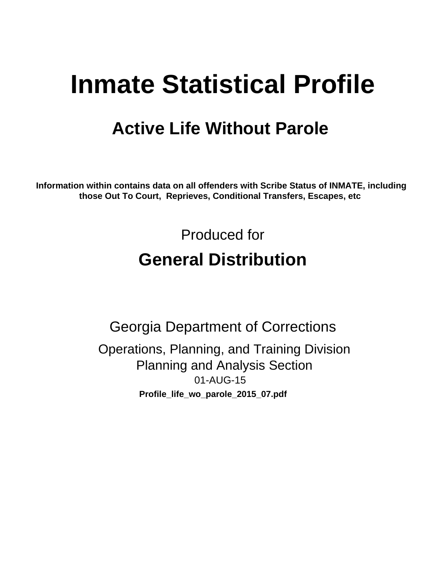# **Inmate Statistical Profile**

## **Active Life Without Parole**

Information within contains data on all offenders with Scribe Status of INMATE, including those Out To Court, Reprieves, Conditional Transfers, Escapes, etc

> Produced for **General Distribution**

**Georgia Department of Corrections** Operations, Planning, and Training Division **Planning and Analysis Section** 01-AUG-15 Profile\_life\_wo\_parole\_2015\_07.pdf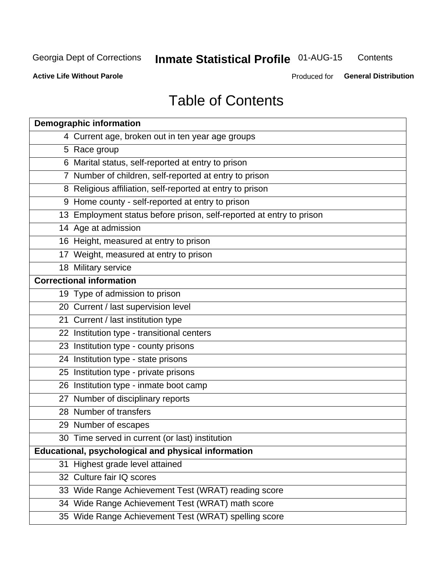#### **Inmate Statistical Profile 01-AUG-15** Contents

**Active Life Without Parole** 

Produced for General Distribution

## **Table of Contents**

| <b>Demographic information</b>                                       |
|----------------------------------------------------------------------|
| 4 Current age, broken out in ten year age groups                     |
| 5 Race group                                                         |
| 6 Marital status, self-reported at entry to prison                   |
| 7 Number of children, self-reported at entry to prison               |
| 8 Religious affiliation, self-reported at entry to prison            |
| 9 Home county - self-reported at entry to prison                     |
| 13 Employment status before prison, self-reported at entry to prison |
| 14 Age at admission                                                  |
| 16 Height, measured at entry to prison                               |
| 17 Weight, measured at entry to prison                               |
| 18 Military service                                                  |
| <b>Correctional information</b>                                      |
| 19 Type of admission to prison                                       |
| 20 Current / last supervision level                                  |
| 21 Current / last institution type                                   |
| 22 Institution type - transitional centers                           |
| 23 Institution type - county prisons                                 |
| 24 Institution type - state prisons                                  |
| 25 Institution type - private prisons                                |
| 26 Institution type - inmate boot camp                               |
| 27 Number of disciplinary reports                                    |
| 28 Number of transfers                                               |
| 29 Number of escapes                                                 |
| 30 Time served in current (or last) institution                      |
| Educational, psychological and physical information                  |
| 31 Highest grade level attained                                      |
| 32 Culture fair IQ scores                                            |
| 33 Wide Range Achievement Test (WRAT) reading score                  |
| 34 Wide Range Achievement Test (WRAT) math score                     |
| 35 Wide Range Achievement Test (WRAT) spelling score                 |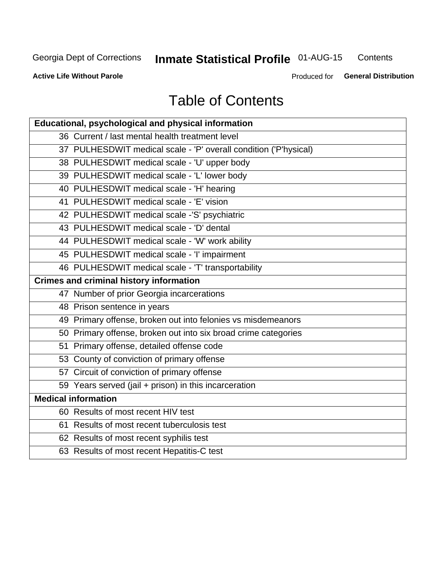#### **Inmate Statistical Profile 01-AUG-15** Contents

**Active Life Without Parole** 

Produced for General Distribution

## **Table of Contents**

| Educational, psychological and physical information              |
|------------------------------------------------------------------|
| 36 Current / last mental health treatment level                  |
| 37 PULHESDWIT medical scale - 'P' overall condition ('P'hysical) |
| 38 PULHESDWIT medical scale - 'U' upper body                     |
| 39 PULHESDWIT medical scale - 'L' lower body                     |
| 40 PULHESDWIT medical scale - 'H' hearing                        |
| 41 PULHESDWIT medical scale - 'E' vision                         |
| 42 PULHESDWIT medical scale -'S' psychiatric                     |
| 43 PULHESDWIT medical scale - 'D' dental                         |
| 44 PULHESDWIT medical scale - 'W' work ability                   |
| 45 PULHESDWIT medical scale - 'I' impairment                     |
| 46 PULHESDWIT medical scale - 'T' transportability               |
| <b>Crimes and criminal history information</b>                   |
| 47 Number of prior Georgia incarcerations                        |
| 48 Prison sentence in years                                      |
| 49 Primary offense, broken out into felonies vs misdemeanors     |
| 50 Primary offense, broken out into six broad crime categories   |
| 51 Primary offense, detailed offense code                        |
| 53 County of conviction of primary offense                       |
| 57 Circuit of conviction of primary offense                      |
| 59 Years served (jail + prison) in this incarceration            |
| <b>Medical information</b>                                       |
| 60 Results of most recent HIV test                               |
| 61 Results of most recent tuberculosis test                      |
| 62 Results of most recent syphilis test                          |
| 63 Results of most recent Hepatitis-C test                       |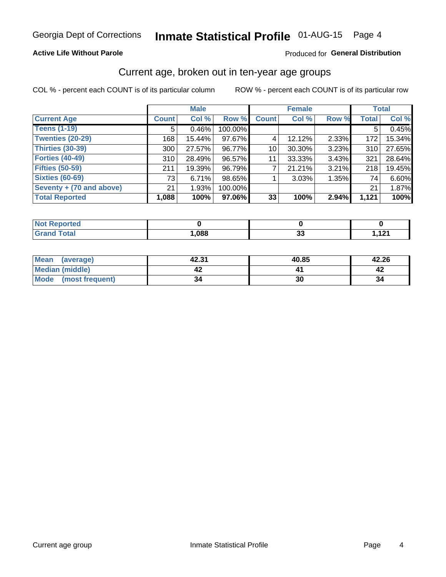### **Active Life Without Parole**

### Produced for General Distribution

## Current age, broken out in ten-year age groups

COL % - percent each COUNT is of its particular column

|                          | <b>Male</b>  |          |         | <b>Female</b>   |        |          | <b>Total</b> |        |
|--------------------------|--------------|----------|---------|-----------------|--------|----------|--------------|--------|
| <b>Current Age</b>       | <b>Count</b> | Col %    | Row %   | <b>Count</b>    | Col %  | Row %    | <b>Total</b> | Col %  |
| <b>Teens (1-19)</b>      | 5            | $0.46\%$ | 100.00% |                 |        |          | 5            | 0.45%  |
| <b>Twenties (20-29)</b>  | 168          | 15.44%   | 97.67%  | 4               | 12.12% | $2.33\%$ | 172          | 15.34% |
| Thirties (30-39)         | 300          | 27.57%   | 96.77%  | 10 <sup>1</sup> | 30.30% | 3.23%    | 310          | 27.65% |
| <b>Forties (40-49)</b>   | 310          | 28.49%   | 96.57%  | 11              | 33.33% | 3.43%    | 321          | 28.64% |
| <b>Fifties (50-59)</b>   | 211          | 19.39%   | 96.79%  |                 | 21.21% | 3.21%    | 218          | 19.45% |
| <b>Sixties (60-69)</b>   | 73           | 6.71%    | 98.65%  |                 | 3.03%  | 1.35%    | 74 l         | 6.60%  |
| Seventy + (70 and above) | 21           | 1.93%    | 100.00% |                 |        |          | 21           | 1.87%  |
| <b>Total Reported</b>    | 1,088        | 100%     | 97.06%  | 33              | 100%   | 2.94%    | 1,121        | 100%   |

| <b>information</b><br>N |      |              |          |
|-------------------------|------|--------------|----------|
| $T \cap \{n\}$          | ,088 | $\sim$<br>vu | 121<br>. |

| Mean<br>(average)       | 42.31 | 40.85 | 42.26 |
|-------------------------|-------|-------|-------|
| Median (middle)         |       |       |       |
| Mode<br>(most frequent) | 34    | 30    | 34    |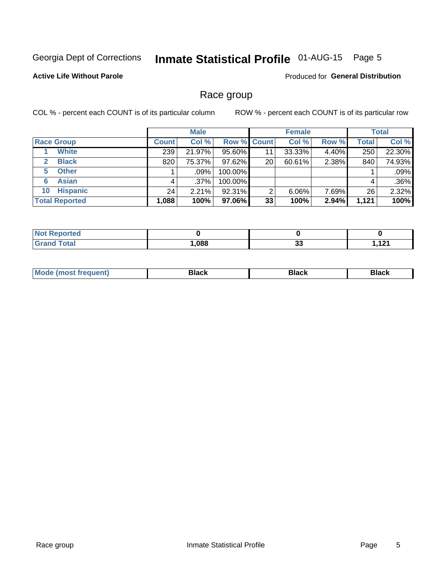#### **Inmate Statistical Profile 01-AUG-15** Page 5

### **Active Life Without Parole**

Produced for General Distribution

## Race group

COL % - percent each COUNT is of its particular column

|                              | <b>Male</b>  |         |         | <b>Female</b>      |          |       | <b>Total</b> |        |
|------------------------------|--------------|---------|---------|--------------------|----------|-------|--------------|--------|
| <b>Race Group</b>            | <b>Count</b> | Col %   |         | <b>Row % Count</b> | Col %    | Row % | Total        | Col %  |
| <b>White</b>                 | 239          | 21.97%  | 95.60%  | 11                 | 33.33%   | 4.40% | 250          | 22.30% |
| <b>Black</b><br>$\mathbf{2}$ | 820          | 75.37%  | 97.62%  | 20                 | 60.61%   | 2.38% | 840          | 74.93% |
| <b>Other</b><br>5.           |              | $.09\%$ | 100.00% |                    |          |       |              | .09%   |
| <b>Asian</b><br>6            | 4            | $.37\%$ | 100.00% |                    |          |       | 4            | .36%   |
| <b>Hispanic</b><br>10        | 24           | 2.21%   | 92.31%  | ⌒                  | $6.06\%$ | 7.69% | 26           | 2.32%  |
| <b>Total Reported</b>        | 1,088        | 100%    | 97.06%  | 33                 | 100%     | 2.94% | 1,121        | 100%   |

| .<br>rreo<br>w.   |      |           |                          |
|-------------------|------|-----------|--------------------------|
| $T \cap A \cap T$ | ,088 | ^'<br>ູບປ | $\overline{A}$<br>$\sim$ |

| –•••• |  | M |  |  |  |
|-------|--|---|--|--|--|
|-------|--|---|--|--|--|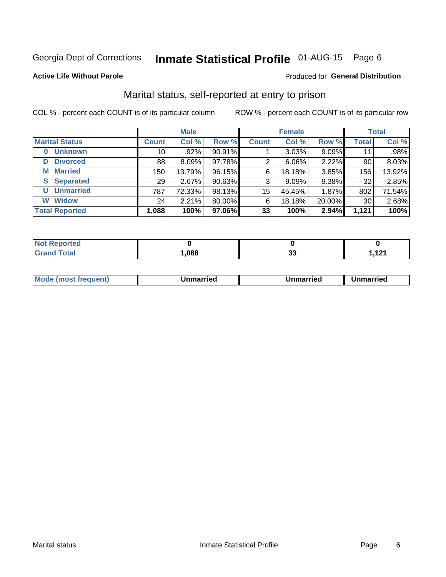## Inmate Statistical Profile 01-AUG-15 Page 6

#### **Active Life Without Parole**

### Produced for General Distribution

## Marital status, self-reported at entry to prison

COL % - percent each COUNT is of its particular column

|                        |                 | <b>Male</b> |        |              | <b>Female</b> |        |              | <b>Total</b> |
|------------------------|-----------------|-------------|--------|--------------|---------------|--------|--------------|--------------|
| <b>Marital Status</b>  | <b>Count</b>    | Col %       | Row %  | <b>Count</b> | Col %         | Row %  | <b>Total</b> | Col %        |
| <b>Unknown</b><br>0    | 10 <sub>1</sub> | $.92\%$     | 90.91% |              | 3.03%         | 9.09%  | 11           | .98%         |
| <b>Divorced</b><br>D   | 88              | $8.09\%$    | 97.78% | 2            | 6.06%         | 2.22%  | 90           | 8.03%        |
| <b>Married</b><br>М    | 150             | 13.79%      | 96.15% | 6            | 18.18%        | 3.85%  | 156          | 13.92%       |
| <b>Separated</b><br>S. | 29              | 2.67%       | 90.63% | 3            | 9.09%         | 9.38%  | 32           | 2.85%        |
| <b>Unmarried</b><br>U  | 787             | 72.33%      | 98.13% | 15           | 45.45%        | 1.87%  | 802          | 71.54%       |
| <b>Widow</b><br>W      | 24              | 2.21%       | 80.00% | 6            | 18.18%        | 20.00% | 30           | 2.68%        |
| <b>Total Reported</b>  | 1,088           | 100%        | 97.06% | 33           | 100%          | 2.94%  | 1,121        | 100%         |

| ™orted and<br>NOI<br>. <b>.</b> |      |         |                        |
|---------------------------------|------|---------|------------------------|
| <b>Total</b>                    | ,088 | ^^<br>w | . <i>.</i><br>.<br>--- |

| <b>Mode</b><br><b>nost frequent)</b><br>Unmarried<br>a most | Unmarried | Unmarried |
|-------------------------------------------------------------|-----------|-----------|
|-------------------------------------------------------------|-----------|-----------|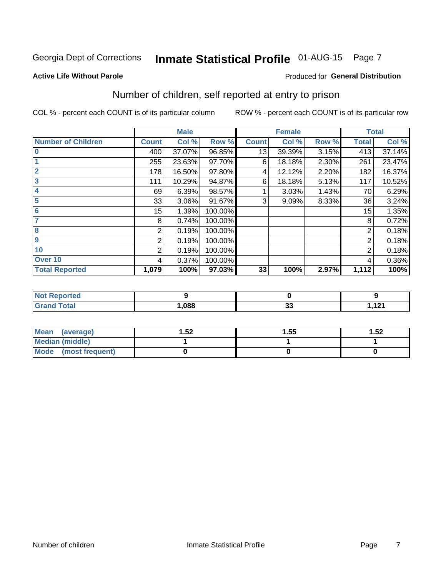## Inmate Statistical Profile 01-AUG-15 Page 7

#### **Active Life Without Parole**

### **Produced for General Distribution**

## Number of children, self reported at entry to prison

COL % - percent each COUNT is of its particular column

|                           |                | <b>Male</b> |         |              | <b>Female</b> |       |                | <b>Total</b> |
|---------------------------|----------------|-------------|---------|--------------|---------------|-------|----------------|--------------|
| <b>Number of Children</b> | <b>Count</b>   | Col %       | Row %   | <b>Count</b> | Col %         | Row % | <b>Total</b>   | Col %        |
| $\bf{0}$                  | 400            | 37.07%      | 96.85%  | 13           | 39.39%        | 3.15% | 413            | 37.14%       |
|                           | 255            | 23.63%      | 97.70%  | 6            | 18.18%        | 2.30% | 261            | 23.47%       |
| $\overline{2}$            | 178            | 16.50%      | 97.80%  | 4            | 12.12%        | 2.20% | 182            | 16.37%       |
| 3                         | 111            | 10.29%      | 94.87%  | 6            | 18.18%        | 5.13% | 117            | 10.52%       |
| 4                         | 69             | 6.39%       | 98.57%  |              | 3.03%         | 1.43% | 70             | 6.29%        |
| 5                         | 33             | 3.06%       | 91.67%  | 3            | 9.09%         | 8.33% | 36             | 3.24%        |
| $6\phantom{1}6$           | 15             | 1.39%       | 100.00% |              |               |       | 15             | 1.35%        |
| 7                         | 8              | 0.74%       | 100.00% |              |               |       | 8              | 0.72%        |
| $\overline{\mathbf{8}}$   | $\overline{2}$ | 0.19%       | 100.00% |              |               |       | 2              | 0.18%        |
| $\boldsymbol{9}$          | 2              | 0.19%       | 100.00% |              |               |       | 2              | 0.18%        |
| 10                        | 2              | 0.19%       | 100.00% |              |               |       | $\overline{2}$ | 0.18%        |
| Over 10                   | 4              | 0.37%       | 100.00% |              |               |       | 4              | 0.36%        |
| <b>Total Reported</b>     | 1,079          | 100%        | 97.03%  | 33           | 100%          | 2.97% | 1,112          | 100%         |

| د د ه<br>теа      |      |                |           |
|-------------------|------|----------------|-----------|
| $F \sim 4 \sim 7$ | ,088 | - -<br>~<br>ິ∿ | 4.04<br>. |

| Mean (average)         | ∣.52 | 1.55 | 1.52 |
|------------------------|------|------|------|
| <b>Median (middle)</b> |      |      |      |
| Mode (most frequent)   |      |      |      |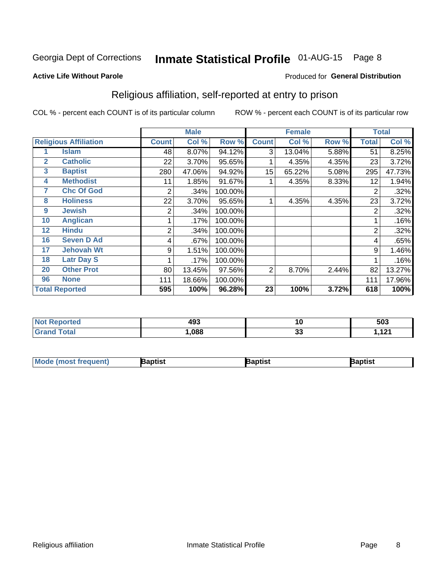## Inmate Statistical Profile 01-AUG-15 Page 8

#### **Active Life Without Parole**

#### Produced for General Distribution

## Religious affiliation, self-reported at entry to prison

COL % - percent each COUNT is of its particular column

|              |                              |              | <b>Male</b> |         |              | <b>Female</b> |       |       | <b>Total</b> |
|--------------|------------------------------|--------------|-------------|---------|--------------|---------------|-------|-------|--------------|
|              | <b>Religious Affiliation</b> | <b>Count</b> | Col %       | Row %   | <b>Count</b> | Col %         | Row % | Total | Col %        |
|              | <b>Islam</b>                 | 48           | 8.07%       | 94.12%  | 3            | 13.04%        | 5.88% | 51    | 8.25%        |
| $\mathbf{2}$ | <b>Catholic</b>              | 22           | 3.70%       | 95.65%  |              | 4.35%         | 4.35% | 23    | 3.72%        |
| 3            | <b>Baptist</b>               | 280          | 47.06%      | 94.92%  | 15           | 65.22%        | 5.08% | 295   | 47.73%       |
| 4            | <b>Methodist</b>             | 11           | 1.85%       | 91.67%  |              | 4.35%         | 8.33% | 12    | 1.94%        |
| 7            | <b>Chc Of God</b>            | 2            | .34%        | 100.00% |              |               |       | 2     | .32%         |
| 8            | <b>Holiness</b>              | 22           | 3.70%       | 95.65%  |              | 4.35%         | 4.35% | 23    | 3.72%        |
| 9            | <b>Jewish</b>                | 2            | .34%        | 100.00% |              |               |       | 2     | .32%         |
| 10           | <b>Anglican</b>              |              | .17%        | 100.00% |              |               |       |       | .16%         |
| 12           | <b>Hindu</b>                 | 2            | .34%        | 100.00% |              |               |       | 2     | .32%         |
| 16           | <b>Seven D Ad</b>            | 4            | .67%        | 100.00% |              |               |       | 4     | .65%         |
| 17           | <b>Jehovah Wt</b>            | 9            | 1.51%       | 100.00% |              |               |       | 9     | 1.46%        |
| 18           | <b>Latr Day S</b>            |              | .17%        | 100.00% |              |               |       |       | .16%         |
| 20           | <b>Other Prot</b>            | 80           | 13.45%      | 97.56%  | 2            | 8.70%         | 2.44% | 82    | 13.27%       |
| 96           | <b>None</b>                  | 111          | 18.66%      | 100.00% |              |               |       | 111   | 17.96%       |
|              | <b>Total Reported</b>        | 595          | 100%        | 96.28%  | 23           | 100%          | 3.72% | 618   | 100%         |

| <b>Not Reported</b> | 493  | 10                    | 503  |
|---------------------|------|-----------------------|------|
| <b>Total</b>        | ,088 | $\overline{ }$<br>ູບປ | 4.94 |

| <b>Mode</b><br>'most frequent) | aptist | 3aptist | 3aptist |
|--------------------------------|--------|---------|---------|
|                                |        |         |         |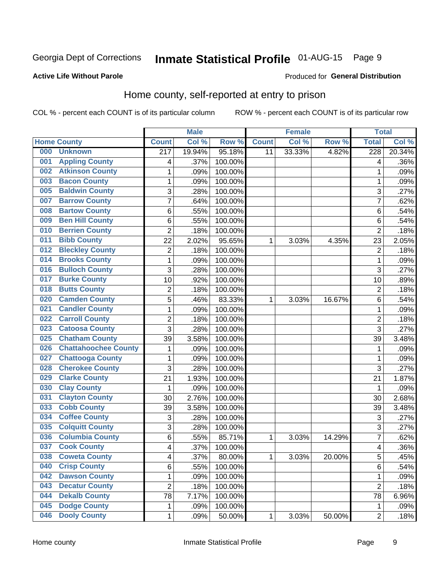## Inmate Statistical Profile 01-AUG-15 Page 9

### **Active Life Without Parole**

#### Produced for General Distribution

## Home county, self-reported at entry to prison

COL % - percent each COUNT is of its particular column

|     |                             |                  | <b>Male</b> |         |              | <b>Female</b> |        | <b>Total</b>            |        |
|-----|-----------------------------|------------------|-------------|---------|--------------|---------------|--------|-------------------------|--------|
|     | <b>Home County</b>          | <b>Count</b>     | Col %       | Row %   | <b>Count</b> | Col %         | Row %  | <b>Total</b>            | Col %  |
| 000 | <b>Unknown</b>              | $\overline{217}$ | 19.94%      | 95.18%  | 11           | 33.33%        | 4.82%  | $\overline{228}$        | 20.34% |
| 001 | <b>Appling County</b>       | 4                | .37%        | 100.00% |              |               |        | 4                       | .36%   |
| 002 | <b>Atkinson County</b>      | 1                | .09%        | 100.00% |              |               |        | 1                       | .09%   |
| 003 | <b>Bacon County</b>         | 1                | .09%        | 100.00% |              |               |        | 1                       | .09%   |
| 005 | <b>Baldwin County</b>       | 3                | .28%        | 100.00% |              |               |        | 3                       | .27%   |
| 007 | <b>Barrow County</b>        | 7                | .64%        | 100.00% |              |               |        | 7                       | .62%   |
| 008 | <b>Bartow County</b>        | 6                | .55%        | 100.00% |              |               |        | 6                       | .54%   |
| 009 | <b>Ben Hill County</b>      | 6                | .55%        | 100.00% |              |               |        | 6                       | .54%   |
| 010 | <b>Berrien County</b>       | $\overline{2}$   | .18%        | 100.00% |              |               |        | $\overline{2}$          | .18%   |
| 011 | <b>Bibb County</b>          | 22               | 2.02%       | 95.65%  | 1            | 3.03%         | 4.35%  | 23                      | 2.05%  |
| 012 | <b>Bleckley County</b>      | 2                | .18%        | 100.00% |              |               |        | $\overline{2}$          | .18%   |
| 014 | <b>Brooks County</b>        | 1                | .09%        | 100.00% |              |               |        | 1                       | .09%   |
| 016 | <b>Bulloch County</b>       | 3                | .28%        | 100.00% |              |               |        | 3                       | .27%   |
| 017 | <b>Burke County</b>         | 10               | .92%        | 100.00% |              |               |        | 10                      | .89%   |
| 018 | <b>Butts County</b>         | $\overline{2}$   | .18%        | 100.00% |              |               |        | $\overline{2}$          | .18%   |
| 020 | <b>Camden County</b>        | 5                | .46%        | 83.33%  | 1            | 3.03%         | 16.67% | 6                       | .54%   |
| 021 | <b>Candler County</b>       | 1                | .09%        | 100.00% |              |               |        | 1                       | .09%   |
| 022 | <b>Carroll County</b>       | 2                | .18%        | 100.00% |              |               |        | $\overline{2}$          | .18%   |
| 023 | <b>Catoosa County</b>       | $\overline{3}$   | .28%        | 100.00% |              |               |        | 3                       | .27%   |
| 025 | <b>Chatham County</b>       | 39               | 3.58%       | 100.00% |              |               |        | 39                      | 3.48%  |
| 026 | <b>Chattahoochee County</b> | 1                | .09%        | 100.00% |              |               |        | 1                       | .09%   |
| 027 | <b>Chattooga County</b>     | 1                | .09%        | 100.00% |              |               |        | 1                       | .09%   |
| 028 | <b>Cherokee County</b>      | 3                | .28%        | 100.00% |              |               |        | 3                       | .27%   |
| 029 | <b>Clarke County</b>        | 21               | 1.93%       | 100.00% |              |               |        | 21                      | 1.87%  |
| 030 | <b>Clay County</b>          | 1                | .09%        | 100.00% |              |               |        | 1                       | .09%   |
| 031 | <b>Clayton County</b>       | 30               | 2.76%       | 100.00% |              |               |        | 30                      | 2.68%  |
| 033 | <b>Cobb County</b>          | 39               | 3.58%       | 100.00% |              |               |        | 39                      | 3.48%  |
| 034 | <b>Coffee County</b>        | 3                | .28%        | 100.00% |              |               |        | 3                       | .27%   |
| 035 | <b>Colquitt County</b>      | 3                | .28%        | 100.00% |              |               |        | 3                       | .27%   |
| 036 | <b>Columbia County</b>      | 6                | .55%        | 85.71%  | 1            | 3.03%         | 14.29% | 7                       | .62%   |
| 037 | <b>Cook County</b>          | 4                | .37%        | 100.00% |              |               |        | $\overline{\mathbf{4}}$ | .36%   |
| 038 | <b>Coweta County</b>        | 4                | .37%        | 80.00%  | 1            | 3.03%         | 20.00% | 5                       | .45%   |
| 040 | <b>Crisp County</b>         | 6                | .55%        | 100.00% |              |               |        | 6                       | .54%   |
| 042 | <b>Dawson County</b>        | 1                | .09%        | 100.00% |              |               |        | 1                       | .09%   |
| 043 | <b>Decatur County</b>       | $\overline{2}$   | .18%        | 100.00% |              |               |        | $\overline{2}$          | .18%   |
| 044 | <b>Dekalb County</b>        | 78               | 7.17%       | 100.00% |              |               |        | 78                      | 6.96%  |
| 045 | <b>Dodge County</b>         | 1                | .09%        | 100.00% |              |               |        | 1                       | .09%   |
| 046 | <b>Dooly County</b>         | 1                | .09%        | 50.00%  | $\mathbf 1$  | 3.03%         | 50.00% | $\overline{2}$          | .18%   |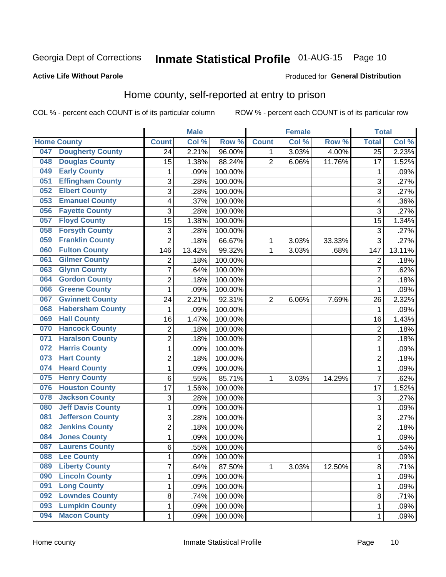## Inmate Statistical Profile 01-AUG-15 Page 10

### **Active Life Without Parole**

### Produced for General Distribution

## Home county, self-reported at entry to prison

COL % - percent each COUNT is of its particular column

|     |                          |                | <b>Male</b> |         |                | <b>Female</b> |        | <b>Total</b>    |        |
|-----|--------------------------|----------------|-------------|---------|----------------|---------------|--------|-----------------|--------|
|     | <b>Home County</b>       | <b>Count</b>   | Col %       | Row %   | <b>Count</b>   | Col %         | Row %  | <b>Total</b>    | Col %  |
| 047 | <b>Dougherty County</b>  | 24             | 2.21%       | 96.00%  | 1              | 3.03%         | 4.00%  | $\overline{25}$ | 2.23%  |
| 048 | <b>Douglas County</b>    | 15             | 1.38%       | 88.24%  | $\overline{2}$ | 6.06%         | 11.76% | 17              | 1.52%  |
| 049 | <b>Early County</b>      | $\mathbf 1$    | .09%        | 100.00% |                |               |        | 1               | .09%   |
| 051 | <b>Effingham County</b>  | 3              | .28%        | 100.00% |                |               |        | 3               | .27%   |
| 052 | <b>Elbert County</b>     | 3              | .28%        | 100.00% |                |               |        | 3               | .27%   |
| 053 | <b>Emanuel County</b>    | 4              | .37%        | 100.00% |                |               |        | 4               | .36%   |
| 056 | <b>Fayette County</b>    | 3              | .28%        | 100.00% |                |               |        | 3               | .27%   |
| 057 | <b>Floyd County</b>      | 15             | 1.38%       | 100.00% |                |               |        | 15              | 1.34%  |
| 058 | <b>Forsyth County</b>    | 3              | .28%        | 100.00% |                |               |        | 3               | .27%   |
| 059 | <b>Franklin County</b>   | $\overline{2}$ | .18%        | 66.67%  | 1              | 3.03%         | 33.33% | 3               | .27%   |
| 060 | <b>Fulton County</b>     | 146            | 13.42%      | 99.32%  | 1              | 3.03%         | .68%   | 147             | 13.11% |
| 061 | <b>Gilmer County</b>     | 2              | .18%        | 100.00% |                |               |        | $\overline{2}$  | .18%   |
| 063 | <b>Glynn County</b>      | $\overline{7}$ | .64%        | 100.00% |                |               |        | $\overline{7}$  | .62%   |
| 064 | <b>Gordon County</b>     | $\overline{c}$ | .18%        | 100.00% |                |               |        | $\overline{2}$  | .18%   |
| 066 | <b>Greene County</b>     | $\mathbf{1}$   | .09%        | 100.00% |                |               |        | 1               | .09%   |
| 067 | <b>Gwinnett County</b>   | 24             | 2.21%       | 92.31%  | $\overline{2}$ | 6.06%         | 7.69%  | 26              | 2.32%  |
| 068 | <b>Habersham County</b>  | 1              | .09%        | 100.00% |                |               |        | 1               | .09%   |
| 069 | <b>Hall County</b>       | 16             | 1.47%       | 100.00% |                |               |        | 16              | 1.43%  |
| 070 | <b>Hancock County</b>    | $\overline{2}$ | .18%        | 100.00% |                |               |        | $\overline{2}$  | .18%   |
| 071 | <b>Haralson County</b>   | $\overline{c}$ | .18%        | 100.00% |                |               |        | $\overline{2}$  | .18%   |
| 072 | <b>Harris County</b>     | $\mathbf 1$    | .09%        | 100.00% |                |               |        | 1               | .09%   |
| 073 | <b>Hart County</b>       | $\overline{c}$ | .18%        | 100.00% |                |               |        | $\overline{2}$  | .18%   |
| 074 | <b>Heard County</b>      | $\mathbf{1}$   | .09%        | 100.00% |                |               |        | 1               | .09%   |
| 075 | <b>Henry County</b>      | 6              | .55%        | 85.71%  | 1              | 3.03%         | 14.29% | $\overline{7}$  | .62%   |
| 076 | <b>Houston County</b>    | 17             | 1.56%       | 100.00% |                |               |        | 17              | 1.52%  |
| 078 | <b>Jackson County</b>    | 3              | .28%        | 100.00% |                |               |        | 3               | .27%   |
| 080 | <b>Jeff Davis County</b> | $\mathbf 1$    | .09%        | 100.00% |                |               |        | 1               | .09%   |
| 081 | <b>Jefferson County</b>  | 3              | .28%        | 100.00% |                |               |        | 3               | .27%   |
| 082 | <b>Jenkins County</b>    | $\overline{2}$ | .18%        | 100.00% |                |               |        | $\overline{2}$  | .18%   |
| 084 | <b>Jones County</b>      | $\mathbf 1$    | .09%        | 100.00% |                |               |        | 1               | .09%   |
| 087 | <b>Laurens County</b>    | 6              | .55%        | 100.00% |                |               |        | 6               | .54%   |
| 088 | <b>Lee County</b>        | 1              | .09%        | 100.00% |                |               |        | 1               | .09%   |
| 089 | <b>Liberty County</b>    | $\overline{7}$ | .64%        | 87.50%  | 1              | 3.03%         | 12.50% | 8               | .71%   |
| 090 | <b>Lincoln County</b>    | $\mathbf 1$    | .09%        | 100.00% |                |               |        | 1               | .09%   |
| 091 | <b>Long County</b>       | $\mathbf 1$    | .09%        | 100.00% |                |               |        | 1               | .09%   |
| 092 | <b>Lowndes County</b>    | 8              | .74%        | 100.00% |                |               |        | 8               | .71%   |
| 093 | <b>Lumpkin County</b>    | $\mathbf{1}$   | .09%        | 100.00% |                |               |        | 1               | .09%   |
| 094 | <b>Macon County</b>      | $\mathbf{1}$   | .09%        | 100.00% |                |               |        | 1               | .09%   |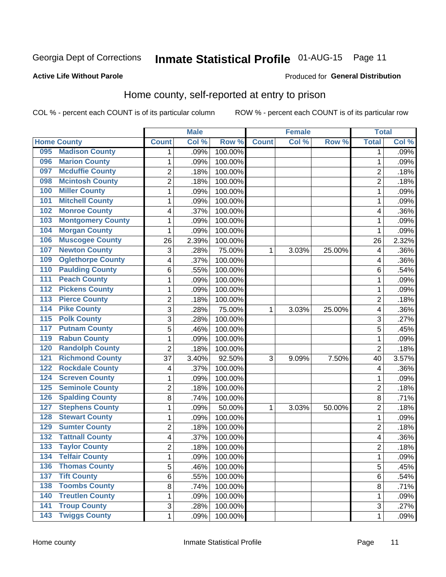## Inmate Statistical Profile 01-AUG-15 Page 11

### **Active Life Without Parole**

#### Produced for General Distribution

## Home county, self-reported at entry to prison

COL % - percent each COUNT is of its particular column

|                  |                          |                          | <b>Male</b> |                  |              | <b>Female</b> |        | <b>Total</b>   |       |
|------------------|--------------------------|--------------------------|-------------|------------------|--------------|---------------|--------|----------------|-------|
|                  | <b>Home County</b>       | <b>Count</b>             | Col %       | Row <sup>%</sup> | <b>Count</b> | Col %         | Row %  | <b>Total</b>   | Col % |
| 095              | <b>Madison County</b>    | 1                        | .09%        | 100.00%          |              |               |        | 1              | .09%  |
| 096              | <b>Marion County</b>     | 1                        | .09%        | 100.00%          |              |               |        | 1              | .09%  |
| 097              | <b>Mcduffie County</b>   | 2                        | .18%        | 100.00%          |              |               |        | $\overline{c}$ | .18%  |
| 098              | <b>Mcintosh County</b>   | $\overline{2}$           | .18%        | 100.00%          |              |               |        | $\overline{2}$ | .18%  |
| 100              | <b>Miller County</b>     | $\mathbf{1}$             | .09%        | 100.00%          |              |               |        | 1              | .09%  |
| 101              | <b>Mitchell County</b>   | 1                        | .09%        | 100.00%          |              |               |        | 1              | .09%  |
| 102              | <b>Monroe County</b>     | 4                        | .37%        | 100.00%          |              |               |        | 4              | .36%  |
| 103              | <b>Montgomery County</b> | 1                        | .09%        | 100.00%          |              |               |        | 1              | .09%  |
| 104              | <b>Morgan County</b>     | 1                        | .09%        | 100.00%          |              |               |        | 1              | .09%  |
| 106              | <b>Muscogee County</b>   | 26                       | 2.39%       | 100.00%          |              |               |        | 26             | 2.32% |
| 107              | <b>Newton County</b>     | 3                        | .28%        | 75.00%           | 1            | 3.03%         | 25.00% | 4              | .36%  |
| 109              | <b>Oglethorpe County</b> | 4                        | .37%        | 100.00%          |              |               |        | 4              | .36%  |
| 110              | <b>Paulding County</b>   | 6                        | .55%        | 100.00%          |              |               |        | 6              | .54%  |
| 111              | <b>Peach County</b>      | 1                        | .09%        | 100.00%          |              |               |        | 1              | .09%  |
| 112              | <b>Pickens County</b>    | $\mathbf{1}$             | .09%        | 100.00%          |              |               |        | 1              | .09%  |
| 113              | <b>Pierce County</b>     | $\overline{2}$           | .18%        | 100.00%          |              |               |        | $\overline{2}$ | .18%  |
| 114              | <b>Pike County</b>       | 3                        | .28%        | 75.00%           | 1            | 3.03%         | 25.00% | 4              | .36%  |
| $\overline{115}$ | <b>Polk County</b>       | 3                        | .28%        | 100.00%          |              |               |        | 3              | .27%  |
| 117              | <b>Putnam County</b>     | 5                        | .46%        | 100.00%          |              |               |        | 5              | .45%  |
| 119              | <b>Rabun County</b>      | 1                        | .09%        | 100.00%          |              |               |        | 1              | .09%  |
| 120              | <b>Randolph County</b>   | $\overline{2}$           | .18%        | 100.00%          |              |               |        | $\overline{2}$ | .18%  |
| 121              | <b>Richmond County</b>   | 37                       | 3.40%       | 92.50%           | 3            | 9.09%         | 7.50%  | 40             | 3.57% |
| 122              | <b>Rockdale County</b>   | 4                        | .37%        | 100.00%          |              |               |        | 4              | .36%  |
| 124              | <b>Screven County</b>    | 1                        | .09%        | 100.00%          |              |               |        | 1              | .09%  |
| 125              | <b>Seminole County</b>   | 2                        | .18%        | 100.00%          |              |               |        | 2              | .18%  |
| 126              | <b>Spalding County</b>   | 8                        | .74%        | 100.00%          |              |               |        | 8              | .71%  |
| 127              | <b>Stephens County</b>   | $\mathbf{1}$             | .09%        | 50.00%           | 1            | 3.03%         | 50.00% | $\overline{c}$ | .18%  |
| 128              | <b>Stewart County</b>    | $\mathbf{1}$             | .09%        | 100.00%          |              |               |        | 1              | .09%  |
| 129              | <b>Sumter County</b>     | 2                        | .18%        | 100.00%          |              |               |        | 2              | .18%  |
| 132              | <b>Tattnall County</b>   | $\overline{\mathcal{A}}$ | .37%        | 100.00%          |              |               |        | 4              | .36%  |
| 133              | <b>Taylor County</b>     | $\overline{2}$           | .18%        | 100.00%          |              |               |        | 2              | .18%  |
| 134              | <b>Telfair County</b>    | 1                        | .09%        | 100.00%          |              |               |        | 1              | .09%  |
| 136              | <b>Thomas County</b>     | $\overline{5}$           | .46%        | 100.00%          |              |               |        | 5              | .45%  |
| 137              | <b>Tift County</b>       | 6                        | .55%        | 100.00%          |              |               |        | 6              | .54%  |
| 138              | <b>Toombs County</b>     | 8                        | .74%        | 100.00%          |              |               |        | 8              | .71%  |
| 140              | <b>Treutlen County</b>   | 1                        | .09%        | 100.00%          |              |               |        | 1              | .09%  |
| $\overline{141}$ | <b>Troup County</b>      | 3                        | .28%        | 100.00%          |              |               |        | 3              | .27%  |
| $\overline{143}$ | <b>Twiggs County</b>     | 1                        | .09%        | 100.00%          |              |               |        | 1              | .09%  |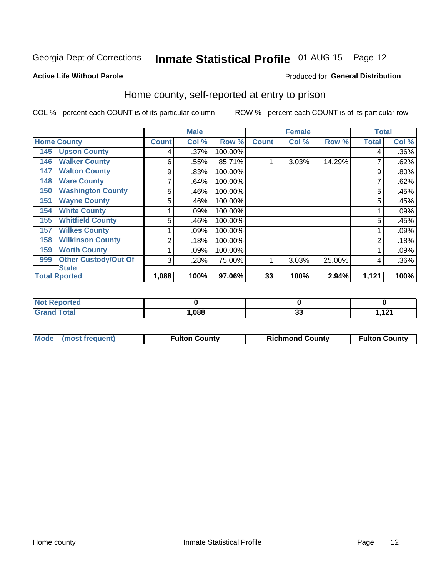## Inmate Statistical Profile 01-AUG-15 Page 12

#### **Active Life Without Parole**

#### Produced for General Distribution

## Home county, self-reported at entry to prison

COL % - percent each COUNT is of its particular column

|                                    |              | <b>Male</b> |         |              | <b>Female</b> |        | <b>Total</b>   |       |
|------------------------------------|--------------|-------------|---------|--------------|---------------|--------|----------------|-------|
| <b>Home County</b>                 | <b>Count</b> | Col %       | Row %   | <b>Count</b> | Col %         | Row %  | <b>Total</b>   | Col % |
| <b>Upson County</b><br>145         | 4            | .37%        | 100.00% |              |               |        | 4              | .36%  |
| <b>Walker County</b><br>146        | 6            | .55%        | 85.71%  | 4            | 3.03%         | 14.29% |                | .62%  |
| <b>Walton County</b><br>147        | 9            | .83%        | 100.00% |              |               |        | 9              | .80%  |
| <b>Ware County</b><br>148          | 7            | .64%        | 100.00% |              |               |        |                | .62%  |
| <b>Washington County</b><br>150    | 5            | .46%        | 100.00% |              |               |        | 5              | .45%  |
| <b>Wayne County</b><br>151         | 5            | .46%        | 100.00% |              |               |        | 5              | .45%  |
| <b>White County</b><br>154         |              | .09%        | 100.00% |              |               |        |                | .09%  |
| <b>Whitfield County</b><br>155     | 5            | .46%        | 100.00% |              |               |        | 5              | .45%  |
| <b>Wilkes County</b><br>157        |              | .09%        | 100.00% |              |               |        |                | .09%  |
| <b>Wilkinson County</b><br>158     | 2            | .18%        | 100.00% |              |               |        | $\overline{2}$ | .18%  |
| <b>Worth County</b><br>159         |              | .09%        | 100.00% |              |               |        |                | .09%  |
| <b>Other Custody/Out Of</b><br>999 | 3            | .28%        | 75.00%  | 1            | 3.03%         | 25.00% | 4              | .36%  |
| <b>State</b>                       |              |             |         |              |               |        |                |       |
| <b>Total Rported</b>               | 1,088        | 100%        | 97.06%  | 33           | 100%          | 2.94%  | 1,121          | 100%  |

| ported<br><b>NOT</b> |      |              |          |
|----------------------|------|--------------|----------|
| $\sim$ to $\sim$     | ,088 | $\sim$<br>vu | 101<br>. |

| Mode (most frequent) | <b>Fulton County</b> | <b>Richmond County</b> | <b>Fulton County</b> |
|----------------------|----------------------|------------------------|----------------------|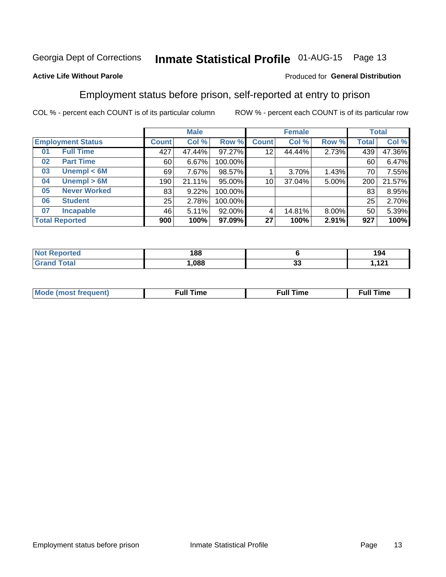## Inmate Statistical Profile 01-AUG-15 Page 13

### **Active Life Without Parole**

#### Produced for General Distribution

## Employment status before prison, self-reported at entry to prison

COL % - percent each COUNT is of its particular column

|                           |                 | <b>Male</b> |         |              | <b>Female</b> |          |       | <b>Total</b> |
|---------------------------|-----------------|-------------|---------|--------------|---------------|----------|-------|--------------|
| <b>Employment Status</b>  | <b>Count</b>    | Col %       | Row %   | <b>Count</b> | Col %         | Row %    | Total | Col %        |
| <b>Full Time</b><br>01    | 427             | 47.44%      | 97.27%  | 12           | 44.44%        | 2.73%    | 439   | 47.36%       |
| <b>Part Time</b><br>02    | 60              | 6.67%       | 100.00% |              |               |          | 60    | 6.47%        |
| Unempl $<$ 6M<br>03       | 69 <sup>1</sup> | 7.67%       | 98.57%  |              | 3.70%         | 1.43%    | 70    | 7.55%        |
| Unempl > 6M<br>04         | 190             | 21.11%      | 95.00%  | 10           | 37.04%        | 5.00%    | 200   | 21.57%       |
| <b>Never Worked</b><br>05 | 83              | 9.22%       | 100.00% |              |               |          | 83    | 8.95%        |
| <b>Student</b><br>06      | 25              | 2.78%       | 100.00% |              |               |          | 25    | 2.70%        |
| <b>Incapable</b><br>07    | 46              | 5.11%       | 92.00%  |              | 14.81%        | $8.00\%$ | 50    | 5.39%        |
| <b>Total Reported</b>     | 900             | 100%        | 97.09%  | 27           | 100%          | 2.91%    | 927   | 100%         |

| тес | 188  |          | 194             |
|-----|------|----------|-----------------|
|     | .088 | n.<br>J. | 121<br>.<br>___ |

| Mc | ∙u∥<br>----<br>ıme | ίuΙ<br>Πmε |
|----|--------------------|------------|
|    |                    |            |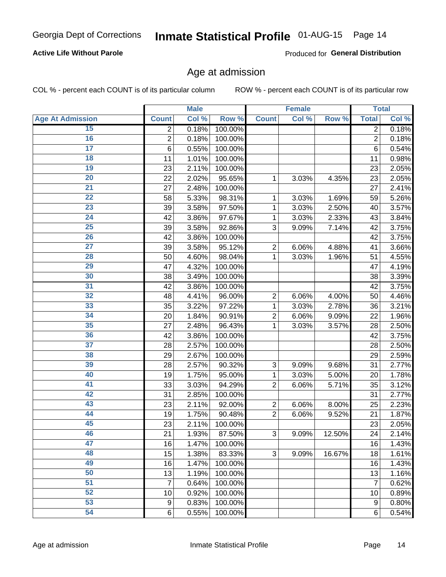### **Active Life Without Parole**

Produced for General Distribution

## Age at admission

COL % - percent each COUNT is of its particular column

|                         | <b>Male</b>             |       | <b>Female</b> |                |       | <b>Total</b> |                  |       |
|-------------------------|-------------------------|-------|---------------|----------------|-------|--------------|------------------|-------|
| <b>Age At Admission</b> | <b>Count</b>            | Col % | Row %         | <b>Count</b>   | Col % | Row %        | <b>Total</b>     | Col % |
| 15                      | $\overline{2}$          | 0.18% | 100.00%       |                |       |              | $\overline{2}$   | 0.18% |
| 16                      | $\overline{\mathbf{c}}$ | 0.18% | 100.00%       |                |       |              | $\overline{2}$   | 0.18% |
| $\overline{17}$         | $6\phantom{1}6$         | 0.55% | 100.00%       |                |       |              | 6                | 0.54% |
| 18                      | 11                      | 1.01% | 100.00%       |                |       |              | 11               | 0.98% |
| 19                      | 23                      | 2.11% | 100.00%       |                |       |              | 23               | 2.05% |
| $\overline{20}$         | 22                      | 2.02% | 95.65%        | 1              | 3.03% | 4.35%        | 23               | 2.05% |
| 21                      | 27                      | 2.48% | 100.00%       |                |       |              | 27               | 2.41% |
| 22                      | 58                      | 5.33% | 98.31%        | 1              | 3.03% | 1.69%        | 59               | 5.26% |
| 23                      | 39                      | 3.58% | 97.50%        | 1              | 3.03% | 2.50%        | 40               | 3.57% |
| 24                      | 42                      | 3.86% | 97.67%        | 1              | 3.03% | 2.33%        | 43               | 3.84% |
| $\overline{25}$         | 39                      | 3.58% | 92.86%        | 3              | 9.09% | 7.14%        | 42               | 3.75% |
| 26                      | 42                      | 3.86% | 100.00%       |                |       |              | 42               | 3.75% |
| $\overline{27}$         | 39                      | 3.58% | 95.12%        | $\overline{2}$ | 6.06% | 4.88%        | 41               | 3.66% |
| 28                      | 50                      | 4.60% | 98.04%        | 1              | 3.03% | 1.96%        | 51               | 4.55% |
| 29                      | 47                      | 4.32% | 100.00%       |                |       |              | 47               | 4.19% |
| 30                      | 38                      | 3.49% | 100.00%       |                |       |              | 38               | 3.39% |
| 31                      | 42                      | 3.86% | 100.00%       |                |       |              | 42               | 3.75% |
| 32                      | 48                      | 4.41% | 96.00%        | $\overline{2}$ | 6.06% | 4.00%        | 50               | 4.46% |
| 33                      | 35                      | 3.22% | 97.22%        | 1              | 3.03% | 2.78%        | 36               | 3.21% |
| 34                      | 20                      | 1.84% | 90.91%        | $\overline{2}$ | 6.06% | 9.09%        | 22               | 1.96% |
| 35                      | 27                      | 2.48% | 96.43%        | 1              | 3.03% | 3.57%        | 28               | 2.50% |
| 36                      | 42                      | 3.86% | 100.00%       |                |       |              | 42               | 3.75% |
| $\overline{37}$         | 28                      | 2.57% | 100.00%       |                |       |              | 28               | 2.50% |
| 38                      | 29                      | 2.67% | 100.00%       |                |       |              | 29               | 2.59% |
| 39                      | 28                      | 2.57% | 90.32%        | 3              | 9.09% | 9.68%        | 31               | 2.77% |
| 40                      | 19                      | 1.75% | 95.00%        | 1              | 3.03% | 5.00%        | 20               | 1.78% |
| 41                      | 33                      | 3.03% | 94.29%        | $\overline{2}$ | 6.06% | 5.71%        | 35               | 3.12% |
| 42                      | 31                      | 2.85% | 100.00%       |                |       |              | 31               | 2.77% |
| 43                      | 23                      | 2.11% | 92.00%        | $\overline{c}$ | 6.06% | 8.00%        | 25               | 2.23% |
| 44                      | 19                      | 1.75% | 90.48%        | $\overline{2}$ | 6.06% | 9.52%        | 21               | 1.87% |
| 45                      | 23                      | 2.11% | 100.00%       |                |       |              | 23               | 2.05% |
| 46                      | 21                      | 1.93% | 87.50%        | 3              | 9.09% | 12.50%       | 24               | 2.14% |
| 47                      | 16                      | 1.47% | 100.00%       |                |       |              | 16               | 1.43% |
| 48                      | 15                      | 1.38% | 83.33%        | 3              | 9.09% | 16.67%       | 18               | 1.61% |
| 49                      | 16                      | 1.47% | 100.00%       |                |       |              | 16               | 1.43% |
| 50                      | 13                      | 1.19% | 100.00%       |                |       |              | 13               | 1.16% |
| $\overline{51}$         | 7                       | 0.64% | 100.00%       |                |       |              | $\overline{7}$   | 0.62% |
| 52                      | 10                      | 0.92% | 100.00%       |                |       |              | 10               | 0.89% |
| 53                      | 9                       | 0.83% | 100.00%       |                |       |              | $\boldsymbol{9}$ | 0.80% |
| 54                      | 6                       | 0.55% | 100.00%       |                |       |              | 6                | 0.54% |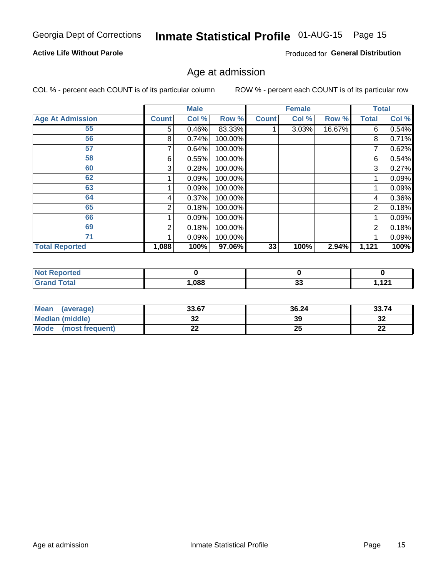## Inmate Statistical Profile 01-AUG-15 Page 15

### **Active Life Without Parole**

Produced for General Distribution

## Age at admission

COL % - percent each COUNT is of its particular column

|                         |              | <b>Male</b> |         |              | <b>Female</b> |        |                | <b>Total</b> |
|-------------------------|--------------|-------------|---------|--------------|---------------|--------|----------------|--------------|
| <b>Age At Admission</b> | <b>Count</b> | Col %       | Row %   | <b>Count</b> | Col %         | Row %  | <b>Total</b>   | Col %        |
| 55                      | 5            | 0.46%       | 83.33%  |              | 3.03%         | 16.67% | 6              | 0.54%        |
| 56                      | 8            | 0.74%       | 100.00% |              |               |        | 8              | 0.71%        |
| 57                      |              | 0.64%       | 100.00% |              |               |        |                | 0.62%        |
| 58                      | 6            | 0.55%       | 100.00% |              |               |        | 6              | 0.54%        |
| 60                      | 3            | 0.28%       | 100.00% |              |               |        | 3              | 0.27%        |
| 62                      |              | 0.09%       | 100.00% |              |               |        |                | 0.09%        |
| 63                      |              | 0.09%       | 100.00% |              |               |        |                | 0.09%        |
| 64                      | 4            | 0.37%       | 100.00% |              |               |        | 4              | 0.36%        |
| 65                      | 2            | 0.18%       | 100.00% |              |               |        | $\overline{2}$ | 0.18%        |
| 66                      |              | 0.09%       | 100.00% |              |               |        |                | 0.09%        |
| 69                      | 2            | 0.18%       | 100.00% |              |               |        | $\overline{2}$ | 0.18%        |
| 71                      |              | 0.09%       | 100.00% |              |               |        |                | 0.09%        |
| <b>Total Reported</b>   | 1,088        | 100%        | 97.06%  | 33           | 100%          | 2.94%  | 1,121          | 100%         |

| rteo<br>w   |      |         |     |
|-------------|------|---------|-----|
| <b>otal</b> | ,088 | ~~<br>u | 121 |

| <b>Mean</b><br>(average) | 33.67   | 36.24 | 33.74      |
|--------------------------|---------|-------|------------|
| <b>Median (middle)</b>   | ົ<br>JŁ | 39    | - 20<br>⊾د |
| Mode<br>(most frequent)  | ົ<br>LL | 25    | ne.<br>LL  |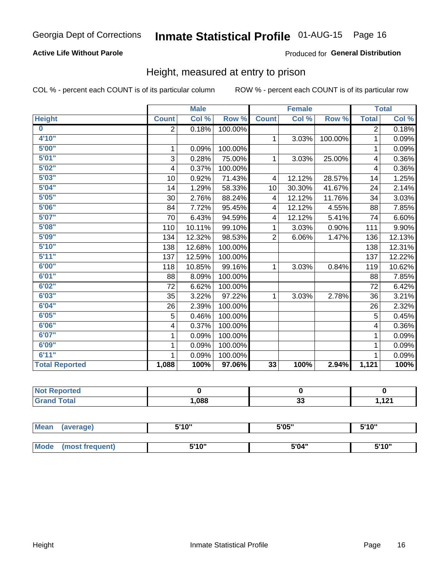### **Active Life Without Parole**

### Produced for General Distribution

## Height, measured at entry to prison

COL % - percent each COUNT is of its particular column

|                         |              | <b>Male</b> |         |                | <b>Female</b> |         |                | <b>Total</b> |
|-------------------------|--------------|-------------|---------|----------------|---------------|---------|----------------|--------------|
| <b>Height</b>           | <b>Count</b> | Col %       | Row %   | <b>Count</b>   | Col %         | Row %   | <b>Total</b>   | Col %        |
| $\overline{\mathbf{0}}$ | 2            | 0.18%       | 100.00% |                |               |         | $\overline{2}$ | 0.18%        |
| 4'10"                   |              |             |         | $\mathbf{1}$   | 3.03%         | 100.00% | 1              | 0.09%        |
| 5'00''                  | 1            | 0.09%       | 100.00% |                |               |         | 1              | 0.09%        |
| 5'01"                   | 3            | 0.28%       | 75.00%  | 1              | 3.03%         | 25.00%  | 4              | 0.36%        |
| 5'02"                   | 4            | 0.37%       | 100.00% |                |               |         | 4              | 0.36%        |
| 5'03''                  | 10           | 0.92%       | 71.43%  | 4              | 12.12%        | 28.57%  | 14             | 1.25%        |
| 5'04"                   | 14           | 1.29%       | 58.33%  | 10             | 30.30%        | 41.67%  | 24             | 2.14%        |
| 5'05"                   | 30           | 2.76%       | 88.24%  | 4              | 12.12%        | 11.76%  | 34             | 3.03%        |
| 5'06''                  | 84           | 7.72%       | 95.45%  | 4              | 12.12%        | 4.55%   | 88             | 7.85%        |
| 5'07''                  | 70           | 6.43%       | 94.59%  | 4              | 12.12%        | 5.41%   | 74             | 6.60%        |
| 5'08''                  | 110          | 10.11%      | 99.10%  | 1              | 3.03%         | 0.90%   | 111            | 9.90%        |
| 5'09''                  | 134          | 12.32%      | 98.53%  | $\overline{2}$ | 6.06%         | 1.47%   | 136            | 12.13%       |
| 5'10''                  | 138          | 12.68%      | 100.00% |                |               |         | 138            | 12.31%       |
| 5'11''                  | 137          | 12.59%      | 100.00% |                |               |         | 137            | 12.22%       |
| 6'00''                  | 118          | 10.85%      | 99.16%  | $\mathbf{1}$   | 3.03%         | 0.84%   | 119            | 10.62%       |
| 6'01''                  | 88           | 8.09%       | 100.00% |                |               |         | 88             | 7.85%        |
| 6'02"                   | 72           | 6.62%       | 100.00% |                |               |         | 72             | 6.42%        |
| 6'03''                  | 35           | 3.22%       | 97.22%  | $\mathbf{1}$   | 3.03%         | 2.78%   | 36             | 3.21%        |
| 6'04"                   | 26           | 2.39%       | 100.00% |                |               |         | 26             | 2.32%        |
| 6'05"                   | 5            | 0.46%       | 100.00% |                |               |         | 5              | 0.45%        |
| 6'06''                  | 4            | 0.37%       | 100.00% |                |               |         | 4              | 0.36%        |
| 6'07''                  | 1            | 0.09%       | 100.00% |                |               |         | 1              | 0.09%        |
| 6'09''                  | 1            | 0.09%       | 100.00% |                |               |         | 1              | 0.09%        |
| 6'11''                  |              | 0.09%       | 100.00% |                |               |         | 1              | 0.09%        |
| <b>Total Reported</b>   | 1,088        | 100%        | 97.06%  | 33             | 100%          | 2.94%   | 1,121          | 100%         |

| <b>NOT</b><br>rted<br>менон<br>$\sim$ |      |        |              |
|---------------------------------------|------|--------|--------------|
| $f$ oto $f$                           | ,088 | <br>აა | 121<br>,,,,, |

| <b>Mean</b> | (average)       | 5'10" | 5'05" | 5'10"<br>ັ |
|-------------|-----------------|-------|-------|------------|
|             |                 |       |       |            |
| Mode        | (most frequent) | 5'10" | 5'04" | 5'10"      |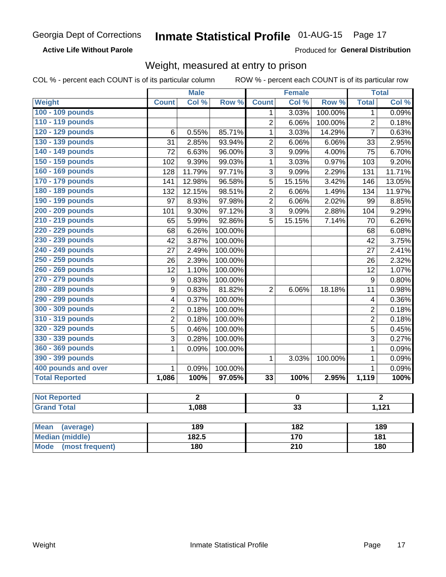**Active Life Without Parole** 

Produced for General Distribution

## Weight, measured at entry to prison

COL % - percent each COUNT is of its particular column

|                       |                  | <b>Male</b>  |         | <b>Female</b>   |                 |         | <b>Total</b>            |        |
|-----------------------|------------------|--------------|---------|-----------------|-----------------|---------|-------------------------|--------|
| <b>Weight</b>         | <b>Count</b>     | Col %        | Row %   | <b>Count</b>    | Col %           | Row %   | <b>Total</b>            | Col %  |
| 100 - 109 pounds      |                  |              |         | 1               | 3.03%           | 100.00% | 1                       | 0.09%  |
| 110 - 119 pounds      |                  |              |         | $\overline{2}$  | 6.06%           | 100.00% | $\overline{2}$          | 0.18%  |
| 120 - 129 pounds      | 6                | 0.55%        | 85.71%  | 1               | 3.03%           | 14.29%  | $\overline{7}$          | 0.63%  |
| 130 - 139 pounds      | 31               | 2.85%        | 93.94%  | $\overline{2}$  | 6.06%           | 6.06%   | 33                      | 2.95%  |
| 140 - 149 pounds      | 72               | 6.63%        | 96.00%  | 3               | 9.09%           | 4.00%   | 75                      | 6.70%  |
| 150 - 159 pounds      | 102              | 9.39%        | 99.03%  | $\mathbf{1}$    | 3.03%           | 0.97%   | 103                     | 9.20%  |
| 160 - 169 pounds      | 128              | 11.79%       | 97.71%  | 3               | 9.09%           | 2.29%   | 131                     | 11.71% |
| 170 - 179 pounds      | 141              | 12.98%       | 96.58%  | 5               | 15.15%          | 3.42%   | 146                     | 13.05% |
| 180 - 189 pounds      | 132              | 12.15%       | 98.51%  | $\overline{2}$  | 6.06%           | 1.49%   | 134                     | 11.97% |
| 190 - 199 pounds      | 97               | 8.93%        | 97.98%  | $\overline{2}$  | 6.06%           | 2.02%   | 99                      | 8.85%  |
| 200 - 209 pounds      | 101              | 9.30%        | 97.12%  | $\overline{3}$  | 9.09%           | 2.88%   | 104                     | 9.29%  |
| 210 - 219 pounds      | 65               | 5.99%        | 92.86%  | 5               | 15.15%          | 7.14%   | 70                      | 6.26%  |
| 220 - 229 pounds      | 68               | 6.26%        | 100.00% |                 |                 |         | 68                      | 6.08%  |
| 230 - 239 pounds      | 42               | 3.87%        | 100.00% |                 |                 |         | 42                      | 3.75%  |
| 240 - 249 pounds      | 27               | 2.49%        | 100.00% |                 |                 |         | 27                      | 2.41%  |
| 250 - 259 pounds      | 26               | 2.39%        | 100.00% |                 |                 |         | 26                      | 2.32%  |
| 260 - 269 pounds      | 12               | 1.10%        | 100.00% |                 |                 |         | 12                      | 1.07%  |
| 270 - 279 pounds      | $\boldsymbol{9}$ | 0.83%        | 100.00% |                 |                 |         | 9                       | 0.80%  |
| 280 - 289 pounds      | $\overline{9}$   | 0.83%        | 81.82%  | $\overline{2}$  | 6.06%           | 18.18%  | 11                      | 0.98%  |
| 290 - 299 pounds      | 4                | 0.37%        | 100.00% |                 |                 |         | 4                       | 0.36%  |
| 300 - 309 pounds      | $\overline{2}$   | 0.18%        | 100.00% |                 |                 |         | $\overline{2}$          | 0.18%  |
| 310 - 319 pounds      | $\overline{2}$   | 0.18%        | 100.00% |                 |                 |         | $\overline{2}$          | 0.18%  |
| 320 - 329 pounds      | $\overline{5}$   | 0.46%        | 100.00% |                 |                 |         | 5                       | 0.45%  |
| 330 - 339 pounds      | $\overline{3}$   | 0.28%        | 100.00% |                 |                 |         | 3                       | 0.27%  |
| 360 - 369 pounds      | 1                | 0.09%        | 100.00% |                 |                 |         | 1                       | 0.09%  |
| 390 - 399 pounds      |                  |              |         | 1               | 3.03%           | 100.00% | 1                       | 0.09%  |
| 400 pounds and over   | $\mathbf{1}$     | 0.09%        | 100.00% |                 |                 |         | $\mathbf{1}$            | 0.09%  |
| <b>Total Reported</b> | 1,086            | 100%         | 97.05%  | $\overline{33}$ | 100%            | 2.95%   | 1,119                   | 100%   |
| <b>Not Reported</b>   |                  | $\mathbf{2}$ |         |                 | $\mathbf 0$     |         |                         |        |
| <b>Grand Total</b>    |                  | 1,088        |         |                 | $\overline{33}$ |         | $\overline{2}$<br>1,121 |        |
|                       |                  |              |         |                 |                 |         |                         |        |

| Mean<br>(average)              | 189   | 182 | 189 |
|--------------------------------|-------|-----|-----|
| <b>Median (middle)</b>         | 182.5 | 170 | 181 |
| <b>Mode</b><br>(most frequent) | 180   | 210 | 180 |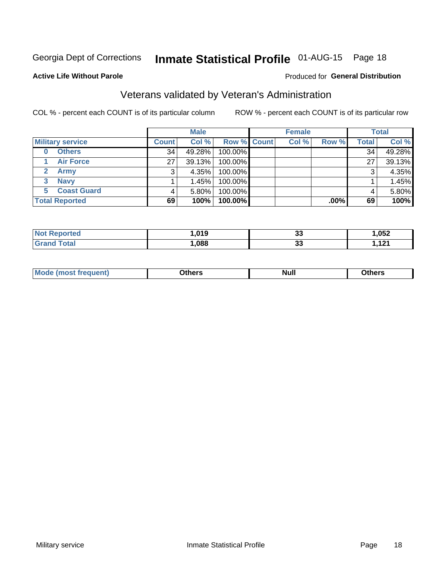## Inmate Statistical Profile 01-AUG-15 Page 18

#### **Active Life Without Parole**

#### Produced for General Distribution

## Veterans validated by Veteran's Administration

COL % - percent each COUNT is of its particular column

|                         |                             |              | <b>Male</b> |             |  | <b>Female</b> |         |              | <b>Total</b> |  |
|-------------------------|-----------------------------|--------------|-------------|-------------|--|---------------|---------|--------------|--------------|--|
| <b>Military service</b> |                             | <b>Count</b> | Col %       | Row % Count |  | Col %         | Row %   | <b>Total</b> | Col %        |  |
| 0                       | <b>Others</b>               | 34           | 49.28%      | 100.00%     |  |               |         | 34           | 49.28%       |  |
|                         | <b>Air Force</b>            | 27           | 39.13%      | 100.00%     |  |               |         | 27           | 39.13%       |  |
| $\mathbf{2}$            | <b>Army</b>                 |              | 4.35%       | 100.00%     |  |               |         | 3            | 4.35%        |  |
| 3                       | <b>Navy</b>                 |              | 1.45%       | 100.00%     |  |               |         |              | 1.45%        |  |
| 5.                      | <b>Coast Guard</b>          |              | $5.80\%$    | 100.00%     |  |               |         |              | 5.80%        |  |
|                         | <b>Total Reported</b><br>69 |              | 100%        | 100.00%     |  |               | $.00\%$ | 69           | 100%         |  |

| วorted<br>N       | 019. | <br>w   | ,052                    |
|-------------------|------|---------|-------------------------|
| $T \cap f \cap f$ | ,088 | ົ<br>v. | $\overline{A}$<br>,,,,, |

| Mo<br><b>Null</b><br>วthers<br>____<br>____ |
|---------------------------------------------|
|---------------------------------------------|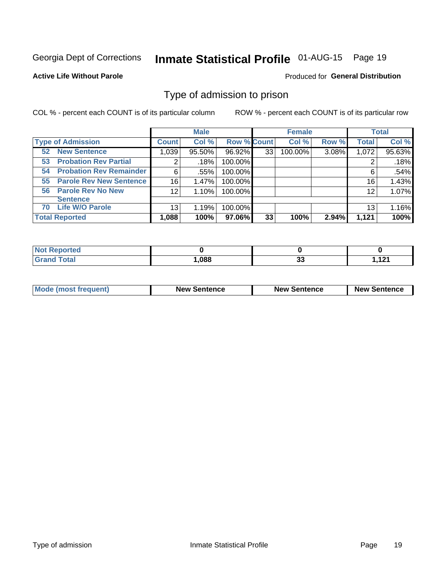## Inmate Statistical Profile 01-AUG-15 Page 19

#### **Active Life Without Parole**

#### Produced for General Distribution

## Type of admission to prison

COL % - percent each COUNT is of its particular column

|                                      |              | <b>Male</b> |                    |    | <b>Female</b> |       |              | <b>Total</b> |
|--------------------------------------|--------------|-------------|--------------------|----|---------------|-------|--------------|--------------|
| <b>Type of Admission</b>             | <b>Count</b> | Col %       | <b>Row % Count</b> |    | Col %         | Row % | <b>Total</b> | Col %        |
| <b>New Sentence</b><br>52            | 1,039        | 95.50%      | 96.92%             | 33 | 100.00%       | 3.08% | 1,072        | 95.63%       |
| <b>Probation Rev Partial</b><br>53   | 2            | .18%        | 100.00%            |    |               |       |              | .18%         |
| <b>Probation Rev Remainder</b><br>54 | 6            | .55%        | 100.00%            |    |               |       | 6            | .54%         |
| <b>Parole Rev New Sentence</b><br>55 | 16           | 1.47%       | 100.00%            |    |               |       | 16           | 1.43%        |
| <b>Parole Rev No New</b><br>56       | 12           | 1.10%       | 100.00%            |    |               |       | 12           | 1.07%        |
| <b>Sentence</b>                      |              |             |                    |    |               |       |              |              |
| <b>Life W/O Parole</b><br>70         | 13           | 1.19%       | 100.00%            |    |               |       | 13           | 1.16%        |
| <b>Total Reported</b>                | 1,088        | 100%        | 97.06%             | 33 | 100%          | 2.94% | 1,121        | 100%         |

| Reported<br>' NOT |      |                            |                 |
|-------------------|------|----------------------------|-----------------|
| Total             | ,088 | $\ddot{\phantom{0}}$<br>v. | 121<br>1, I 4 I |

| <b>Mode (most frequent)</b> | <b>New Sentence</b> | <b>New Sentence</b> | <b>New Sentence</b> |
|-----------------------------|---------------------|---------------------|---------------------|
|                             |                     |                     |                     |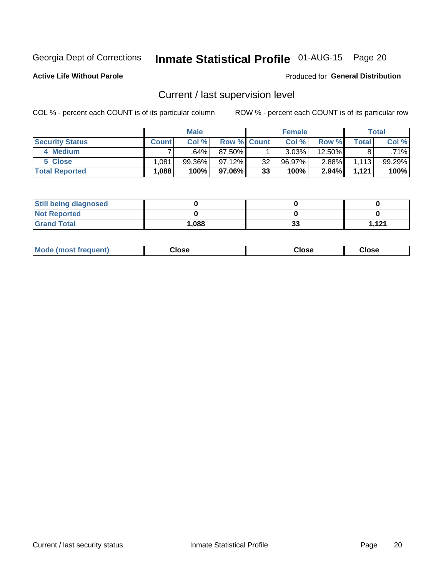## Inmate Statistical Profile 01-AUG-15 Page 20

**Active Life Without Parole** 

#### Produced for General Distribution

## Current / last supervision level

COL % - percent each COUNT is of its particular column

|                        |              | <b>Male</b> |             |    | <b>Female</b> |          |       | <b>Total</b> |
|------------------------|--------------|-------------|-------------|----|---------------|----------|-------|--------------|
| <b>Security Status</b> | <b>Count</b> | Col %       | Row % Count |    | Col %         | Row %    | Total | Col %        |
| 4 Medium               |              | .64%        | 87.50%      |    | $3.03\%$      | 12.50%   |       | .71%         |
| 5 Close                | .081         | $99.36\%$   | 97.12%      | 32 | 96.97%        | $2.88\%$ | 1,113 | 99.29%       |
| <b>Total Reported</b>  | .088         | 100%        | 97.06%      | 33 | 100%          | $2.94\%$ | 1,121 | 100%         |

| <b>Still being diagnosed</b> |      |          |                   |
|------------------------------|------|----------|-------------------|
| <b>Not Reported</b>          |      |          |                   |
| <b>Grand Total</b>           | .088 | ົ<br>ູບປ | 1121<br>I . I 4 I |

| <b>AhoM</b><br>rreauent) | <b>Close</b> | Close | Close |
|--------------------------|--------------|-------|-------|
|                          |              |       |       |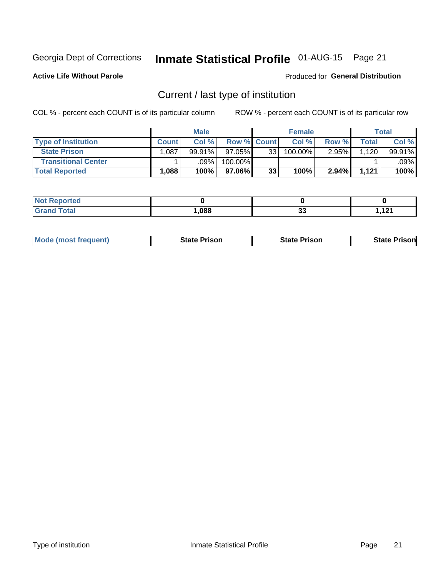## Inmate Statistical Profile 01-AUG-15 Page 21

**Active Life Without Parole** 

#### Produced for General Distribution

## Current / last type of institution

COL % - percent each COUNT is of its particular column

|                            |              | <b>Male</b> |                    |    | <b>Female</b> |          |               | <b>Total</b> |
|----------------------------|--------------|-------------|--------------------|----|---------------|----------|---------------|--------------|
| <b>Type of Institution</b> | <b>Count</b> | Col %       | <b>Row % Count</b> |    | Col %         | Row %    | $\tau$ otal i | Col %        |
| <b>State Prison</b>        | 1,087        | 99.91%      | $97.05\%$          | 33 | 100.00%       | $2.95\%$ | 1,120         | 99.91%       |
| <b>Transitional Center</b> |              | .09%        | 100.00%            |    |               |          |               | .09% l       |
| <b>Total Reported</b>      | 1,088        | 100%        | 97.06%             | 33 | 100%          | 2.94%    | 1.121         | 100%         |

| ---<br>τeα  |      |        |                     |
|-------------|------|--------|---------------------|
| <b>otal</b> | ,088 | ົ<br>w | 101<br>. <i>.</i> . |

|  | <b>Mode (most frequent)</b> | State Prison | <b>State Prison</b> | sonl<br>State |
|--|-----------------------------|--------------|---------------------|---------------|
|--|-----------------------------|--------------|---------------------|---------------|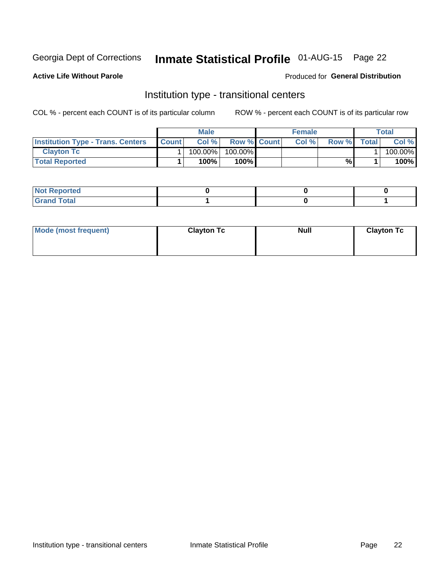## Inmate Statistical Profile 01-AUG-15 Page 22

**Active Life Without Parole** 

#### Produced for General Distribution

## Institution type - transitional centers

COL % - percent each COUNT is of its particular column

|                                          |              | Male    |                    | <b>Female</b> |       |              | Total   |
|------------------------------------------|--------------|---------|--------------------|---------------|-------|--------------|---------|
| <b>Institution Type - Trans. Centers</b> | <b>Count</b> | Col%    | <b>Row % Count</b> | Col%          | Row % | <b>Total</b> | Col %   |
| <b>Clayton Tc</b>                        |              | 100.00% | 100.00%            |               |       |              | 100.00% |
| <b>Total Reported</b>                    |              | $100\%$ | 100%               |               | %     |              | 100%    |

| orted<br>1121112 |  |  |
|------------------|--|--|
| <u>i</u> Utal    |  |  |

| Mode (most frequent) | <b>Clayton Tc</b> | <b>Null</b> | <b>Clayton Tc</b> |
|----------------------|-------------------|-------------|-------------------|
|                      |                   |             |                   |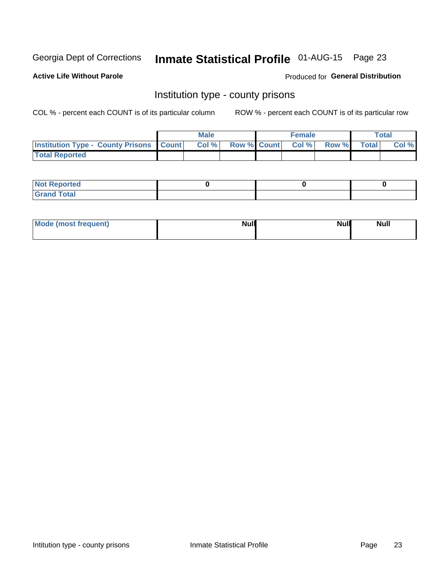## Inmate Statistical Profile 01-AUG-15 Page 23

**Active Life Without Parole** 

Produced for General Distribution

## Institution type - county prisons

COL % - percent each COUNT is of its particular column

|                                                    | <b>Male</b> |  | <b>Female</b>            |             | <b>Total</b> |
|----------------------------------------------------|-------------|--|--------------------------|-------------|--------------|
| <b>Institution Type - County Prisons   Count  </b> | Col %       |  | <b>Row % Count Col %</b> | Row % Total | Col %        |
| <b>Total Reported</b>                              |             |  |                          |             |              |

| <b>Not</b><br>: Reported<br> |  |  |
|------------------------------|--|--|
| <b>Total</b><br>---          |  |  |

| Mode (most frequent) | <b>Null</b> | <b>Null</b><br><b>Null</b> |
|----------------------|-------------|----------------------------|
|                      |             |                            |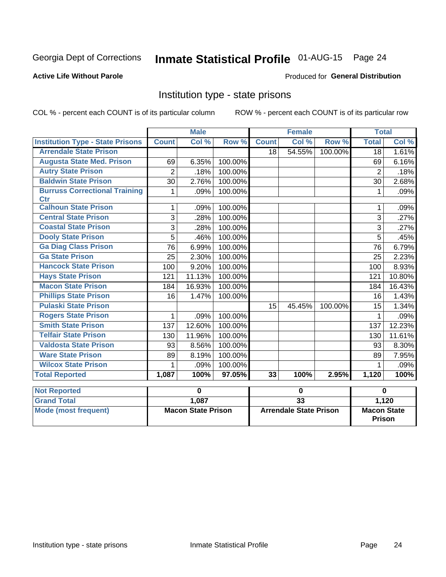## Inmate Statistical Profile 01-AUG-15 Page 24

#### **Active Life Without Parole**

#### Produced for General Distribution

## Institution type - state prisons

COL % - percent each COUNT is of its particular column

ROW % - percent each COUNT is of its particular row

|                                         | <b>Male</b>    |                           | <b>Female</b> |                 |                               | <b>Total</b> |                    |        |
|-----------------------------------------|----------------|---------------------------|---------------|-----------------|-------------------------------|--------------|--------------------|--------|
| <b>Institution Type - State Prisons</b> | <b>Count</b>   | Col %                     | Row %         | <b>Count</b>    | Col %                         | Row %        | <b>Total</b>       | Col %  |
| <b>Arrendale State Prison</b>           |                |                           |               | 18              | 54.55%                        | 100.00%      | 18                 | 1.61%  |
| <b>Augusta State Med. Prison</b>        | 69             | 6.35%                     | 100.00%       |                 |                               |              | 69                 | 6.16%  |
| <b>Autry State Prison</b>               | $\overline{2}$ | .18%                      | 100.00%       |                 |                               |              | $\overline{2}$     | .18%   |
| <b>Baldwin State Prison</b>             | 30             | 2.76%                     | 100.00%       |                 |                               |              | 30                 | 2.68%  |
| <b>Burruss Correctional Training</b>    | 1              | .09%                      | 100.00%       |                 |                               |              | 1                  | .09%   |
| Ctr                                     |                |                           |               |                 |                               |              |                    |        |
| <b>Calhoun State Prison</b>             | 1              | .09%                      | 100.00%       |                 |                               |              | 1                  | .09%   |
| <b>Central State Prison</b>             | 3              | .28%                      | 100.00%       |                 |                               |              | 3                  | .27%   |
| <b>Coastal State Prison</b>             | 3              | .28%                      | 100.00%       |                 |                               |              | 3                  | .27%   |
| <b>Dooly State Prison</b>               | 5              | .46%                      | 100.00%       |                 |                               |              | 5                  | .45%   |
| <b>Ga Diag Class Prison</b>             | 76             | 6.99%                     | 100.00%       |                 |                               |              | 76                 | 6.79%  |
| <b>Ga State Prison</b>                  | 25             | 2.30%                     | 100.00%       |                 |                               |              | 25                 | 2.23%  |
| <b>Hancock State Prison</b>             | 100            | 9.20%                     | 100.00%       |                 |                               |              | 100                | 8.93%  |
| <b>Hays State Prison</b>                | 121            | 11.13%                    | 100.00%       |                 |                               |              | 121                | 10.80% |
| <b>Macon State Prison</b>               | 184            | 16.93%                    | 100.00%       |                 |                               |              | 184                | 16.43% |
| <b>Phillips State Prison</b>            | 16             | 1.47%                     | 100.00%       |                 |                               |              | 16                 | 1.43%  |
| <b>Pulaski State Prison</b>             |                |                           |               | 15              | 45.45%                        | 100.00%      | 15                 | 1.34%  |
| <b>Rogers State Prison</b>              | 1              | .09%                      | 100.00%       |                 |                               |              | 1                  | .09%   |
| <b>Smith State Prison</b>               | 137            | 12.60%                    | 100.00%       |                 |                               |              | 137                | 12.23% |
| <b>Telfair State Prison</b>             | 130            | 11.96%                    | 100.00%       |                 |                               |              | 130                | 11.61% |
| <b>Valdosta State Prison</b>            | 93             | 8.56%                     | 100.00%       |                 |                               |              | 93                 | 8.30%  |
| <b>Ware State Prison</b>                | 89             | 8.19%                     | 100.00%       |                 |                               |              | 89                 | 7.95%  |
| <b>Wilcox State Prison</b>              | 1              | .09%                      | 100.00%       |                 |                               |              | 1                  | .09%   |
| <b>Total Reported</b>                   | 1,087          | 100%                      | 97.05%        | 33              | 100%                          | 2.95%        | 1,120              | 100%   |
| <b>Not Reported</b>                     |                | 0                         |               |                 | $\mathbf 0$                   |              | $\bf{0}$           |        |
| <b>Grand Total</b>                      |                | 1,087                     |               | $\overline{33}$ |                               | 1,120        |                    |        |
| <b>Mode (most frequent)</b>             |                | <b>Macon State Prison</b> |               |                 | <b>Arrendale State Prison</b> |              | <b>Macon State</b> |        |

Prison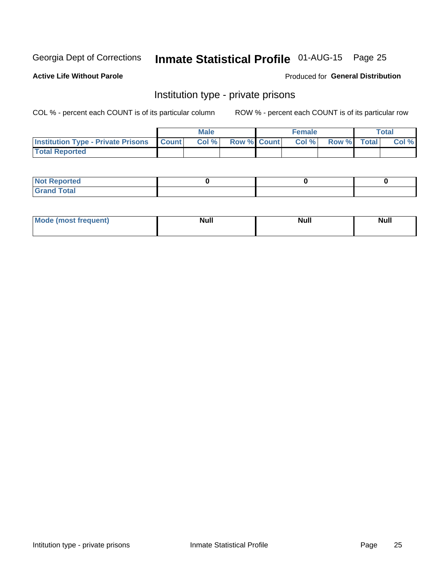## Inmate Statistical Profile 01-AUG-15 Page 25

### **Active Life Without Parole**

#### Produced for General Distribution

## Institution type - private prisons

COL % - percent each COUNT is of its particular column

|                                                     | <b>Male</b> |                    | <b>Female</b> |             | <b>Total</b> |
|-----------------------------------------------------|-------------|--------------------|---------------|-------------|--------------|
| <b>Institution Type - Private Prisons   Count  </b> | Col%        | <b>Row % Count</b> | Col %         | Row % Total | Col %        |
| <b>Total Reported</b>                               |             |                    |               |             |              |

| Not Reported           |  |  |
|------------------------|--|--|
| <b>Cotal</b><br>______ |  |  |

| <b>Mo</b><br>frequent) | <b>Null</b> | <b>Null</b> | . . I *<br><b>IVUII</b> |
|------------------------|-------------|-------------|-------------------------|
|                        |             |             |                         |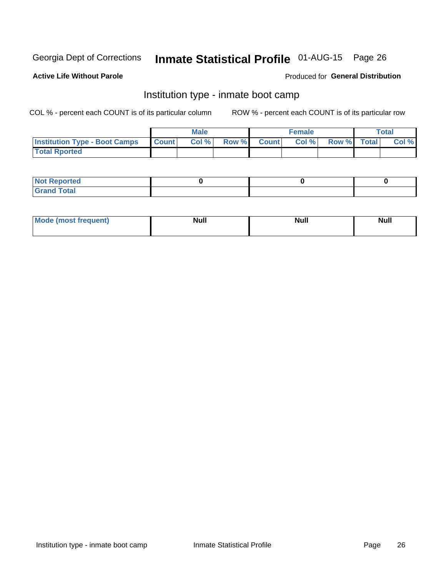## Inmate Statistical Profile 01-AUG-15 Page 26

#### **Active Life Without Parole**

#### Produced for General Distribution

## Institution type - inmate boot camp

COL % - percent each COUNT is of its particular column

|                                            | <b>Male</b> |                    | <b>Female</b> |             | <b>Total</b> |
|--------------------------------------------|-------------|--------------------|---------------|-------------|--------------|
| <b>Institution Type - Boot Camps Count</b> | Col%        | <b>Row % Count</b> | Col%          | Row % Total | Col %        |
| <b>Total Rported</b>                       |             |                    |               |             |              |

| <b>Not Reported</b>            |  |  |
|--------------------------------|--|--|
| <b>Total</b><br>C <sub>r</sub> |  |  |

| Mod<br>uamo | Nul.<br>$- - - - - -$ | <b>Null</b> | . .<br>uu.<br>------ |
|-------------|-----------------------|-------------|----------------------|
|             |                       |             |                      |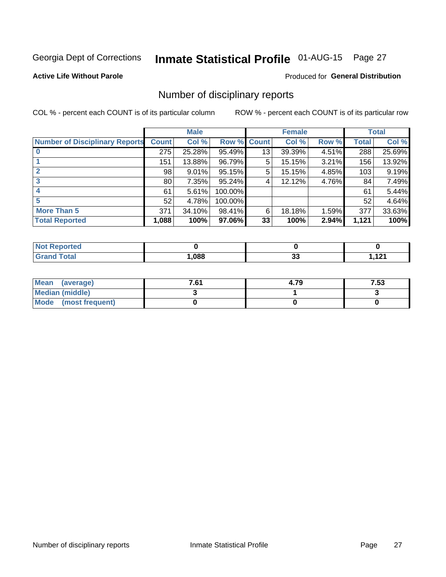## Inmate Statistical Profile 01-AUG-15 Page 27

### **Active Life Without Parole**

#### Produced for General Distribution

## Number of disciplinary reports

COL % - percent each COUNT is of its particular column

|                                       |                 | <b>Male</b> |             |    | <b>Female</b> |       |              | <b>Total</b> |
|---------------------------------------|-----------------|-------------|-------------|----|---------------|-------|--------------|--------------|
| <b>Number of Disciplinary Reports</b> | <b>Count</b>    | Col %       | Row % Count |    | Col %         | Row % | <b>Total</b> | Col %        |
|                                       | 275             | 25.28%      | 95.49%      | 13 | 39.39%        | 4.51% | 288          | 25.69%       |
|                                       | 151             | 13.88%      | 96.79%      | 5  | 15.15%        | 3.21% | 156          | 13.92%       |
| $\mathbf{2}$                          | 98              | $9.01\%$    | 95.15%      | 5  | 15.15%        | 4.85% | 103          | 9.19%        |
| 3                                     | 80 <sub>1</sub> | 7.35%       | 95.24%      | 4  | 12.12%        | 4.76% | 84           | 7.49%        |
|                                       | 61              | 5.61%       | 100.00%     |    |               |       | 61           | 5.44%        |
| 5                                     | 52              | 4.78%       | 100.00%     |    |               |       | 52           | 4.64%        |
| <b>More Than 5</b>                    | 371             | 34.10%      | 98.41%      | 6  | 18.18%        | 1.59% | 377          | 33.63%       |
| <b>Total Reported</b>                 | 1,088           | 100%        | 97.06%      | 33 | 100%          | 2.94% | 1,121        | 100%         |

| тео<br>NO |      |              |                 |
|-----------|------|--------------|-----------------|
| Гоtal     | ,088 | $\sim$<br>vu | גרי ו<br>$\sim$ |

| Mean (average)       | 7.61 | 4.79 | 7.53 |
|----------------------|------|------|------|
| Median (middle)      |      |      |      |
| Mode (most frequent) |      |      |      |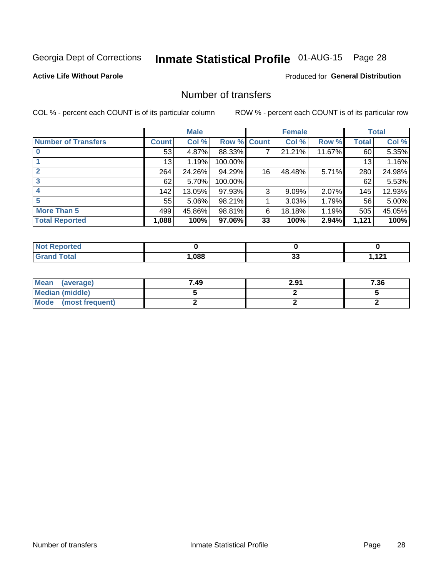## Inmate Statistical Profile 01-AUG-15 Page 28

### **Active Life Without Parole**

### **Produced for General Distribution**

## Number of transfers

COL % - percent each COUNT is of its particular column

|                            |         | <b>Male</b> |         |              | <b>Female</b> |        |              | <b>Total</b> |
|----------------------------|---------|-------------|---------|--------------|---------------|--------|--------------|--------------|
| <b>Number of Transfers</b> | Count l | Col %       | Row %   | <b>Count</b> | Col %         | Row %  | <b>Total</b> | Col %        |
|                            | 53      | 4.87%       | 88.33%  | 7            | 21.21%        | 11.67% | 60           | 5.35%        |
|                            | 13      | 1.19%       | 100.00% |              |               |        | 13           | 1.16%        |
| $\mathbf{2}$               | 264     | 24.26%      | 94.29%  | 16           | 48.48%        | 5.71%  | 280          | 24.98%       |
| 3                          | 62      | 5.70%       | 100.00% |              |               |        | 62           | 5.53%        |
|                            | 142     | 13.05%      | 97.93%  | 3            | 9.09%         | 2.07%  | 145          | 12.93%       |
| 5                          | 55      | 5.06%       | 98.21%  |              | 3.03%         | 1.79%  | 56           | 5.00%        |
| <b>More Than 5</b>         | 499     | 45.86%      | 98.81%  | 6            | 18.18%        | 1.19%  | 505          | 45.05%       |
| <b>Total Reported</b>      | 1,088   | 100%        | 97.06%  | 33           | 100%          | 2.94%  | 1,121        | 100%         |

| prted<br>NOT      |      |          |                |
|-------------------|------|----------|----------------|
| <sup>-</sup> otal | ,088 | ~~<br>vu | .<br>$\cdot$ . |

| Mean (average)       | 7.49 | 2.91 | 7.36 |
|----------------------|------|------|------|
| Median (middle)      |      |      |      |
| Mode (most frequent) |      |      |      |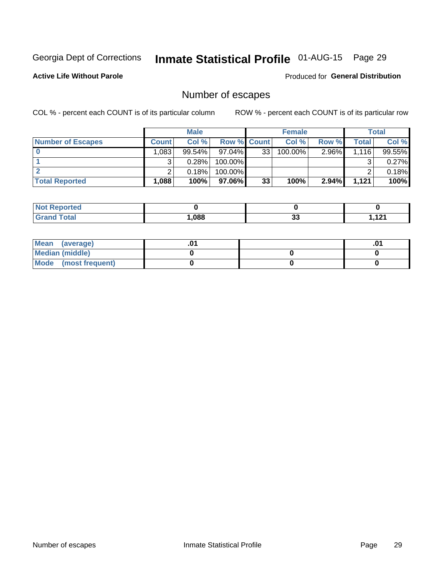## Inmate Statistical Profile 01-AUG-15 Page 29

**Active Life Without Parole** 

Produced for General Distribution

## Number of escapes

COL % - percent each COUNT is of its particular column

|                          |              | <b>Male</b> |                    |    | <b>Female</b> |          |       | Total  |
|--------------------------|--------------|-------------|--------------------|----|---------------|----------|-------|--------|
| <b>Number of Escapes</b> | <b>Count</b> | Col%        | <b>Row % Count</b> |    | Col %         | Row %    | Total | Col %  |
|                          | .083         | $99.54\%$   | $97.04\%$          | 33 | $100.00\%$    | 2.96%    | 1.116 | 99.55% |
|                          |              | 0.28%       | 100.00%            |    |               |          |       | 0.27%  |
|                          |              | 0.18%       | 100.00%            |    |               |          |       | 0.18%  |
| <b>Total Reported</b>    | $.088+$      | 100%        | $97.06\%$          | 33 | 100%          | $2.94\%$ | 1.121 | 100%   |

| <b>Not Reported</b> |      |                           |             |
|---------------------|------|---------------------------|-------------|
| <b>Grand Total</b>  | 088, | $\ddot{\phantom{0}}$<br>ິ | $\sim$<br>. |

| Mean (average)       |  | י ש |
|----------------------|--|-----|
| Median (middle)      |  |     |
| Mode (most frequent) |  |     |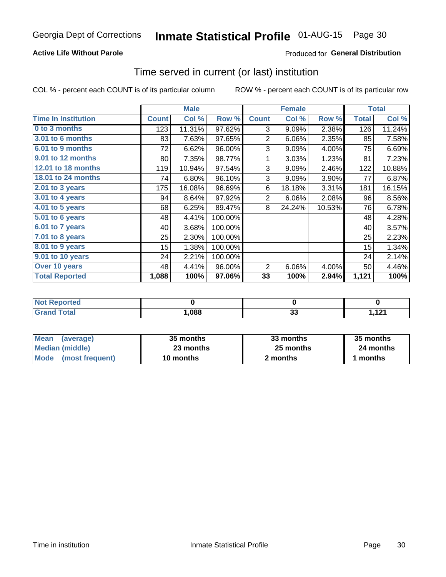### **Active Life Without Parole**

### **Produced for General Distribution**

## Time served in current (or last) institution

COL % - percent each COUNT is of its particular column

|                            |              | <b>Male</b> |         |                | <b>Female</b> |        |              | <b>Total</b> |
|----------------------------|--------------|-------------|---------|----------------|---------------|--------|--------------|--------------|
| <b>Time In Institution</b> | <b>Count</b> | Col %       | Row %   | <b>Count</b>   | Col %         | Row %  | <b>Total</b> | Col %        |
| 0 to 3 months              | 123          | 11.31%      | 97.62%  | 3              | 9.09%         | 2.38%  | 126          | 11.24%       |
| <b>3.01 to 6 months</b>    | 83           | 7.63%       | 97.65%  | $\overline{2}$ | 6.06%         | 2.35%  | 85           | 7.58%        |
| 6.01 to 9 months           | 72           | 6.62%       | 96.00%  | 3              | 9.09%         | 4.00%  | 75           | 6.69%        |
| 9.01 to 12 months          | 80           | 7.35%       | 98.77%  | 1              | 3.03%         | 1.23%  | 81           | 7.23%        |
| 12.01 to 18 months         | 119          | 10.94%      | 97.54%  | 3              | 9.09%         | 2.46%  | 122          | 10.88%       |
| <b>18.01 to 24 months</b>  | 74           | 6.80%       | 96.10%  | 3              | 9.09%         | 3.90%  | 77           | 6.87%        |
| $2.01$ to 3 years          | 175          | 16.08%      | 96.69%  | 6              | 18.18%        | 3.31%  | 181          | 16.15%       |
| $3.01$ to 4 years          | 94           | 8.64%       | 97.92%  | $\overline{2}$ | 6.06%         | 2.08%  | 96           | 8.56%        |
| 4.01 to 5 years            | 68           | 6.25%       | 89.47%  | 8              | 24.24%        | 10.53% | 76           | 6.78%        |
| 5.01 to 6 years            | 48           | 4.41%       | 100.00% |                |               |        | 48           | 4.28%        |
| 6.01 to 7 years            | 40           | 3.68%       | 100.00% |                |               |        | 40           | 3.57%        |
| 7.01 to 8 years            | 25           | 2.30%       | 100.00% |                |               |        | 25           | 2.23%        |
| 8.01 to 9 years            | 15           | 1.38%       | 100.00% |                |               |        | 15           | 1.34%        |
| 9.01 to 10 years           | 24           | 2.21%       | 100.00% |                |               |        | 24           | 2.14%        |
| Over 10 years              | 48           | 4.41%       | 96.00%  | $\overline{2}$ | 6.06%         | 4.00%  | 50           | 4.46%        |
| <b>Total Reported</b>      | 1,088        | 100%        | 97.06%  | 33             | 100%          | 2.94%  | 1,121        | 100%         |

| <b>Not Reported</b> |      |                                |          |
|---------------------|------|--------------------------------|----------|
| <b>Total</b>        | ,088 | $\overline{\phantom{a}}$<br>v. | 101<br>. |

| <b>Mean</b><br>(average) | 35 months | 33 months | 35 months |
|--------------------------|-----------|-----------|-----------|
| Median (middle)          | 23 months | 25 months | 24 months |
| Mode (most frequent)     | 10 months | 2 months  | 1 months  |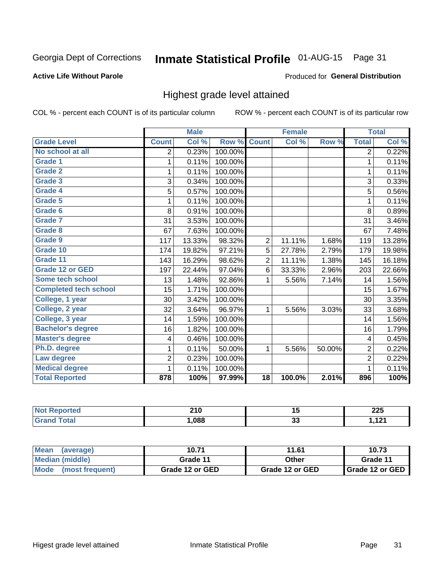## Inmate Statistical Profile 01-AUG-15 Page 31

### **Active Life Without Parole**

#### Produced for General Distribution

## Highest grade level attained

COL % - percent each COUNT is of its particular column

|                              |                          | <b>Male</b> |         |                | <b>Female</b> |        |                | <b>Total</b> |
|------------------------------|--------------------------|-------------|---------|----------------|---------------|--------|----------------|--------------|
| <b>Grade Level</b>           | <b>Count</b>             | Col %       | Row %   | <b>Count</b>   | Col %         | Row %  | <b>Total</b>   | Col %        |
| No school at all             | $\overline{2}$           | 0.23%       | 100.00% |                |               |        | 2              | 0.22%        |
| <b>Grade 1</b>               | 1                        | 0.11%       | 100.00% |                |               |        | 1              | 0.11%        |
| Grade 2                      | 1                        | 0.11%       | 100.00% |                |               |        | $\mathbf{1}$   | 0.11%        |
| Grade 3                      | 3                        | 0.34%       | 100.00% |                |               |        | 3              | 0.33%        |
| Grade 4                      | 5                        | 0.57%       | 100.00% |                |               |        | 5              | 0.56%        |
| Grade 5                      | 1                        | 0.11%       | 100.00% |                |               |        | 1              | 0.11%        |
| Grade 6                      | 8                        | 0.91%       | 100.00% |                |               |        | 8              | 0.89%        |
| <b>Grade 7</b>               | 31                       | 3.53%       | 100.00% |                |               |        | 31             | 3.46%        |
| Grade 8                      | 67                       | 7.63%       | 100.00% |                |               |        | 67             | 7.48%        |
| Grade 9                      | 117                      | 13.33%      | 98.32%  | 2              | 11.11%        | 1.68%  | 119            | 13.28%       |
| Grade 10                     | 174                      | 19.82%      | 97.21%  | 5              | 27.78%        | 2.79%  | 179            | 19.98%       |
| Grade 11                     | 143                      | 16.29%      | 98.62%  | $\overline{2}$ | 11.11%        | 1.38%  | 145            | 16.18%       |
| <b>Grade 12 or GED</b>       | 197                      | 22.44%      | 97.04%  | 6              | 33.33%        | 2.96%  | 203            | 22.66%       |
| <b>Some tech school</b>      | 13                       | 1.48%       | 92.86%  | 1              | 5.56%         | 7.14%  | 14             | 1.56%        |
| <b>Completed tech school</b> | 15                       | 1.71%       | 100.00% |                |               |        | 15             | 1.67%        |
| College, 1 year              | 30                       | 3.42%       | 100.00% |                |               |        | 30             | 3.35%        |
| College, 2 year              | 32                       | 3.64%       | 96.97%  | 1              | 5.56%         | 3.03%  | 33             | 3.68%        |
| College, 3 year              | 14                       | 1.59%       | 100.00% |                |               |        | 14             | 1.56%        |
| <b>Bachelor's degree</b>     | 16                       | 1.82%       | 100.00% |                |               |        | 16             | 1.79%        |
| <b>Master's degree</b>       | $\overline{\mathcal{A}}$ | 0.46%       | 100.00% |                |               |        | 4              | 0.45%        |
| Ph.D. degree                 | 1                        | 0.11%       | 50.00%  | 1              | 5.56%         | 50.00% | $\overline{c}$ | 0.22%        |
| Law degree                   | 2                        | 0.23%       | 100.00% |                |               |        | $\overline{2}$ | 0.22%        |
| <b>Medical degree</b>        | 1                        | 0.11%       | 100.00% |                |               |        | 1              | 0.11%        |
| <b>Total Reported</b>        | 878                      | 100%        | 97.99%  | 18             | 100.0%        | 2.01%  | 896            | 100%         |

| <b>Not</b><br>Reported | 240<br>–10<br>$\sim$ | יי<br>$\sim$ | へへに<br>22J      |
|------------------------|----------------------|--------------|-----------------|
| <b>otal</b><br>Grar    | .088                 | ^'<br>◡      | 404<br>.<br>--- |

| Mean<br>(average)              | 10.71           | 11.61           | 10.73             |
|--------------------------------|-----------------|-----------------|-------------------|
| Median (middle)                | Grade 11        | Other           | Grade 11          |
| <b>Mode</b><br>(most frequent) | Grade 12 or GED | Grade 12 or GED | I Grade 12 or GED |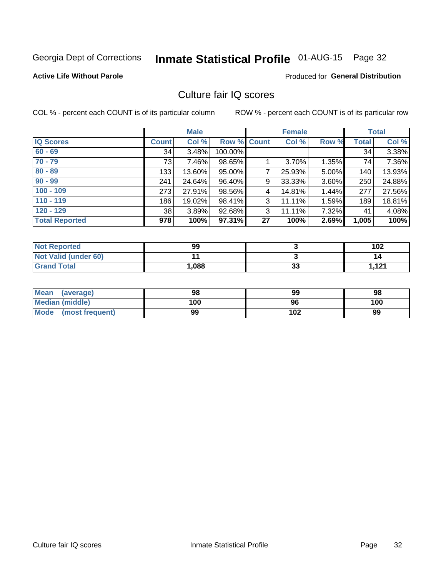## Inmate Statistical Profile 01-AUG-15 Page 32

#### **Active Life Without Parole**

#### Produced for General Distribution

## Culture fair IQ scores

COL % - percent each COUNT is of its particular column

|                       |         | <b>Male</b> |         |                 | <b>Female</b> |          |              | <b>Total</b> |
|-----------------------|---------|-------------|---------|-----------------|---------------|----------|--------------|--------------|
| <b>IQ Scores</b>      | Count l | Col %       | Row %   | <b>Count</b>    | Col %         | Row %    | <b>Total</b> | Col %        |
| $60 - 69$             | 34      | 3.48%       | 100.00% |                 |               |          | 34           | 3.38%        |
| $70 - 79$             | 73      | 7.46%       | 98.65%  |                 | 3.70%         | 1.35%    | 74           | 7.36%        |
| $80 - 89$             | 133     | 13.60%      | 95.00%  | 7               | 25.93%        | 5.00%    | 140          | 13.93%       |
| $90 - 99$             | 241     | 24.64%      | 96.40%  | 9               | 33.33%        | $3.60\%$ | 250          | 24.88%       |
| $100 - 109$           | 273     | 27.91%      | 98.56%  | 4               | 14.81%        | 1.44%    | 277          | 27.56%       |
| $110 - 119$           | 186     | 19.02%      | 98.41%  | 3               | 11.11%        | 1.59%    | 189          | 18.81%       |
| $120 - 129$           | 38      | 3.89%       | 92.68%  | 3               | 11.11%        | 7.32%    | 41           | 4.08%        |
| <b>Total Reported</b> | 978     | 100%        | 97.31%  | 27 <sup>1</sup> | 100%          | 2.69%    | 1,005        | 100%         |

| <b>Not Reported</b>         | 99     |    | 102   |
|-----------------------------|--------|----|-------|
| <b>Not Valid (under 60)</b> |        |    |       |
| <b>Grand Total</b>          | 088. ا | 33 | 121.ا |

| <b>Mean</b><br>(average) | 98  | 99  | 98  |
|--------------------------|-----|-----|-----|
| <b>Median (middle)</b>   | 100 | 96  | 100 |
| Mode<br>(most frequent)  | 99  | 102 | 99  |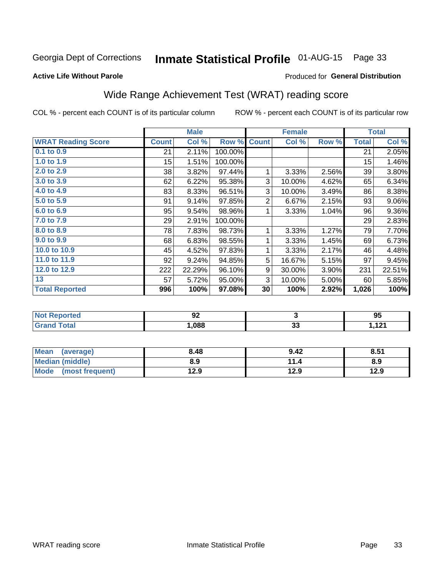## Inmate Statistical Profile 01-AUG-15 Page 33

#### **Active Life Without Parole**

#### Produced for General Distribution

## Wide Range Achievement Test (WRAT) reading score

COL % - percent each COUNT is of its particular column

|                           |              | <b>Male</b> |         |                | <b>Female</b> |       |              | <b>Total</b> |
|---------------------------|--------------|-------------|---------|----------------|---------------|-------|--------------|--------------|
| <b>WRAT Reading Score</b> | <b>Count</b> | Col %       | Row %   | <b>Count</b>   | Col %         | Row % | <b>Total</b> | Col %        |
| $0.1$ to $0.9$            | 21           | 2.11%       | 100.00% |                |               |       | 21           | 2.05%        |
| 1.0 to 1.9                | 15           | 1.51%       | 100.00% |                |               |       | 15           | 1.46%        |
| 2.0 to 2.9                | 38           | 3.82%       | 97.44%  | 1              | 3.33%         | 2.56% | 39           | 3.80%        |
| 3.0 to 3.9                | 62           | 6.22%       | 95.38%  | 3              | 10.00%        | 4.62% | 65           | 6.34%        |
| 4.0 to 4.9                | 83           | 8.33%       | 96.51%  | 3              | 10.00%        | 3.49% | 86           | 8.38%        |
| 5.0 to 5.9                | 91           | 9.14%       | 97.85%  | $\overline{2}$ | 6.67%         | 2.15% | 93           | $9.06\%$     |
| 6.0 to 6.9                | 95           | 9.54%       | 98.96%  | 1              | 3.33%         | 1.04% | 96           | 9.36%        |
| 7.0 to 7.9                | 29           | 2.91%       | 100.00% |                |               |       | 29           | 2.83%        |
| 8.0 to 8.9                | 78           | 7.83%       | 98.73%  | 1              | 3.33%         | 1.27% | 79           | 7.70%        |
| 9.0 to 9.9                | 68           | 6.83%       | 98.55%  | 1              | 3.33%         | 1.45% | 69           | 6.73%        |
| 10.0 to 10.9              | 45           | 4.52%       | 97.83%  | 1              | 3.33%         | 2.17% | 46           | 4.48%        |
| 11.0 to 11.9              | 92           | 9.24%       | 94.85%  | 5              | 16.67%        | 5.15% | 97           | 9.45%        |
| 12.0 to 12.9              | 222          | 22.29%      | 96.10%  | 9              | 30.00%        | 3.90% | 231          | 22.51%       |
| 13                        | 57           | 5.72%       | 95.00%  | 3              | 10.00%        | 5.00% | 60           | 5.85%        |
| <b>Total Reported</b>     | 996          | 100%        | 97.08%  | 30             | 100%          | 2.92% | 1,026        | 100%         |
|                           |              |             |         |                |               |       |              |              |

| <b>Not Reported</b> | nη<br>JZ |     | ΩF<br>ಶಾ  |
|---------------------|----------|-----|-----------|
| <b>Total</b>        | .088     | n.  | $\sim$    |
| 'Grand              |          | JJ. | I . I 4 I |

| <b>Mean</b><br>(average)       | 8.48 | 9.42 | 8.51 |
|--------------------------------|------|------|------|
| <b>Median (middle)</b>         | 8.9  | 14   | 8.9  |
| <b>Mode</b><br>(most frequent) | 12.9 | 12.9 | 12.9 |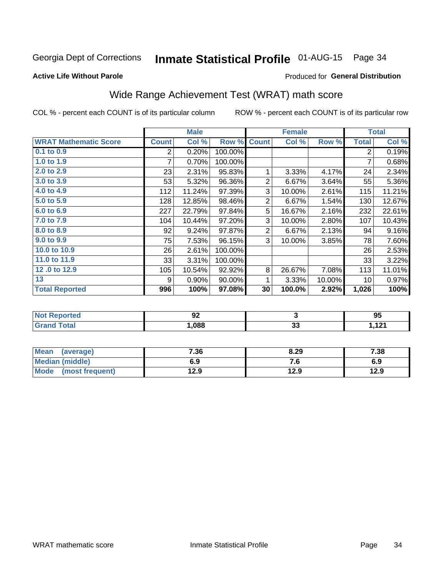## Inmate Statistical Profile 01-AUG-15 Page 34

#### **Active Life Without Parole**

#### Produced for General Distribution

## Wide Range Achievement Test (WRAT) math score

COL % - percent each COUNT is of its particular column

|                              |              | <b>Male</b> |           |                 | <b>Female</b> |        |              | <b>Total</b> |
|------------------------------|--------------|-------------|-----------|-----------------|---------------|--------|--------------|--------------|
| <b>WRAT Mathematic Score</b> | <b>Count</b> | Col %       | Row %     | <b>Count</b>    | Col %         | Row %  | <b>Total</b> | Col %        |
| $0.1$ to $0.9$               | 2            | 0.20%       | 100.00%   |                 |               |        | 2            | 0.19%        |
| 1.0 to 1.9                   | 7            | 0.70%       | 100.00%   |                 |               |        | 7            | 0.68%        |
| 2.0 to 2.9                   | 23           | 2.31%       | 95.83%    | 1               | 3.33%         | 4.17%  | 24           | 2.34%        |
| 3.0 to 3.9                   | 53           | 5.32%       | 96.36%    | $\overline{2}$  | 6.67%         | 3.64%  | 55           | 5.36%        |
| 4.0 to 4.9                   | 112          | 11.24%      | 97.39%    | 3               | 10.00%        | 2.61%  | 115          | 11.21%       |
| 5.0 to 5.9                   | 128          | 12.85%      | 98.46%    | $\overline{2}$  | 6.67%         | 1.54%  | 130          | 12.67%       |
| 6.0 to 6.9                   | 227          | 22.79%      | 97.84%    | 5               | 16.67%        | 2.16%  | 232          | 22.61%       |
| 7.0 to 7.9                   | 104          | 10.44%      | 97.20%    | 3               | 10.00%        | 2.80%  | 107          | 10.43%       |
| 8.0 to 8.9                   | 92           | 9.24%       | 97.87%    | $\overline{2}$  | 6.67%         | 2.13%  | 94           | 9.16%        |
| 9.0 to 9.9                   | 75           | 7.53%       | 96.15%    | 3               | 10.00%        | 3.85%  | 78           | 7.60%        |
| 10.0 to 10.9                 | 26           | 2.61%       | 100.00%   |                 |               |        | 26           | 2.53%        |
| 11.0 to 11.9                 | 33           | 3.31%       | 100.00%   |                 |               |        | 33           | 3.22%        |
| 12.0 to 12.9                 | 105          | 10.54%      | 92.92%    | 8               | 26.67%        | 7.08%  | 113          | 11.01%       |
| 13                           | 9            | 0.90%       | $90.00\%$ | 1               | 3.33%         | 10.00% | 10           | 0.97%        |
| <b>Total Reported</b>        | 996          | 100%        | 97.08%    | 30 <sup>°</sup> | 100.0%        | 2.92%  | 1,026        | 100%         |

| <b>Not Reported</b> | ດາ<br>JŁ |    | 95      |
|---------------------|----------|----|---------|
| <b>Total</b>        | ,088     | ^^ | 121     |
| 'Grand              |          | JJ | ا 14 را |

| Mean<br>(average)    | 7.36 | 8.29 | 7.38 |
|----------------------|------|------|------|
| Median (middle)      | 6.9  | 7. U | 6.9  |
| Mode (most frequent) | 12.9 | 12.9 | 12.9 |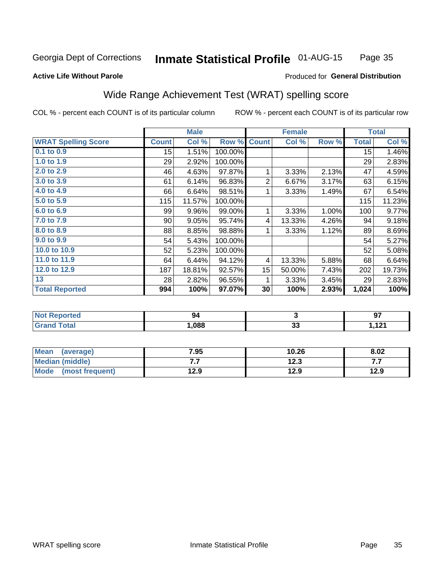#### **Inmate Statistical Profile 01-AUG-15** Page 35

#### **Active Life Without Parole**

### Produced for General Distribution

## Wide Range Achievement Test (WRAT) spelling score

COL % - percent each COUNT is of its particular column

|                            |              | <b>Male</b> |         |                | <b>Female</b> |       |              | <b>Total</b> |
|----------------------------|--------------|-------------|---------|----------------|---------------|-------|--------------|--------------|
| <b>WRAT Spelling Score</b> | <b>Count</b> | Col %       | Row %   | <b>Count</b>   | Col %         | Row % | <b>Total</b> | Col %        |
| 0.1 to 0.9                 | 15           | 1.51%       | 100.00% |                |               |       | 15           | 1.46%        |
| 1.0 to 1.9                 | 29           | 2.92%       | 100.00% |                |               |       | 29           | 2.83%        |
| 2.0 to 2.9                 | 46           | 4.63%       | 97.87%  | 1              | 3.33%         | 2.13% | 47           | 4.59%        |
| 3.0 to 3.9                 | 61           | 6.14%       | 96.83%  | $\overline{2}$ | 6.67%         | 3.17% | 63           | 6.15%        |
| 4.0 to 4.9                 | 66           | 6.64%       | 98.51%  | 1              | 3.33%         | 1.49% | 67           | 6.54%        |
| 5.0 to 5.9                 | 115          | 11.57%      | 100.00% |                |               |       | 115          | 11.23%       |
| 6.0 to 6.9                 | 99           | 9.96%       | 99.00%  | 1              | 3.33%         | 1.00% | 100          | 9.77%        |
| 7.0 to 7.9                 | 90           | 9.05%       | 95.74%  | 4              | 13.33%        | 4.26% | 94           | 9.18%        |
| 8.0 to 8.9                 | 88           | 8.85%       | 98.88%  | 1              | 3.33%         | 1.12% | 89           | 8.69%        |
| 9.0 to 9.9                 | 54           | 5.43%       | 100.00% |                |               |       | 54           | 5.27%        |
| 10.0 to 10.9               | 52           | 5.23%       | 100.00% |                |               |       | 52           | 5.08%        |
| 11.0 to 11.9               | 64           | 6.44%       | 94.12%  | 4              | 13.33%        | 5.88% | 68           | 6.64%        |
| 12.0 to 12.9               | 187          | 18.81%      | 92.57%  | 15             | 50.00%        | 7.43% | 202          | 19.73%       |
| 13                         | 28           | 2.82%       | 96.55%  | 1              | 3.33%         | 3.45% | 29           | 2.83%        |
| <b>Total Reported</b>      | 994          | 100%        | 97.07%  | 30             | 100%          | 2.93% | 1,024        | 100%         |
|                            |              |             |         |                |               |       |              |              |
| <b>Not Reported</b>        |              | 94          |         |                | 3             |       |              | 97           |
| <b>Grand Total</b>         |              | 1,088       |         |                | 33            |       |              | 1,121        |

| Mean<br>(average)              | 7.95 | 10.26 | 8.02 |
|--------------------------------|------|-------|------|
| Median (middle)                | .    | 12.3  |      |
| <b>Mode</b><br>(most frequent) | 12.9 | 12.9  | 12.9 |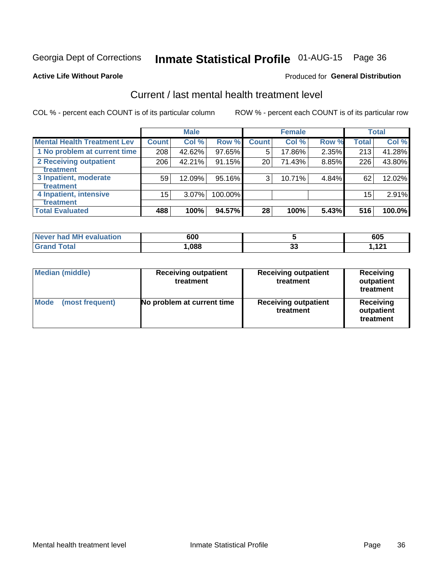## Inmate Statistical Profile 01-AUG-15 Page 36

#### **Active Life Without Parole**

#### Produced for General Distribution

## Current / last mental health treatment level

COL % - percent each COUNT is of its particular column

|                                    |              | <b>Male</b> |           |              | <b>Female</b> |       |       | <b>Total</b> |
|------------------------------------|--------------|-------------|-----------|--------------|---------------|-------|-------|--------------|
| <b>Mental Health Treatment Lev</b> | <b>Count</b> | Col%        | Row %     | <b>Count</b> | Col %         | Row % | Total | Col %        |
| 1 No problem at current time       | 208          | 42.62%      | 97.65%    | 5            | 17.86%        | 2.35% | 213   | 41.28%       |
| 2 Receiving outpatient             | 206          | 42.21%      | 91.15%    | 20           | 71.43%        | 8.85% | 226   | 43.80%       |
| <b>Treatment</b>                   |              |             |           |              |               |       |       |              |
| 3 Inpatient, moderate              | 59           | 12.09%      | $95.16\%$ | 3            | 10.71%        | 4.84% | 62    | 12.02%       |
| Treatment                          |              |             |           |              |               |       |       |              |
| 4 Inpatient, intensive             | 15           | $3.07\%$    | 100.00%   |              |               |       | 15    | 2.91%        |
| <b>Treatment</b>                   |              |             |           |              |               |       |       |              |
| <b>Total Evaluated</b>             | 488          | 100%        | 94.57%    | 28           | 100%          | 5.43% | 516   | 100.0%       |

| Never had MH evaluation | 600  |        | 605 |
|-------------------------|------|--------|-----|
| Total                   | 088, | $\sim$ | 101 |
| Grand                   |      | vu     |     |

| <b>Median (middle)</b>         | <b>Receiving outpatient</b><br>treatment | <b>Receiving outpatient</b><br>treatment | <b>Receiving</b><br>outpatient<br>treatment |
|--------------------------------|------------------------------------------|------------------------------------------|---------------------------------------------|
| <b>Mode</b><br>(most frequent) | No problem at current time               | <b>Receiving outpatient</b><br>treatment | <b>Receiving</b><br>outpatient<br>treatment |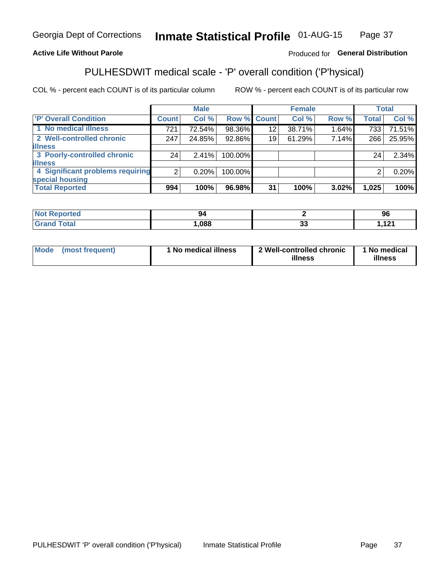#### Inmate Statistical Profile 01-AUG-15 Page 37

### **Active Life Without Parole**

### Produced for General Distribution

## PULHESDWIT medical scale - 'P' overall condition ('P'hysical)

COL % - percent each COUNT is of its particular column

|                                  |       | <b>Male</b> |                    |    | <b>Female</b> |       |              | <b>Total</b> |
|----------------------------------|-------|-------------|--------------------|----|---------------|-------|--------------|--------------|
| 'P' Overall Condition            | Count | Col %       | <b>Row % Count</b> |    | Col %         | Row % | <b>Total</b> | Col %        |
| 1 No medical illness             | 721   | 72.54%      | 98.36%             | 12 | 38.71%        | 1.64% | 733          | 71.51%       |
| 2 Well-controlled chronic        | 247   | 24.85%      | 92.86%             | 19 | 61.29%        | 7.14% | 266          | 25.95%       |
| <b>illness</b>                   |       |             |                    |    |               |       |              |              |
| 3 Poorly-controlled chronic      | 24    | 2.41%       | 100.00%            |    |               |       | 24           | 2.34%        |
| <b>illness</b>                   |       |             |                    |    |               |       |              |              |
| 4 Significant problems requiring | 2     | 0.20%       | 100.00%            |    |               |       | 2            | 0.20%        |
| special housing                  |       |             |                    |    |               |       |              |              |
| <b>Total Reported</b>            | 994   | 100%        | 96.98%             | 31 | 100%          | 3.02% | 1,025        | 100%         |

| 94   |              | $\alpha$<br>っこ |
|------|--------------|----------------|
| .088 | $\sim$<br>v. | .<br>---       |

| <b>Mode</b> | (most frequent) | 1 No medical illness | 2 Well-controlled chronic<br>illness | 1 No medical<br>illness |
|-------------|-----------------|----------------------|--------------------------------------|-------------------------|
|-------------|-----------------|----------------------|--------------------------------------|-------------------------|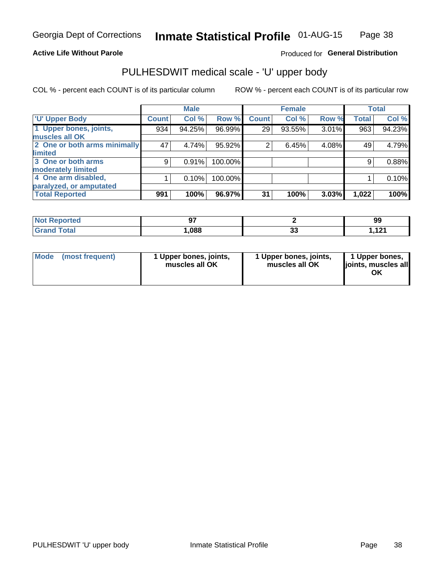### **Active Life Without Parole**

### Produced for General Distribution

## PULHESDWIT medical scale - 'U' upper body

COL % - percent each COUNT is of its particular column

|                              |              | <b>Male</b> |         |              | <b>Female</b> |       |              | <b>Total</b> |
|------------------------------|--------------|-------------|---------|--------------|---------------|-------|--------------|--------------|
| <b>'U' Upper Body</b>        | <b>Count</b> | Col %       | Row %   | <b>Count</b> | Col %         | Row % | <b>Total</b> | Col %        |
| 1 Upper bones, joints,       | 934          | 94.25%      | 96.99%  | 29           | 93.55%        | 3.01% | 963          | 94.23%       |
| muscles all OK               |              |             |         |              |               |       |              |              |
| 2 One or both arms minimally | 47           | 4.74%       | 95.92%  | 2            | 6.45%         | 4.08% | 49           | 4.79%        |
| limited                      |              |             |         |              |               |       |              |              |
| 3 One or both arms           | 9            | 0.91%       | 100.00% |              |               |       | 9            | 0.88%        |
| <b>moderately limited</b>    |              |             |         |              |               |       |              |              |
| 4 One arm disabled,          |              | 0.10%       | 100.00% |              |               |       |              | 0.10%        |
| paralyzed, or amputated      |              |             |         |              |               |       |              |              |
| <b>Total Reported</b>        | 991          | 100%        | 96.97%  | 31           | 100%          | 3.03% | 1,022        | 100%         |

| <b>Not Reported</b> | --   |    | 99       |
|---------------------|------|----|----------|
| <b>Total</b>        | ,088 | J. | 101<br>. |

| Mode | (most frequent) | 1 Upper bones, joints,<br>muscles all OK | 1 Upper bones, joints,<br>muscles all OK | 1 Upper bones,<br>ljoints, muscles all<br>OK |
|------|-----------------|------------------------------------------|------------------------------------------|----------------------------------------------|
|------|-----------------|------------------------------------------|------------------------------------------|----------------------------------------------|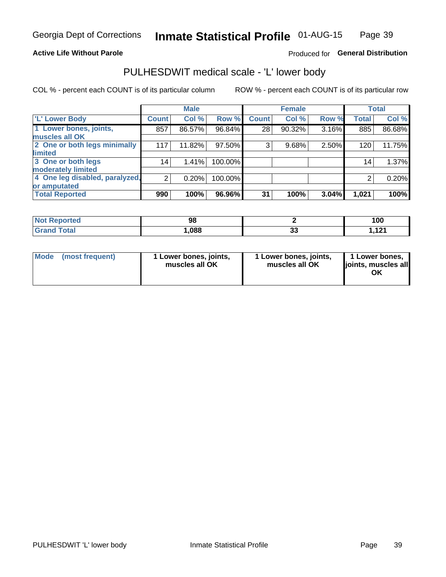### **Active Life Without Parole**

### Produced for General Distribution

## PULHESDWIT medical scale - 'L' lower body

COL % - percent each COUNT is of its particular column

|                                |                 | <b>Male</b> |         |              | <b>Female</b> |       |              | <b>Total</b> |
|--------------------------------|-----------------|-------------|---------|--------------|---------------|-------|--------------|--------------|
| 'L' Lower Body                 | <b>Count</b>    | Col %       | Row %   | <b>Count</b> | Col %         | Row % | <b>Total</b> | Col %        |
| 1 Lower bones, joints,         | 857             | 86.57%      | 96.84%  | 28           | 90.32%        | 3.16% | 885          | 86.68%       |
| muscles all OK                 |                 |             |         |              |               |       |              |              |
| 2 One or both legs minimally   | 117             | 11.82%      | 97.50%  | 3            | 9.68%         | 2.50% | 120          | 11.75%       |
| limited                        |                 |             |         |              |               |       |              |              |
| 3 One or both legs             | 14 <sub>1</sub> | 1.41%       | 100.00% |              |               |       | 14           | 1.37%        |
| moderately limited             |                 |             |         |              |               |       |              |              |
| 4 One leg disabled, paralyzed, | $\overline{2}$  | 0.20%       | 100.00% |              |               |       | 2            | 0.20%        |
| or amputated                   |                 |             |         |              |               |       |              |              |
| <b>Total Reported</b>          | 990             | 100%        | 96.96%  | 31           | 100%          | 3.04% | 1,021        | 100%         |

| <b>Not Reported</b> | 98   |   | 100      |
|---------------------|------|---|----------|
| <b>Total</b>        | ,088 | ◡ | 101<br>. |

| Mode | (most frequent) | 1 Lower bones, joints,<br>muscles all OK | 1 Lower bones, joints,<br>muscles all OK | 1 Lower bones,<br>ljoints, muscles all<br>OK |
|------|-----------------|------------------------------------------|------------------------------------------|----------------------------------------------|
|------|-----------------|------------------------------------------|------------------------------------------|----------------------------------------------|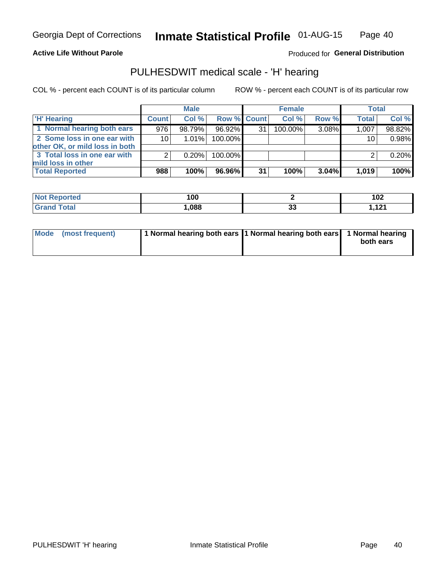**Active Life Without Parole** 

Produced for General Distribution

## PULHESDWIT medical scale - 'H' hearing

COL % - percent each COUNT is of its particular column

|                                                               |              | <b>Male</b> |             |    | <b>Female</b> |       | <b>Total</b>    |        |
|---------------------------------------------------------------|--------------|-------------|-------------|----|---------------|-------|-----------------|--------|
| <b>H'</b> Hearing                                             | <b>Count</b> | Col %       | Row % Count |    | Col%          | Row % | <b>Total</b>    | Col %  |
| 1 Normal hearing both ears                                    | 976          | 98.79%      | 96.92%      | 31 | $100.00\%$    | 3.08% | 1,007           | 98.82% |
| 2 Some loss in one ear with<br>other OK, or mild loss in both | 10           | 1.01%       | 100.00%     |    |               |       | 10 <sub>1</sub> | 0.98%  |
| 3 Total loss in one ear with<br>mild loss in other            | 2            | 0.20%       | 100.00%     |    |               |       |                 | 0.20%  |
| <b>Total Reported</b>                                         | 988          | 100%        | 96.96%      | 31 | 100%          | 3.04% | 1,019           | 100%   |

| <b>Not</b><br>Reported | 100  |          | 102                 |
|------------------------|------|----------|---------------------|
| <b>Total</b>           | ,088 | n.<br>vu | 121<br>. <i>.</i> . |

| Mode (most frequent) | 1 Normal hearing both ears 1 Normal hearing both ears 1 Normal hearing | both ears |
|----------------------|------------------------------------------------------------------------|-----------|
|----------------------|------------------------------------------------------------------------|-----------|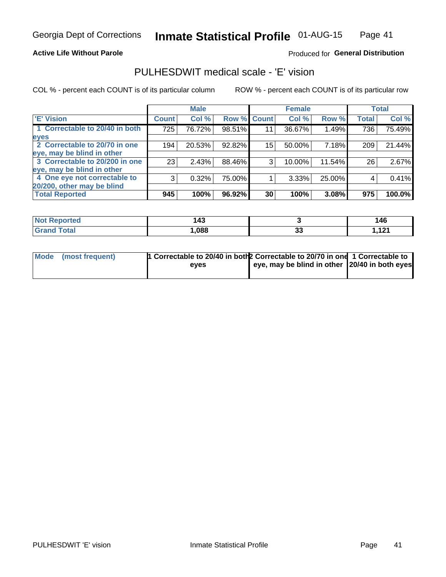### **Active Life Without Parole**

### Produced for General Distribution

## PULHESDWIT medical scale - 'E' vision

COL % - percent each COUNT is of its particular column

|                                |                    | <b>Male</b> |             |    | <b>Female</b> |        |              | <b>Total</b> |
|--------------------------------|--------------------|-------------|-------------|----|---------------|--------|--------------|--------------|
| <b>E' Vision</b>               | Count <sup>'</sup> | Col %       | Row % Count |    | Col %         | Row %  | <b>Total</b> | Col %        |
| 1 Correctable to 20/40 in both | 725                | 76.72%      | 98.51%      | 11 | 36.67%        | 1.49%  | 736          | 75.49%       |
| eyes                           |                    |             |             |    |               |        |              |              |
| 2 Correctable to 20/70 in one  | 194                | 20.53%      | 92.82%      | 15 | 50.00%        | 7.18%  | 209          | 21.44%       |
| eye, may be blind in other     |                    |             |             |    |               |        |              |              |
| 3 Correctable to 20/200 in one | 23                 | 2.43%       | 88.46%      | 3  | 10.00%        | 11.54% | 26           | 2.67%        |
| eye, may be blind in other     |                    |             |             |    |               |        |              |              |
| 4 One eye not correctable to   | 3                  | 0.32%       | 75.00%      |    | 3.33%         | 25.00% | 4            | 0.41%        |
| 20/200, other may be blind     |                    |             |             |    |               |        |              |              |
| <b>Total Reported</b>          | 945                | 100%        | 96.92%      | 30 | 100%          | 3.08%  | 975          | 100.0%       |

| <b>Not Reported</b> | $\overline{A}$<br>. |    | 146  |
|---------------------|---------------------|----|------|
| <b>Total</b>        | ,088                |    | 4.04 |
| Grand               |                     | J. | .    |

| Mode (most frequent) | 1 Correctable to 20/40 in both 2 Correctable to 20/70 in one 1 Correctable to |                                               |  |
|----------------------|-------------------------------------------------------------------------------|-----------------------------------------------|--|
|                      | eves                                                                          | eye, may be blind in other 20/40 in both eyes |  |
|                      |                                                                               |                                               |  |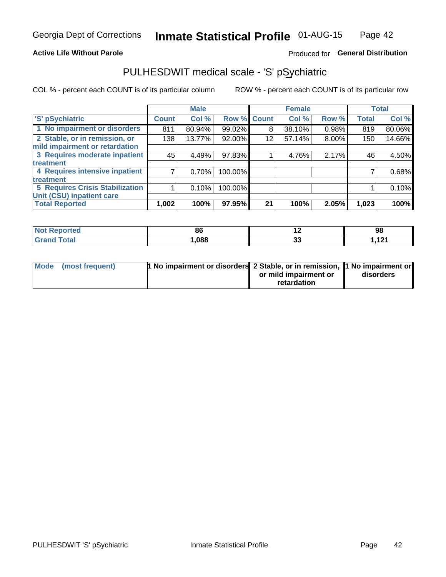### **Active Life Without Parole**

### Produced for General Distribution

## PULHESDWIT medical scale - 'S' pSychiatric

COL % - percent each COUNT is of its particular column

|                                        |              | <b>Male</b> |         |             | <b>Female</b> |       |              | <b>Total</b> |
|----------------------------------------|--------------|-------------|---------|-------------|---------------|-------|--------------|--------------|
| 'S' pSychiatric                        | <b>Count</b> | Col %       |         | Row % Count | Col %         | Row % | <b>Total</b> | Col %        |
| 1 No impairment or disorders           | 811          | 80.94%      | 99.02%  | 8           | 38.10%        | 0.98% | 819          | 80.06%       |
| 2 Stable, or in remission, or          | 138          | 13.77%      | 92.00%  | 12          | 57.14%        | 8.00% | 150          | 14.66%       |
| mild impairment or retardation         |              |             |         |             |               |       |              |              |
| 3 Requires moderate inpatient          | 45           | 4.49%       | 97.83%  |             | 4.76%         | 2.17% | 46           | 4.50%        |
| treatment                              |              |             |         |             |               |       |              |              |
| 4 Requires intensive inpatient         |              | 0.70%       | 100.00% |             |               |       |              | 0.68%        |
| treatment                              |              |             |         |             |               |       |              |              |
| <b>5 Requires Crisis Stabilization</b> |              | 0.10%       | 100.00% |             |               |       |              | 0.10%        |
| Unit (CSU) inpatient care              |              |             |         |             |               |       |              |              |
| <b>Total Reported</b>                  | 1,002        | 100%        | 97.95%  | 21          | 100%          | 2.05% | 1,023        | 100%         |

| <b>Not Reported</b> | 86   | $-$     | 98       |
|---------------------|------|---------|----------|
| <b>Grand Total</b>  | ,088 | ^^<br>◡ | 121<br>. |

| Mode (most frequent) | <b>1 No impairment or disorders</b> 2 Stable, or in remission, 11 No impairment or |                       |           |
|----------------------|------------------------------------------------------------------------------------|-----------------------|-----------|
|                      |                                                                                    | or mild impairment or | disorders |
|                      |                                                                                    | retardation           |           |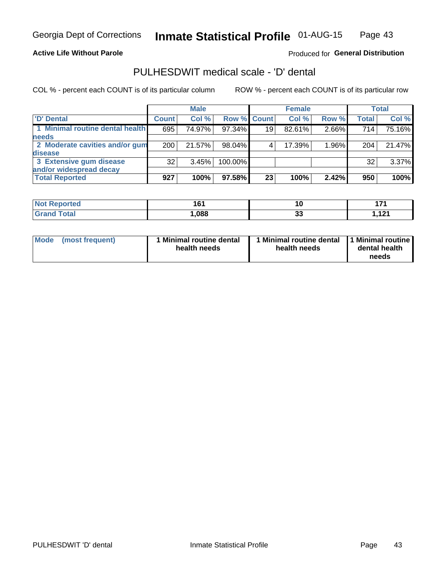### **Active Life Without Parole**

### Produced for General Distribution

## PULHESDWIT medical scale - 'D' dental

COL % - percent each COUNT is of its particular column

|                                 |              | <b>Male</b> |         |             | <b>Female</b> |       |              | Total  |
|---------------------------------|--------------|-------------|---------|-------------|---------------|-------|--------------|--------|
| 'D' Dental                      | <b>Count</b> | Col %       |         | Row % Count | Col %         | Row % | <b>Total</b> | Col %  |
| 1 Minimal routine dental health | 695          | 74.97%      | 97.34%  | 19          | 82.61%        | 2.66% | 714          | 75.16% |
| <b>needs</b>                    |              |             |         |             |               |       |              |        |
| 2 Moderate cavities and/or gum  | 200          | 21.57%      | 98.04%  |             | 17.39%        | 1.96% | 204          | 21.47% |
| disease                         |              |             |         |             |               |       |              |        |
| 3 Extensive gum disease         | 32           | 3.45%       | 100.00% |             |               |       | 32           | 3.37%  |
| and/or widespread decay         |              |             |         |             |               |       |              |        |
| <b>Total Reported</b>           | 927          | 100%        | 97.58%  | 23          | 100%          | 2.42% | 950          | 100%   |

| <b>rorted</b><br>∵NΩ1. | 161<br>u | ו ש             |          |
|------------------------|----------|-----------------|----------|
| <b>Total</b>           | .088     | $\bullet$<br>uu | 101<br>. |

| <b>Mode</b><br>(most frequent) | Minimal routine dental<br>health needs | I Minimal routine dental<br>health needs | 11 Minimal routine I<br>dental health<br>needs |
|--------------------------------|----------------------------------------|------------------------------------------|------------------------------------------------|
|--------------------------------|----------------------------------------|------------------------------------------|------------------------------------------------|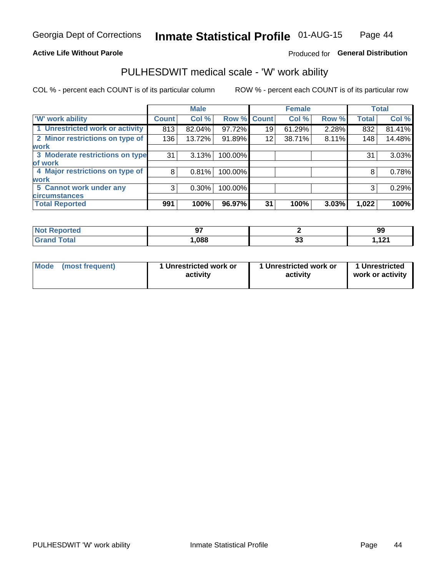### **Active Life Without Parole**

### Produced for General Distribution

## PULHESDWIT medical scale - 'W' work ability

COL % - percent each COUNT is of its particular column

|                                 |              | <b>Male</b> |         |             | <b>Female</b> |       |              | <b>Total</b> |
|---------------------------------|--------------|-------------|---------|-------------|---------------|-------|--------------|--------------|
| <b>W' work ability</b>          | <b>Count</b> | Col %       |         | Row % Count | Col %         | Row % | <b>Total</b> | Col %        |
| 1 Unrestricted work or activity | 813          | 82.04%      | 97.72%  | 19          | 61.29%        | 2.28% | 832          | 81.41%       |
| 2 Minor restrictions on type of | 136          | 13.72%      | 91.89%  | 12          | 38.71%        | 8.11% | 148          | 14.48%       |
| <b>work</b>                     |              |             |         |             |               |       |              |              |
| 3 Moderate restrictions on type | 31           | 3.13%       | 100.00% |             |               |       | 31           | 3.03%        |
| lof work                        |              |             |         |             |               |       |              |              |
| 4 Major restrictions on type of | 8            | 0.81%       | 100.00% |             |               |       | 8            | 0.78%        |
| <b>work</b>                     |              |             |         |             |               |       |              |              |
| 5 Cannot work under any         | 3            | $0.30\%$    | 100.00% |             |               |       | 3            | 0.29%        |
| <b>circumstances</b>            |              |             |         |             |               |       |              |              |
| <b>Total Reported</b>           | 991          | 100%        | 96.97%  | 31          | 100%          | 3.03% | 1,022        | 100%         |

| <b>Reported</b><br><b>NOT</b> |      |          | 99       |
|-------------------------------|------|----------|----------|
| <b>Total</b>                  | ,088 | n.<br>uu | 101<br>. |

| <b>Mode</b> | (most frequent) | 1 Unrestricted work or<br>activity | 1 Unrestricted work or<br>activity | 1 Unrestricted<br>work or activity |
|-------------|-----------------|------------------------------------|------------------------------------|------------------------------------|
|-------------|-----------------|------------------------------------|------------------------------------|------------------------------------|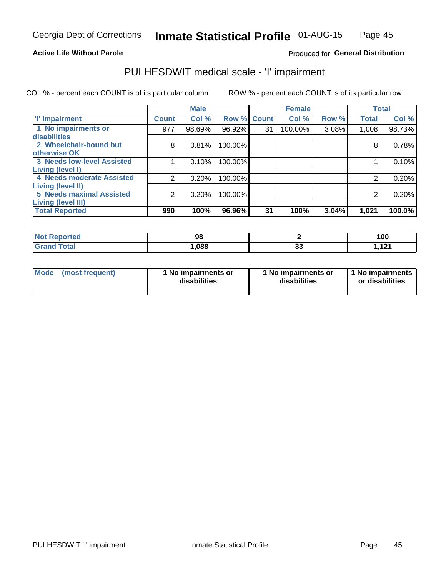### **Active Life Without Parole**

### Produced for General Distribution

## PULHESDWIT medical scale - 'I' impairment

COL % - percent each COUNT is of its particular column ROW % - percent each COUNT is of its particular row

|                                   |              | <b>Male</b> |             |    | <b>Female</b> |       |              | <b>Total</b> |
|-----------------------------------|--------------|-------------|-------------|----|---------------|-------|--------------|--------------|
| <b>T' Impairment</b>              | <b>Count</b> | Col %       | Row % Count |    | Col %         | Row % | <b>Total</b> | Col %        |
| 1 No impairments or               | 977          | 98.69%      | 96.92%      | 31 | 100.00%       | 3.08% | 1,008        | 98.73%       |
| disabilities                      |              |             |             |    |               |       |              |              |
| 2 Wheelchair-bound but            | 8            | 0.81%       | 100.00%     |    |               |       | 8            | 0.78%        |
| otherwise OK                      |              |             |             |    |               |       |              |              |
| <b>3 Needs low-level Assisted</b> |              | 0.10%       | 100.00%     |    |               |       |              | 0.10%        |
| Living (level I)                  |              |             |             |    |               |       |              |              |
| 4 Needs moderate Assisted         | 2            | 0.20%       | 100.00%     |    |               |       |              | 0.20%        |
| Living (level II)                 |              |             |             |    |               |       |              |              |
| <b>5 Needs maximal Assisted</b>   | 2            | 0.20%       | 100.00%     |    |               |       | 2            | 0.20%        |
| <b>Living (level III)</b>         |              |             |             |    |               |       |              |              |
| <b>Total Reported</b>             | 990          | 100%        | 96.96%      | 31 | 100%          | 3.04% | 1,021        | 100.0%       |

| Reported     | 98   |    | 100            |
|--------------|------|----|----------------|
| <b>Total</b> | ,088 | uu | 121<br>ا کا را |

| <b>Mode</b> | (most frequent) | 1 No impairments or<br>disabilities | 1 No impairments or<br>disabilities | 1 No impairments<br>or disabilities |
|-------------|-----------------|-------------------------------------|-------------------------------------|-------------------------------------|
|-------------|-----------------|-------------------------------------|-------------------------------------|-------------------------------------|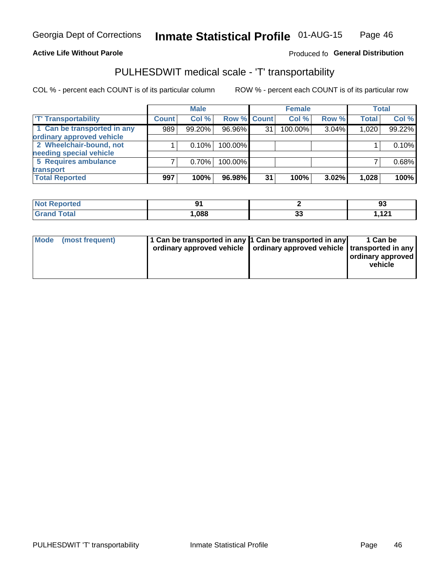### **Active Life Without Parole**

### Produced fo General Distribution

## PULHESDWIT medical scale - 'T' transportability

COL % - percent each COUNT is of its particular column

|                             |              | <b>Male</b> |             |    | <b>Female</b> |       |              | <b>Total</b> |
|-----------------------------|--------------|-------------|-------------|----|---------------|-------|--------------|--------------|
| <b>T' Transportability</b>  | <b>Count</b> | Col %       | Row % Count |    | Col %         | Row % | <b>Total</b> | Col %        |
| 1 Can be transported in any | 989          | 99.20%      | 96.96%      | 31 | 100.00%       | 3.04% | 1,020        | 99.22%       |
| ordinary approved vehicle   |              |             |             |    |               |       |              |              |
| 2 Wheelchair-bound, not     |              | 0.10%       | 100.00%     |    |               |       |              | 0.10%        |
| needing special vehicle     |              |             |             |    |               |       |              |              |
| 5 Requires ambulance        |              | 0.70%       | 100.00%     |    |               |       |              | 0.68%        |
| transport                   |              |             |             |    |               |       |              |              |
| <b>Total Reported</b>       | 997          | 100%        | 96.98%      | 31 | 100%          | 3.02% | 1,028        | 100%         |

| <b>eported</b> | n.   |    | റാ<br>ັບ        |
|----------------|------|----|-----------------|
|                | .088 | vu | 1.21<br>ا کا را |

| Mode (most frequent) | 1 Can be transported in any 1 Can be transported in any | ordinary approved vehicle   ordinary approved vehicle   transported in any | 1 Can be<br>ordinary approved<br>vehicle |
|----------------------|---------------------------------------------------------|----------------------------------------------------------------------------|------------------------------------------|
|                      |                                                         |                                                                            |                                          |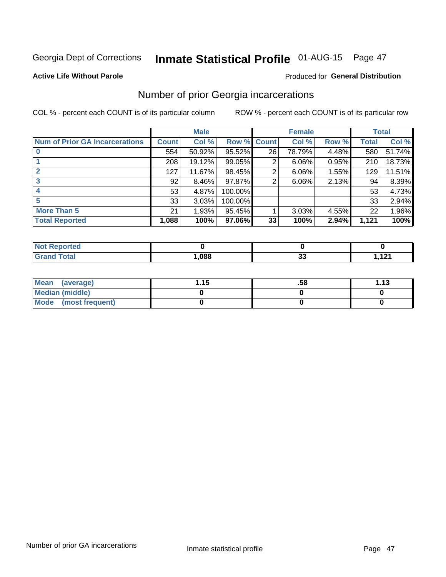## Inmate Statistical Profile 01-AUG-15 Page 47

#### **Active Life Without Parole**

### **Produced for General Distribution**

## Number of prior Georgia incarcerations

COL % - percent each COUNT is of its particular column

|                                       |              | <b>Male</b> |             |    | <b>Female</b> |       |       | <b>Total</b> |
|---------------------------------------|--------------|-------------|-------------|----|---------------|-------|-------|--------------|
| <b>Num of Prior GA Incarcerations</b> | <b>Count</b> | Col %       | Row % Count |    | Col %         | Row % | Total | Col %        |
|                                       | 554          | 50.92%      | 95.52%      | 26 | 78.79%        | 4.48% | 580   | 51.74%       |
|                                       | 208          | 19.12%      | 99.05%      | 2  | 6.06%         | 0.95% | 210   | 18.73%       |
|                                       | 127          | 11.67%      | 98.45%      | 2  | 6.06%         | 1.55% | 129   | 11.51%       |
| 3                                     | 92           | 8.46%       | $97.87\%$   | 2  | 6.06%         | 2.13% | 94    | 8.39%        |
| 4                                     | 53           | 4.87%       | 100.00%     |    |               |       | 53    | 4.73%        |
| 5                                     | 33           | 3.03%       | 100.00%     |    |               |       | 33    | 2.94%        |
| <b>More Than 5</b>                    | 21           | 1.93%       | 95.45%      |    | 3.03%         | 4.55% | 22    | 1.96%        |
| <b>Total Reported</b>                 | 1,088        | 100%        | 97.06%      | 33 | 100%          | 2.94% | 1,121 | 100%         |

| orted<br>NA      |      |     |        |
|------------------|------|-----|--------|
| <b>cotal</b>     | ,088 | . . | 4. 94  |
| $\mathbf{v}$ and |      | ູ   | ,,,,,, |

| Mean (average)       | 1.15 | .58 | 1.13 |
|----------------------|------|-----|------|
| Median (middle)      |      |     |      |
| Mode (most frequent) |      |     |      |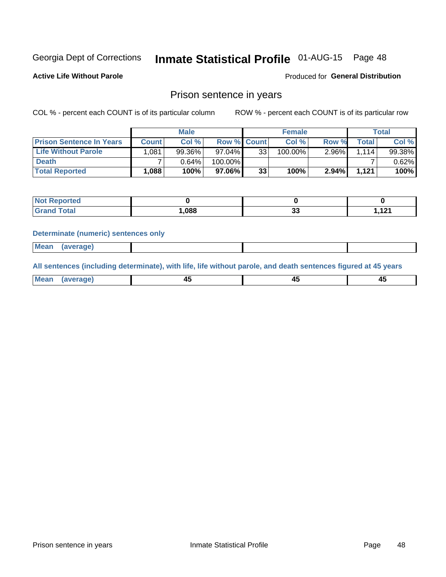## Inmate Statistical Profile 01-AUG-15 Page 48

**Active Life Without Parole** 

Produced for General Distribution

### Prison sentence in years

COL % - percent each COUNT is of its particular column

ROW % - percent each COUNT is of its particular row

|                                 |              | <b>Male</b> |                    |    | <b>Female</b> |          |             | Total  |
|---------------------------------|--------------|-------------|--------------------|----|---------------|----------|-------------|--------|
| <b>Prison Sentence In Years</b> | <b>Count</b> | Col %       | <b>Row % Count</b> |    | $Col \%$      | Row %    | $\tau$ otal | Col %  |
| <b>Life Without Parole</b>      | .081         | 99.36%      | $97.04\%$          | 33 | 100.00%       | $2.96\%$ | 1.114       | 99.38% |
| <b>Death</b>                    |              | 0.64%       | 100.00%            |    |               |          |             | 0.62%  |
| <b>Total Reported</b>           | .088         | 100%        | 97.06%             | 33 | 100%          | $2.94\%$ | 1,121       | 100%   |

| <b>eported</b> |       |                 |          |
|----------------|-------|-----------------|----------|
| <b>otal</b>    | 880,1 | ~~<br><u>JJ</u> | 101<br>. |

#### **Determinate (numeric) sentences only**

| ' Mea<br><b>Service</b> A<br>ЯМА. |  |  |  |
|-----------------------------------|--|--|--|
|                                   |  |  |  |

All sentences (including determinate), with life, life without parole, and death sentences figured at 45 years

| l Mea<br>חר<br> | ᠇៶<br>$\sim$ | $\sim$ | ╌ |
|-----------------|--------------|--------|---|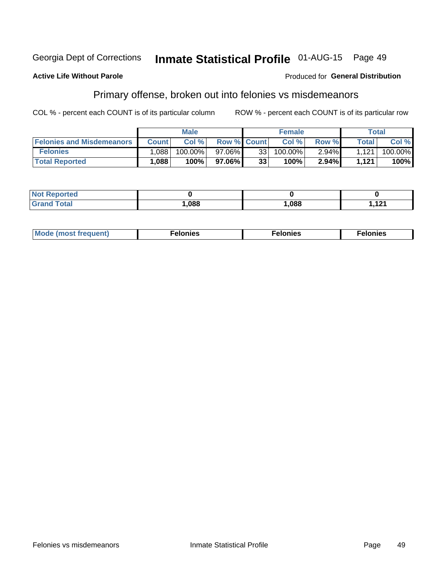#### Inmate Statistical Profile 01-AUG-15 Page 49 Georgia Dept of Corrections

#### **Active Life Without Parole**

#### Produced for General Distribution

## Primary offense, broken out into felonies vs misdemeanors

COL % - percent each COUNT is of its particular column

|                                  |              | <b>Male</b> |                    |    | <b>Female</b> |          |              | Total   |
|----------------------------------|--------------|-------------|--------------------|----|---------------|----------|--------------|---------|
| <b>Felonies and Misdemeanors</b> | <b>Count</b> | Col%        | <b>Row % Count</b> |    | Col%          | Row %    | <b>Total</b> | Col %   |
| <b>Felonies</b>                  | 880,         | 100.00%     | 97.06%             | 33 | $100.00\%$    | $2.94\%$ | 1.121        | 100.00% |
| <b>Total Reported</b>            | .088         | $100\%$     | 97.06%             | 33 | 100%          | $2.94\%$ | 1,121        | 100%    |

| <b>Not Reported</b> |      |      |          |
|---------------------|------|------|----------|
| <b>Grand Total</b>  | ,088 | ,088 | 121<br>. |

| <b>Mode</b><br>frequent)<br>nies<br>≧ (most tr.<br>. | onies<br>. | lonies<br>ею<br>____ |
|------------------------------------------------------|------------|----------------------|
|------------------------------------------------------|------------|----------------------|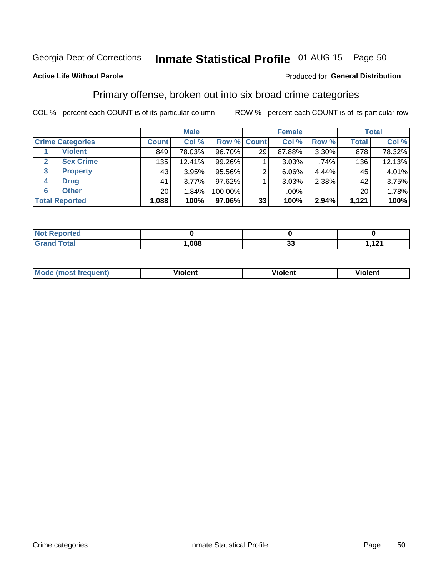## Inmate Statistical Profile 01-AUG-15 Page 50

### **Active Life Without Parole**

#### Produced for General Distribution

## Primary offense, broken out into six broad crime categories

COL % - percent each COUNT is of its particular column

|                         |              | <b>Male</b> |             |    | <b>Female</b> |       |                 | <b>Total</b> |
|-------------------------|--------------|-------------|-------------|----|---------------|-------|-----------------|--------------|
| <b>Crime Categories</b> | <b>Count</b> | Col %       | Row % Count |    | Col %         | Row % | <b>Total</b>    | Col %        |
| <b>Violent</b>          | 849          | 78.03%      | 96.70%      | 29 | 87.88%        | 3.30% | 878             | 78.32%       |
| <b>Sex Crime</b>        | 135          | 12.41%      | 99.26%      |    | 3.03%         | .74%  | 136             | 12.13%       |
| 3<br><b>Property</b>    | 43           | 3.95%       | 95.56%      | 2  | 6.06%         | 4.44% | 45              | 4.01%        |
| <b>Drug</b><br>4        | 41           | 3.77%       | $97.62\%$   |    | 3.03%         | 2.38% | 42 <sup>1</sup> | 3.75%        |
| <b>Other</b><br>6       | 20           | 1.84%       | 100.00%     |    | .00%          |       | 20              | 1.78%        |
| <b>Total Reported</b>   | 1,088        | 100%        | 97.06%      | 33 | 100%          | 2.94% | 1,121           | 100%         |

| <b>Not Reported</b> |      |          |            |
|---------------------|------|----------|------------|
| <b>Total</b>        | ,088 | ^^<br>u, | 4. 94<br>. |

| M | . | 40 O |
|---|---|------|
|   |   |      |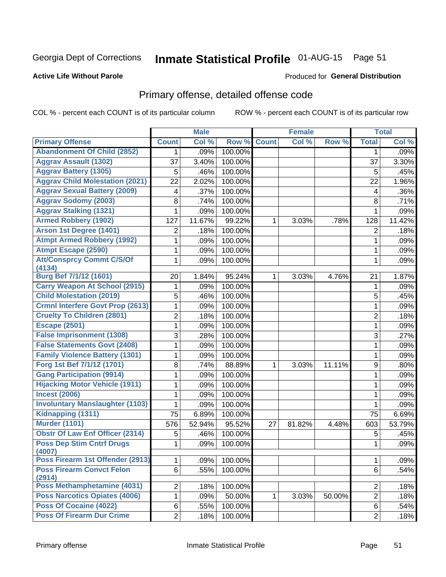## Inmate Statistical Profile 01-AUG-15 Page 51

#### **Active Life Without Parole**

#### Produced for General Distribution

## Primary offense, detailed offense code

COL % - percent each COUNT is of its particular column

|                                                                         |                | <b>Male</b> |         |              | <b>Female</b> |        |                | <b>Total</b> |
|-------------------------------------------------------------------------|----------------|-------------|---------|--------------|---------------|--------|----------------|--------------|
| <b>Primary Offense</b>                                                  | <b>Count</b>   | Col %       | Row %   | <b>Count</b> | Col %         | Row %  | <b>Total</b>   | Col %        |
| <b>Abandonment Of Child (2852)</b>                                      | 1              | .09%        | 100.00% |              |               |        | 1              | .09%         |
| <b>Aggrav Assault (1302)</b>                                            | 37             | 3.40%       | 100.00% |              |               |        | 37             | 3.30%        |
| <b>Aggrav Battery (1305)</b>                                            | 5              | .46%        | 100.00% |              |               |        | 5              | .45%         |
| <b>Aggrav Child Molestation (2021)</b>                                  | 22             | 2.02%       | 100.00% |              |               |        | 22             | 1.96%        |
| <b>Aggrav Sexual Battery (2009)</b>                                     | 4              | .37%        | 100.00% |              |               |        | 4              | .36%         |
| <b>Aggrav Sodomy (2003)</b>                                             | 8              | .74%        | 100.00% |              |               |        | 8              | .71%         |
| <b>Aggrav Stalking (1321)</b>                                           | 1              | .09%        | 100.00% |              |               |        | $\mathbf{1}$   | .09%         |
| <b>Armed Robbery (1902)</b>                                             | 127            | 11.67%      | 99.22%  | 1            | 3.03%         | .78%   | 128            | 11.42%       |
| Arson 1st Degree (1401)                                                 | 2              | .18%        | 100.00% |              |               |        | 2              | .18%         |
| <b>Atmpt Armed Robbery (1992)</b>                                       | 1              | .09%        | 100.00% |              |               |        | 1              | .09%         |
| <b>Atmpt Escape (2590)</b>                                              | 1              | .09%        | 100.00% |              |               |        | 1              | .09%         |
| <b>Att/Consprcy Commt C/S/Of</b>                                        | 1              | .09%        | 100.00% |              |               |        | $\mathbf{1}$   | .09%         |
| (4134)                                                                  |                |             |         |              |               |        |                |              |
| Burg Bef 7/1/12 (1601)                                                  | 20             | 1.84%       | 95.24%  | 1            | 3.03%         | 4.76%  | 21             | 1.87%        |
| <b>Carry Weapon At School (2915)</b><br><b>Child Molestation (2019)</b> | 1              | .09%        | 100.00% |              |               |        | 1              | .09%         |
|                                                                         | 5              | .46%        | 100.00% |              |               |        | 5              | .45%         |
| <b>Crmnl Interfere Govt Prop (2613)</b>                                 | 1              | .09%        | 100.00% |              |               |        | $\mathbf{1}$   | .09%         |
| <b>Cruelty To Children (2801)</b>                                       | $\overline{2}$ | .18%        | 100.00% |              |               |        | $\overline{2}$ | .18%         |
| <b>Escape (2501)</b>                                                    | 1              | .09%        | 100.00% |              |               |        | $\mathbf{1}$   | .09%         |
| <b>False Imprisonment (1308)</b>                                        | 3              | .28%        | 100.00% |              |               |        | 3              | .27%         |
| <b>False Statements Govt (2408)</b>                                     | 1              | .09%        | 100.00% |              |               |        | $\mathbf{1}$   | .09%         |
| <b>Family Violence Battery (1301)</b>                                   | 1              | .09%        | 100.00% |              |               |        | $\mathbf{1}$   | .09%         |
| Forg 1st Bef 7/1/12 (1701)                                              | 8              | .74%        | 88.89%  | 1            | 3.03%         | 11.11% | 9              | .80%         |
| <b>Gang Participation (9914)</b>                                        | 1              | .09%        | 100.00% |              |               |        | 1              | .09%         |
| <b>Hijacking Motor Vehicle (1911)</b>                                   | 1              | .09%        | 100.00% |              |               |        | $\mathbf{1}$   | .09%         |
| <b>Incest (2006)</b>                                                    | 1              | .09%        | 100.00% |              |               |        | $\mathbf{1}$   | .09%         |
| <b>Involuntary Manslaughter (1103)</b>                                  | 1              | .09%        | 100.00% |              |               |        | 1              | .09%         |
| Kidnapping (1311)                                                       | 75             | 6.89%       | 100.00% |              |               |        | 75             | 6.69%        |
| <b>Murder (1101)</b>                                                    | 576            | 52.94%      | 95.52%  | 27           | 81.82%        | 4.48%  | 603            | 53.79%       |
| <b>Obstr Of Law Enf Officer (2314)</b>                                  | 5              | .46%        | 100.00% |              |               |        | 5              | .45%         |
| <b>Poss Dep Stim Cntrf Drugs</b><br>(4007)                              | 1              | .09%        | 100.00% |              |               |        | 1              | .09%         |
| Poss Firearm 1st Offender (2913)                                        | 1              | .09%        | 100.00% |              |               |        | 1              | .09%         |
| <b>Poss Firearm Convct Felon</b><br>(2914)                              | 6              | .55%        | 100.00% |              |               |        | 6              | .54%         |
| Poss Methamphetamine (4031)                                             | $\overline{2}$ | .18%        | 100.00% |              |               |        | $\overline{2}$ | .18%         |
| <b>Poss Narcotics Opiates (4006)</b>                                    | 1              | .09%        | 50.00%  | 1.           | 3.03%         | 50.00% | $\overline{2}$ | .18%         |
| Poss Of Cocaine (4022)                                                  | $\,6\,$        | .55%        | 100.00% |              |               |        | 6              | .54%         |
| <b>Poss Of Firearm Dur Crime</b>                                        | $\overline{2}$ | .18%        | 100.00% |              |               |        | $\overline{2}$ | .18%         |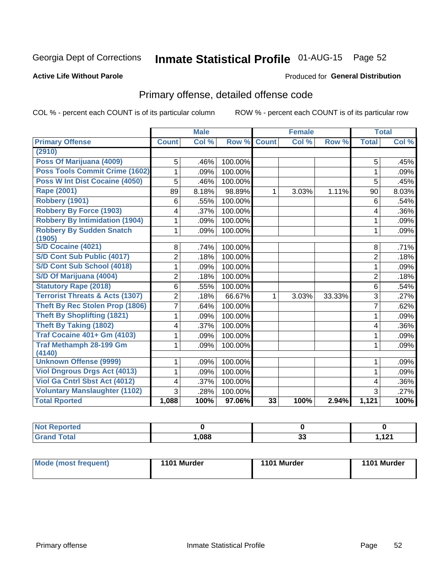## Inmate Statistical Profile 01-AUG-15 Page 52

### **Active Life Without Parole**

#### Produced for General Distribution

## Primary offense, detailed offense code

COL % - percent each COUNT is of its particular column

|                                            |                | <b>Male</b> |         | <b>Female</b> |       |        | <b>Total</b>   |       |
|--------------------------------------------|----------------|-------------|---------|---------------|-------|--------|----------------|-------|
| <b>Primary Offense</b>                     | <b>Count</b>   | Col %       | Row %   | <b>Count</b>  | Col % | Row %  | <b>Total</b>   | Col % |
| (2910)                                     |                |             |         |               |       |        |                |       |
| Poss Of Marijuana (4009)                   | 5              | .46%        | 100.00% |               |       |        | 5              | .45%  |
| Poss Tools Commit Crime (1602)             | 1              | .09%        | 100.00% |               |       |        | 1              | .09%  |
| Poss W Int Dist Cocaine (4050)             | 5              | .46%        | 100.00% |               |       |        | 5              | .45%  |
| <b>Rape (2001)</b>                         | 89             | 8.18%       | 98.89%  | 1             | 3.03% | 1.11%  | 90             | 8.03% |
| Robbery (1901)                             | 6              | .55%        | 100.00% |               |       |        | 6              | .54%  |
| <b>Robbery By Force (1903)</b>             | 4              | .37%        | 100.00% |               |       |        | 4              | .36%  |
| <b>Robbery By Intimidation (1904)</b>      | 1              | .09%        | 100.00% |               |       |        | 1              | .09%  |
| <b>Robbery By Sudden Snatch</b>            | 1              | .09%        | 100.00% |               |       |        | 1              | .09%  |
| (1905)                                     |                |             |         |               |       |        |                |       |
| <b>S/D Cocaine (4021)</b>                  | 8              | .74%        | 100.00% |               |       |        | 8              | .71%  |
| S/D Cont Sub Public (4017)                 | $\overline{2}$ | .18%        | 100.00% |               |       |        | $\overline{2}$ | .18%  |
| S/D Cont Sub School (4018)                 | 1              | .09%        | 100.00% |               |       |        | 1              | .09%  |
| S/D Of Marijuana (4004)                    | 2              | .18%        | 100.00% |               |       |        | $\overline{2}$ | .18%  |
| <b>Statutory Rape (2018)</b>               | $6\phantom{1}$ | .55%        | 100.00% |               |       |        | 6              | .54%  |
| <b>Terrorist Threats &amp; Acts (1307)</b> | $\overline{2}$ | .18%        | 66.67%  | 1             | 3.03% | 33.33% | 3              | .27%  |
| <b>Theft By Rec Stolen Prop (1806)</b>     | $\overline{7}$ | .64%        | 100.00% |               |       |        | $\overline{7}$ | .62%  |
| <b>Theft By Shoplifting (1821)</b>         | 1              | .09%        | 100.00% |               |       |        | 1              | .09%  |
| <b>Theft By Taking (1802)</b>              | 4              | .37%        | 100.00% |               |       |        | 4              | .36%  |
| <b>Traf Cocaine 401+ Gm (4103)</b>         | 1              | .09%        | 100.00% |               |       |        | 1              | .09%  |
| <b>Traf Methamph 28-199 Gm</b><br>(4140)   | 1              | .09%        | 100.00% |               |       |        | 1              | .09%  |
| <b>Unknown Offense (9999)</b>              | 1              | .09%        | 100.00% |               |       |        | 1              | .09%  |
| <b>Viol Dngrous Drgs Act (4013)</b>        | 1              | .09%        | 100.00% |               |       |        | 1              | .09%  |
| Viol Ga Cntrl Sbst Act (4012)              | 4              | .37%        | 100.00% |               |       |        | 4              | .36%  |
| <b>Voluntary Manslaughter (1102)</b>       | 3              | .28%        | 100.00% |               |       |        | 3              | .27%  |
| <b>Total Rported</b>                       | 1,088          | 100%        | 97.06%  | 33            | 100%  | 2.94%  | 1,121          | 100%  |

| ported<br><b>NOT</b> |      |    |                |
|----------------------|------|----|----------------|
| <b>ota</b><br>______ | ,088 | vv | 121<br>, , , , |

| Mode (most frequent) | 1101 Murder | 1101 Murder | 1101 Murder |
|----------------------|-------------|-------------|-------------|
|                      |             |             |             |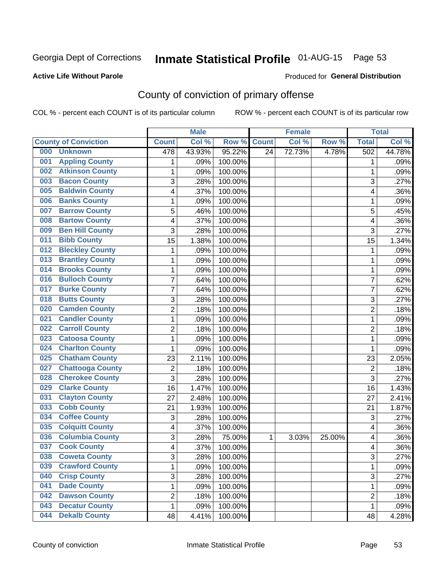## Inmate Statistical Profile 01-AUG-15 Page 53

### **Active Life Without Parole**

#### Produced for General Distribution

## County of conviction of primary offense

COL % - percent each COUNT is of its particular column

|                                |                           | <b>Male</b> |         |                 | <b>Female</b> |        |                | <b>Total</b> |
|--------------------------------|---------------------------|-------------|---------|-----------------|---------------|--------|----------------|--------------|
| <b>County of Conviction</b>    | <b>Count</b>              | Col%        | Row %   | <b>Count</b>    | Col %         | Row %  | <b>Total</b>   | Col %        |
| 000<br><b>Unknown</b>          | 478                       | 43.93%      | 95.22%  | $\overline{24}$ | 72.73%        | 4.78%  | 502            | 44.78%       |
| <b>Appling County</b><br>001   | 1                         | .09%        | 100.00% |                 |               |        | 1              | .09%         |
| <b>Atkinson County</b><br>002  | 1                         | .09%        | 100.00% |                 |               |        | 1              | .09%         |
| <b>Bacon County</b><br>003     | $\overline{3}$            | .28%        | 100.00% |                 |               |        | 3              | .27%         |
| <b>Baldwin County</b><br>005   | 4                         | .37%        | 100.00% |                 |               |        | 4              | .36%         |
| <b>Banks County</b><br>006     | $\mathbf{1}$              | .09%        | 100.00% |                 |               |        | $\mathbf{1}$   | .09%         |
| <b>Barrow County</b><br>007    | 5                         | .46%        | 100.00% |                 |               |        | 5              | .45%         |
| <b>Bartow County</b><br>008    | 4                         | .37%        | 100.00% |                 |               |        | 4              | .36%         |
| <b>Ben Hill County</b><br>009  | 3                         | .28%        | 100.00% |                 |               |        | 3              | .27%         |
| <b>Bibb County</b><br>011      | 15                        | 1.38%       | 100.00% |                 |               |        | 15             | 1.34%        |
| <b>Bleckley County</b><br>012  | $\mathbf{1}$              | .09%        | 100.00% |                 |               |        | 1              | .09%         |
| <b>Brantley County</b><br>013  | 1                         | .09%        | 100.00% |                 |               |        | 1              | .09%         |
| <b>Brooks County</b><br>014    | $\mathbf{1}$              | .09%        | 100.00% |                 |               |        | $\mathbf 1$    | .09%         |
| <b>Bulloch County</b><br>016   | 7                         | .64%        | 100.00% |                 |               |        | $\overline{7}$ | .62%         |
| <b>Burke County</b><br>017     | $\overline{7}$            | .64%        | 100.00% |                 |               |        | $\overline{7}$ | .62%         |
| <b>Butts County</b><br>018     | $\overline{3}$            | .28%        | 100.00% |                 |               |        | $\mathbf{3}$   | .27%         |
| <b>Camden County</b><br>020    | $\overline{c}$            | .18%        | 100.00% |                 |               |        | $\overline{2}$ | .18%         |
| <b>Candler County</b><br>021   | $\mathbf{1}$              | .09%        | 100.00% |                 |               |        | $\mathbf{1}$   | .09%         |
| <b>Carroll County</b><br>022   | $\overline{c}$            | .18%        | 100.00% |                 |               |        | $\overline{2}$ | .18%         |
| <b>Catoosa County</b><br>023   | $\mathbf 1$               | .09%        | 100.00% |                 |               |        | $\mathbf 1$    | .09%         |
| <b>Charlton County</b><br>024  | $\mathbf{1}$              | .09%        | 100.00% |                 |               |        | 1              | .09%         |
| <b>Chatham County</b><br>025   | 23                        | 2.11%       | 100.00% |                 |               |        | 23             | 2.05%        |
| <b>Chattooga County</b><br>027 | $\overline{c}$            | .18%        | 100.00% |                 |               |        | $\overline{2}$ | .18%         |
| <b>Cherokee County</b><br>028  | $\overline{3}$            | .28%        | 100.00% |                 |               |        | $\overline{3}$ | .27%         |
| <b>Clarke County</b><br>029    | 16                        | 1.47%       | 100.00% |                 |               |        | 16             | 1.43%        |
| <b>Clayton County</b><br>031   | 27                        | 2.48%       | 100.00% |                 |               |        | 27             | 2.41%        |
| <b>Cobb County</b><br>033      | 21                        | 1.93%       | 100.00% |                 |               |        | 21             | 1.87%        |
| <b>Coffee County</b><br>034    | $\ensuremath{\mathsf{3}}$ | .28%        | 100.00% |                 |               |        | $\mathsf 3$    | .27%         |
| <b>Colquitt County</b><br>035  | 4                         | .37%        | 100.00% |                 |               |        | 4              | .36%         |
| <b>Columbia County</b><br>036  | 3                         | .28%        | 75.00%  | 1               | 3.03%         | 25.00% | 4              | .36%         |
| <b>Cook County</b><br>037      | 4                         | .37%        | 100.00% |                 |               |        | 4              | .36%         |
| 038<br><b>Coweta County</b>    | 3                         | .28%        | 100.00% |                 |               |        | 3              | .27%         |
| <b>Crawford County</b><br>039  | 1                         | .09%        | 100.00% |                 |               |        | $\mathbf{1}$   | .09%         |
| <b>Crisp County</b><br>040     | 3                         | .28%        | 100.00% |                 |               |        | 3              | .27%         |
| <b>Dade County</b><br>041      | $\mathbf{1}$              | .09%        | 100.00% |                 |               |        | $\mathbf{1}$   | .09%         |
| <b>Dawson County</b><br>042    | $\overline{c}$            | .18%        | 100.00% |                 |               |        | $\overline{c}$ | .18%         |
| <b>Decatur County</b><br>043   | $\mathbf{1}$              | .09%        | 100.00% |                 |               |        | $\mathbf{1}$   | .09%         |
| <b>Dekalb County</b><br>044    | 48                        | 4.41%       | 100.00% |                 |               |        | 48             | 4.28%        |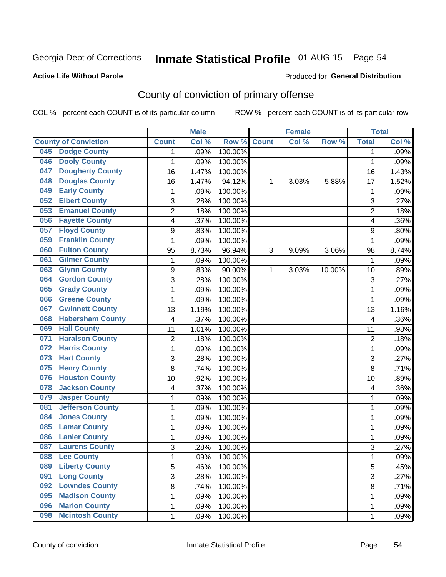## Inmate Statistical Profile 01-AUG-15 Page 54

### **Active Life Without Parole**

#### Produced for General Distribution

## County of conviction of primary offense

COL % - percent each COUNT is of its particular column

|                                |                | <b>Male</b> |         |              | <b>Female</b> |        |                | <b>Total</b> |
|--------------------------------|----------------|-------------|---------|--------------|---------------|--------|----------------|--------------|
| <b>County of Conviction</b>    | <b>Count</b>   | Col %       | Row %   | <b>Count</b> | Col %         | Row %  | <b>Total</b>   | Col %        |
| <b>Dodge County</b><br>045     | 1              | .09%        | 100.00% |              |               |        | 1              | .09%         |
| <b>Dooly County</b><br>046     | 1              | .09%        | 100.00% |              |               |        | $\mathbf{1}$   | .09%         |
| <b>Dougherty County</b><br>047 | 16             | 1.47%       | 100.00% |              |               |        | 16             | 1.43%        |
| <b>Douglas County</b><br>048   | 16             | 1.47%       | 94.12%  | 1            | 3.03%         | 5.88%  | 17             | 1.52%        |
| <b>Early County</b><br>049     | $\mathbf{1}$   | .09%        | 100.00% |              |               |        | $\mathbf{1}$   | .09%         |
| <b>Elbert County</b><br>052    | 3              | .28%        | 100.00% |              |               |        | 3              | .27%         |
| <b>Emanuel County</b><br>053   | $\overline{2}$ | .18%        | 100.00% |              |               |        | $\overline{2}$ | .18%         |
| <b>Fayette County</b><br>056   | 4              | .37%        | 100.00% |              |               |        | 4              | .36%         |
| <b>Floyd County</b><br>057     | 9              | .83%        | 100.00% |              |               |        | 9              | .80%         |
| <b>Franklin County</b><br>059  | 1              | .09%        | 100.00% |              |               |        | $\mathbf{1}$   | .09%         |
| <b>Fulton County</b><br>060    | 95             | 8.73%       | 96.94%  | 3            | 9.09%         | 3.06%  | 98             | 8.74%        |
| <b>Gilmer County</b><br>061    | 1              | .09%        | 100.00% |              |               |        | 1              | .09%         |
| <b>Glynn County</b><br>063     | 9              | .83%        | 90.00%  | 1            | 3.03%         | 10.00% | 10             | .89%         |
| <b>Gordon County</b><br>064    | 3              | .28%        | 100.00% |              |               |        | 3              | .27%         |
| <b>Grady County</b><br>065     | 1              | .09%        | 100.00% |              |               |        | $\mathbf{1}$   | .09%         |
| <b>Greene County</b><br>066    | 1              | .09%        | 100.00% |              |               |        | $\mathbf{1}$   | .09%         |
| <b>Gwinnett County</b><br>067  | 13             | 1.19%       | 100.00% |              |               |        | 13             | 1.16%        |
| <b>Habersham County</b><br>068 | 4              | .37%        | 100.00% |              |               |        | 4              | .36%         |
| <b>Hall County</b><br>069      | 11             | 1.01%       | 100.00% |              |               |        | 11             | .98%         |
| <b>Haralson County</b><br>071  | $\overline{2}$ | .18%        | 100.00% |              |               |        | $\overline{2}$ | .18%         |
| <b>Harris County</b><br>072    | 1              | .09%        | 100.00% |              |               |        | $\mathbf{1}$   | .09%         |
| <b>Hart County</b><br>073      | 3              | .28%        | 100.00% |              |               |        | 3              | .27%         |
| <b>Henry County</b><br>075     | 8              | .74%        | 100.00% |              |               |        | 8              | .71%         |
| <b>Houston County</b><br>076   | 10             | .92%        | 100.00% |              |               |        | 10             | .89%         |
| <b>Jackson County</b><br>078   | 4              | .37%        | 100.00% |              |               |        | 4              | .36%         |
| <b>Jasper County</b><br>079    | 1              | .09%        | 100.00% |              |               |        | $\mathbf{1}$   | .09%         |
| <b>Jefferson County</b><br>081 | 1              | .09%        | 100.00% |              |               |        | 1              | .09%         |
| <b>Jones County</b><br>084     | 1              | .09%        | 100.00% |              |               |        | 1              | .09%         |
| <b>Lamar County</b><br>085     | 1              | .09%        | 100.00% |              |               |        | $\mathbf{1}$   | .09%         |
| <b>Lanier County</b><br>086    | 1              | .09%        | 100.00% |              |               |        | 1              | .09%         |
| <b>Laurens County</b><br>087   | 3              | .28%        | 100.00% |              |               |        | 3              | .27%         |
| 088<br><b>Lee County</b>       | 1              | .09%        | 100.00% |              |               |        | 1              | .09%         |
| <b>Liberty County</b><br>089   | 5              | .46%        | 100.00% |              |               |        | 5              | .45%         |
| <b>Long County</b><br>091      | $\overline{3}$ | .28%        | 100.00% |              |               |        | $\overline{3}$ | .27%         |
| <b>Lowndes County</b><br>092   | 8              | .74%        | 100.00% |              |               |        | $\overline{8}$ | .71%         |
| 095<br><b>Madison County</b>   | 1              | .09%        | 100.00% |              |               |        | $\mathbf{1}$   | .09%         |
| <b>Marion County</b><br>096    | 1              | .09%        | 100.00% |              |               |        | 1              | .09%         |
| <b>Mcintosh County</b><br>098  | 1              | .09%        | 100.00% |              |               |        | $\mathbf 1$    | .09%         |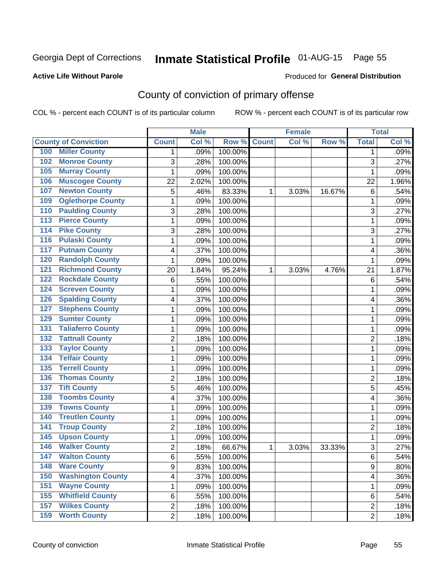## Inmate Statistical Profile 01-AUG-15 Page 55

### **Active Life Without Parole**

#### Produced for General Distribution

## County of conviction of primary offense

COL % - percent each COUNT is of its particular column

|                                 |                | <b>Male</b> |         |              | <b>Female</b> |        |                         | <b>Total</b> |
|---------------------------------|----------------|-------------|---------|--------------|---------------|--------|-------------------------|--------------|
| <b>County of Conviction</b>     | <b>Count</b>   | Col %       | Row %   | <b>Count</b> | Col %         | Row %  | <b>Total</b>            | Col %        |
| <b>Miller County</b><br>100     | 1              | .09%        | 100.00% |              |               |        | 1                       | .09%         |
| <b>Monroe County</b><br>102     | 3              | .28%        | 100.00% |              |               |        | 3                       | .27%         |
| <b>Murray County</b><br>105     | $\mathbf{1}$   | .09%        | 100.00% |              |               |        | $\mathbf{1}$            | .09%         |
| <b>Muscogee County</b><br>106   | 22             | 2.02%       | 100.00% |              |               |        | 22                      | 1.96%        |
| <b>Newton County</b><br>107     | 5              | .46%        | 83.33%  | 1            | 3.03%         | 16.67% | 6                       | .54%         |
| <b>Oglethorpe County</b><br>109 | 1              | .09%        | 100.00% |              |               |        | 1                       | .09%         |
| <b>Paulding County</b><br>110   | 3              | .28%        | 100.00% |              |               |        | 3                       | .27%         |
| <b>Pierce County</b><br>113     | 1              | .09%        | 100.00% |              |               |        | $\mathbf 1$             | .09%         |
| <b>Pike County</b><br>114       | 3              | .28%        | 100.00% |              |               |        | 3                       | .27%         |
| <b>Pulaski County</b><br>116    | 1              | .09%        | 100.00% |              |               |        | 1                       | .09%         |
| <b>Putnam County</b><br>117     | 4              | .37%        | 100.00% |              |               |        | 4                       | .36%         |
| <b>Randolph County</b><br>120   | 1              | .09%        | 100.00% |              |               |        | 1                       | .09%         |
| <b>Richmond County</b><br>121   | 20             | 1.84%       | 95.24%  | 1            | 3.03%         | 4.76%  | 21                      | 1.87%        |
| <b>Rockdale County</b><br>122   | 6              | .55%        | 100.00% |              |               |        | 6                       | .54%         |
| <b>Screven County</b><br>124    | 1              | .09%        | 100.00% |              |               |        | 1                       | .09%         |
| <b>Spalding County</b><br>126   | 4              | .37%        | 100.00% |              |               |        | 4                       | .36%         |
| <b>Stephens County</b><br>127   | 1              | .09%        | 100.00% |              |               |        | 1                       | .09%         |
| <b>Sumter County</b><br>129     | 1              | .09%        | 100.00% |              |               |        | 1                       | .09%         |
| <b>Taliaferro County</b><br>131 | 1              | .09%        | 100.00% |              |               |        | 1                       | .09%         |
| <b>Tattnall County</b><br>132   | $\overline{c}$ | .18%        | 100.00% |              |               |        | $\overline{2}$          | .18%         |
| <b>Taylor County</b><br>133     | 1              | .09%        | 100.00% |              |               |        | $\mathbf 1$             | .09%         |
| <b>Telfair County</b><br>134    | 1              | .09%        | 100.00% |              |               |        | $\mathbf 1$             | .09%         |
| <b>Terrell County</b><br>135    | 1              | .09%        | 100.00% |              |               |        | 1                       | .09%         |
| <b>Thomas County</b><br>136     | $\overline{c}$ | .18%        | 100.00% |              |               |        | $\overline{2}$          | .18%         |
| <b>Tift County</b><br>137       | 5              | .46%        | 100.00% |              |               |        | 5                       | .45%         |
| <b>Toombs County</b><br>138     | 4              | .37%        | 100.00% |              |               |        | 4                       | .36%         |
| <b>Towns County</b><br>139      | 1              | .09%        | 100.00% |              |               |        | 1                       | .09%         |
| <b>Treutlen County</b><br>140   | 1              | .09%        | 100.00% |              |               |        | 1                       | .09%         |
| <b>Troup County</b><br>141      | 2              | .18%        | 100.00% |              |               |        | $\overline{2}$          | .18%         |
| <b>Upson County</b><br>145      | 1              | .09%        | 100.00% |              |               |        | $\mathbf 1$             | .09%         |
| <b>Walker County</b><br>146     | $\overline{2}$ | .18%        | 66.67%  | 1            | 3.03%         | 33.33% | 3                       | .27%         |
| 147<br><b>Walton County</b>     | 6              | .55%        | 100.00% |              |               |        | 6                       | .54%         |
| <b>Ware County</b><br>148       | 9              | .83%        | 100.00% |              |               |        | 9                       | .80%         |
| <b>Washington County</b><br>150 | 4              | .37%        | 100.00% |              |               |        | $\overline{\mathbf{4}}$ | .36%         |
| <b>Wayne County</b><br>151      | 1              | .09%        | 100.00% |              |               |        | $\mathbf{1}$            | .09%         |
| <b>Whitfield County</b><br>155  | 6              | .55%        | 100.00% |              |               |        | 6                       | .54%         |
| <b>Wilkes County</b><br>157     | $\overline{c}$ | .18%        | 100.00% |              |               |        | $\overline{c}$          | .18%         |
| <b>Worth County</b><br>159      | $\overline{2}$ | .18%        | 100.00% |              |               |        | $\overline{2}$          | .18%         |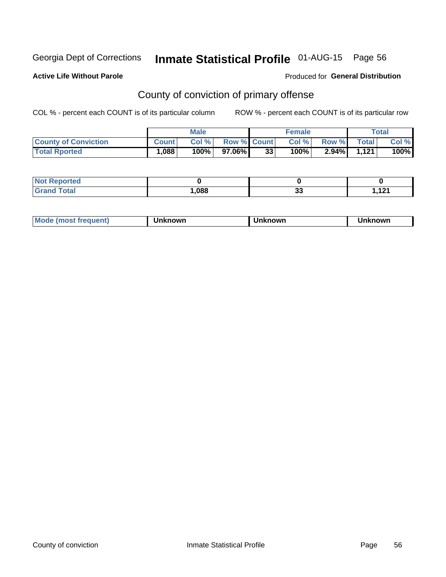## Inmate Statistical Profile 01-AUG-15 Page 56

#### **Active Life Without Parole**

#### Produced for General Distribution

## County of conviction of primary offense

COL % - percent each COUNT is of its particular column

|                             | <b>Male</b>  |       |                    | <b>Female</b> |       |          | $\tau$ otal |         |
|-----------------------------|--------------|-------|--------------------|---------------|-------|----------|-------------|---------|
| <b>County of Conviction</b> | <b>Count</b> | Col % | <b>Row % Count</b> |               | Col % | Row %    | Total       | Col %   |
| <b>Total Rported</b>        | 1,088        | 100%  | 97.06%।            | 33            | 100%  | $2.94\%$ | 1,121       | $100\%$ |

| ported<br>NI. |      |    |     |
|---------------|------|----|-----|
| <b>otal</b>   | ,088 | ^^ | 101 |
| <b>'Granc</b> |      | ◡  | .   |

| <b>Mode</b><br>(most frequent) | Unknown | Unknown | 'nknown |
|--------------------------------|---------|---------|---------|
|--------------------------------|---------|---------|---------|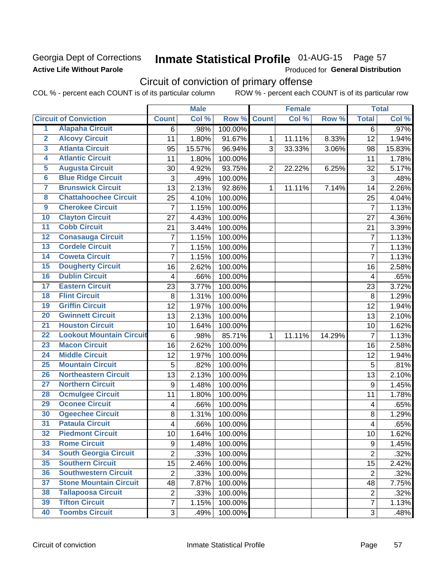### Georgia Dept of Corrections **Active Life Without Parole**

## Inmate Statistical Profile 01-AUG-15 Page 57

Produced for General Distribution

## Circuit of conviction of primary offense

COL % - percent each COUNT is of its particular column ROW % - percent each COUNT is of its particular row

|                         |                                 |                | <b>Male</b> |         |                | <b>Female</b> |        |                | <b>Total</b> |
|-------------------------|---------------------------------|----------------|-------------|---------|----------------|---------------|--------|----------------|--------------|
|                         | <b>Circuit of Conviction</b>    | <b>Count</b>   | Col %       | Row %   | <b>Count</b>   | Col %         | Row %  | <b>Total</b>   | Col %        |
| 1                       | <b>Alapaha Circuit</b>          | 6              | .98%        | 100.00% |                |               |        | 6              | .97%         |
| $\overline{2}$          | <b>Alcovy Circuit</b>           | 11             | 1.80%       | 91.67%  | $\mathbf{1}$   | 11.11%        | 8.33%  | 12             | 1.94%        |
| $\overline{\mathbf{3}}$ | <b>Atlanta Circuit</b>          | 95             | 15.57%      | 96.94%  | 3              | 33.33%        | 3.06%  | 98             | 15.83%       |
| 4                       | <b>Atlantic Circuit</b>         | 11             | 1.80%       | 100.00% |                |               |        | 11             | 1.78%        |
| 5                       | <b>Augusta Circuit</b>          | 30             | 4.92%       | 93.75%  | $\overline{2}$ | 22.22%        | 6.25%  | 32             | 5.17%        |
| $6\phantom{a}$          | <b>Blue Ridge Circuit</b>       | 3              | .49%        | 100.00% |                |               |        | $\mathfrak{S}$ | .48%         |
| 7                       | <b>Brunswick Circuit</b>        | 13             | 2.13%       | 92.86%  | $\mathbf 1$    | 11.11%        | 7.14%  | 14             | 2.26%        |
| 8                       | <b>Chattahoochee Circuit</b>    | 25             | 4.10%       | 100.00% |                |               |        | 25             | 4.04%        |
| 9                       | <b>Cherokee Circuit</b>         | $\overline{7}$ | 1.15%       | 100.00% |                |               |        | $\overline{7}$ | 1.13%        |
| 10                      | <b>Clayton Circuit</b>          | 27             | 4.43%       | 100.00% |                |               |        | 27             | 4.36%        |
| $\overline{11}$         | <b>Cobb Circuit</b>             | 21             | 3.44%       | 100.00% |                |               |        | 21             | 3.39%        |
| 12                      | <b>Conasauga Circuit</b>        | 7              | 1.15%       | 100.00% |                |               |        | $\overline{7}$ | 1.13%        |
| 13                      | <b>Cordele Circuit</b>          | 7              | 1.15%       | 100.00% |                |               |        | $\overline{7}$ | 1.13%        |
| 14                      | <b>Coweta Circuit</b>           | $\overline{7}$ | 1.15%       | 100.00% |                |               |        | $\overline{7}$ | 1.13%        |
| $\overline{15}$         | <b>Dougherty Circuit</b>        | 16             | 2.62%       | 100.00% |                |               |        | 16             | 2.58%        |
| 16                      | <b>Dublin Circuit</b>           | 4              | .66%        | 100.00% |                |               |        | 4              | .65%         |
| 17                      | <b>Eastern Circuit</b>          | 23             | 3.77%       | 100.00% |                |               |        | 23             | 3.72%        |
| 18                      | <b>Flint Circuit</b>            | 8              | 1.31%       | 100.00% |                |               |        | 8              | 1.29%        |
| 19                      | <b>Griffin Circuit</b>          | 12             | 1.97%       | 100.00% |                |               |        | 12             | 1.94%        |
| 20                      | <b>Gwinnett Circuit</b>         | 13             | 2.13%       | 100.00% |                |               |        | 13             | 2.10%        |
| $\overline{21}$         | <b>Houston Circuit</b>          | 10             | 1.64%       | 100.00% |                |               |        | 10             | 1.62%        |
| $\overline{22}$         | <b>Lookout Mountain Circuit</b> | $\,6$          | .98%        | 85.71%  | $\mathbf 1$    | 11.11%        | 14.29% | $\overline{7}$ | 1.13%        |
| 23                      | <b>Macon Circuit</b>            | 16             | 2.62%       | 100.00% |                |               |        | 16             | 2.58%        |
| $\overline{24}$         | <b>Middle Circuit</b>           | 12             | 1.97%       | 100.00% |                |               |        | 12             | 1.94%        |
| 25                      | <b>Mountain Circuit</b>         | 5              | .82%        | 100.00% |                |               |        | 5              | .81%         |
| 26                      | <b>Northeastern Circuit</b>     | 13             | 2.13%       | 100.00% |                |               |        | 13             | 2.10%        |
| $\overline{27}$         | <b>Northern Circuit</b>         | 9              | 1.48%       | 100.00% |                |               |        | 9              | 1.45%        |
| 28                      | <b>Ocmulgee Circuit</b>         | 11             | 1.80%       | 100.00% |                |               |        | 11             | 1.78%        |
| 29                      | <b>Oconee Circuit</b>           | 4              | .66%        | 100.00% |                |               |        | $\overline{4}$ | .65%         |
| 30                      | <b>Ogeechee Circuit</b>         | 8              | 1.31%       | 100.00% |                |               |        | 8              | 1.29%        |
| $\overline{31}$         | <b>Pataula Circuit</b>          | 4              | .66%        | 100.00% |                |               |        | 4              | .65%         |
| 32                      | <b>Piedmont Circuit</b>         | 10             | 1.64%       | 100.00% |                |               |        | 10             | 1.62%        |
| 33                      | <b>Rome Circuit</b>             | 9              | 1.48%       | 100.00% |                |               |        | 9              | 1.45%        |
| 34                      | <b>South Georgia Circuit</b>    | $\overline{2}$ | .33%        | 100.00% |                |               |        | $\overline{2}$ | .32%         |
| 35                      | <b>Southern Circuit</b>         | 15             | 2.46%       | 100.00% |                |               |        | 15             | 2.42%        |
| 36                      | <b>Southwestern Circuit</b>     | $\overline{2}$ | .33%        | 100.00% |                |               |        | $\overline{2}$ | .32%         |
| 37                      | <b>Stone Mountain Circuit</b>   | 48             | 7.87%       | 100.00% |                |               |        | 48             | 7.75%        |
| 38                      | <b>Tallapoosa Circuit</b>       | $\overline{2}$ | .33%        | 100.00% |                |               |        | $\overline{2}$ | .32%         |
| 39                      | <b>Tifton Circuit</b>           | $\overline{7}$ | 1.15%       | 100.00% |                |               |        | $\overline{7}$ | 1.13%        |
| 40                      | <b>Toombs Circuit</b>           | 3              | .49%        | 100.00% |                |               |        | 3              | .48%         |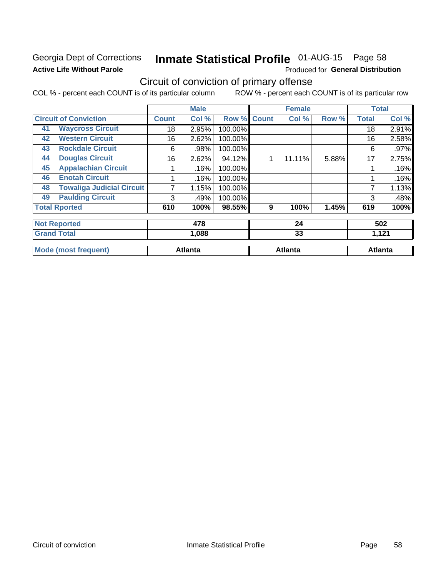## Georgia Dept of Corrections **Active Life Without Parole**

## Inmate Statistical Profile 01-AUG-15 Page 58

Produced for General Distribution

## Circuit of conviction of primary offense

COL % - percent each COUNT is of its particular column ROW % - percent each COUNT is of its particular row

|                             |                                  | <b>Male</b>    |       | <b>Female</b> |                |        | <b>Total</b> |                |       |  |
|-----------------------------|----------------------------------|----------------|-------|---------------|----------------|--------|--------------|----------------|-------|--|
|                             | <b>Circuit of Conviction</b>     | <b>Count</b>   | Col % | Row %         | <b>Count</b>   | Col%   | Row %        | <b>Total</b>   | Col % |  |
| 41                          | <b>Waycross Circuit</b>          | 18             | 2.95% | 100.00%       |                |        |              | 18             | 2.91% |  |
| 42                          | <b>Western Circuit</b>           | 16             | 2.62% | 100.00%       |                |        |              | 16             | 2.58% |  |
| 43                          | <b>Rockdale Circuit</b>          | 6              | .98%  | 100.00%       |                |        |              | 6              | .97%  |  |
| 44                          | <b>Douglas Circuit</b>           | 16             | 2.62% | 94.12%        | 1              | 11.11% | 5.88%        | 17             | 2.75% |  |
| 45                          | <b>Appalachian Circuit</b>       |                | .16%  | 100.00%       |                |        |              |                | .16%  |  |
| 46                          | <b>Enotah Circuit</b>            |                | .16%  | 100.00%       |                |        |              |                | .16%  |  |
| 48                          | <b>Towaliga Judicial Circuit</b> | 7              | 1.15% | 100.00%       |                |        |              | 7              | 1.13% |  |
| 49                          | <b>Paulding Circuit</b>          | 3              | .49%  | 100.00%       |                |        |              | 3              | .48%  |  |
|                             | <b>Total Rported</b>             | 610            | 100%  | 98.55%        | 9              | 100%   | 1.45%        | 619            | 100%  |  |
|                             | <b>Not Reported</b>              |                | 478   |               | 24             |        |              | 502            |       |  |
|                             | <b>Grand Total</b>               |                | 1,088 |               | 33             |        |              | 1,121          |       |  |
| <b>Mode (most frequent)</b> |                                  | <b>Atlanta</b> |       |               | <b>Atlanta</b> |        |              | <b>Atlanta</b> |       |  |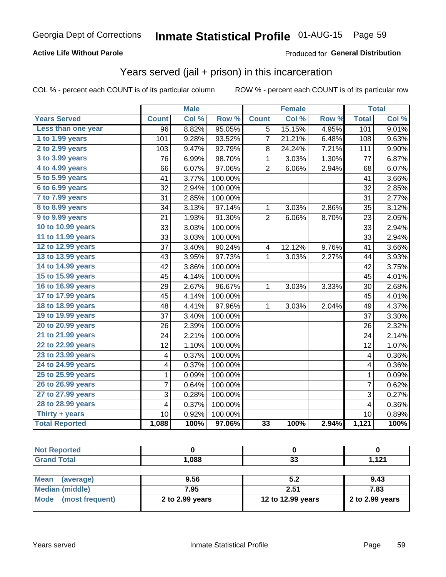### **Active Life Without Parole**

### **Produced for General Distribution**

## Years served (jail + prison) in this incarceration

COL % - percent each COUNT is of its particular column

|                       | <b>Male</b>     |       | <b>Female</b> |                 |        | <b>Total</b> |                |       |
|-----------------------|-----------------|-------|---------------|-----------------|--------|--------------|----------------|-------|
| <b>Years Served</b>   | <b>Count</b>    | Col % | Row %         | <b>Count</b>    | Col %  | Row %        | <b>Total</b>   | Col % |
| Less than one year    | $\overline{96}$ | 8.82% | 95.05%        | 5               | 15.15% | 4.95%        | 101            | 9.01% |
| 1 to 1.99 years       | 101             | 9.28% | 93.52%        | 7               | 21.21% | 6.48%        | 108            | 9.63% |
| 2 to 2.99 years       | 103             | 9.47% | 92.79%        | 8               | 24.24% | 7.21%        | 111            | 9.90% |
| 3 to 3.99 years       | 76              | 6.99% | 98.70%        | 1               | 3.03%  | 1.30%        | 77             | 6.87% |
| 4 to 4.99 years       | 66              | 6.07% | 97.06%        | $\overline{2}$  | 6.06%  | 2.94%        | 68             | 6.07% |
| 5 to 5.99 years       | 41              | 3.77% | 100.00%       |                 |        |              | 41             | 3.66% |
| 6 to 6.99 years       | 32              | 2.94% | 100.00%       |                 |        |              | 32             | 2.85% |
| 7 to 7.99 years       | 31              | 2.85% | 100.00%       |                 |        |              | 31             | 2.77% |
| 8 to 8.99 years       | 34              | 3.13% | 97.14%        | 1               | 3.03%  | 2.86%        | 35             | 3.12% |
| 9 to 9.99 years       | 21              | 1.93% | 91.30%        | $\overline{2}$  | 6.06%  | 8.70%        | 23             | 2.05% |
| 10 to 10.99 years     | 33              | 3.03% | 100.00%       |                 |        |              | 33             | 2.94% |
| 11 to 11.99 years     | 33              | 3.03% | 100.00%       |                 |        |              | 33             | 2.94% |
| 12 to 12.99 years     | 37              | 3.40% | 90.24%        | 4               | 12.12% | 9.76%        | 41             | 3.66% |
| 13 to 13.99 years     | 43              | 3.95% | 97.73%        | $\mathbf{1}$    | 3.03%  | 2.27%        | 44             | 3.93% |
| 14 to 14.99 years     | 42              | 3.86% | 100.00%       |                 |        |              | 42             | 3.75% |
| 15 to 15.99 years     | 45              | 4.14% | 100.00%       |                 |        |              | 45             | 4.01% |
| 16 to 16.99 years     | 29              | 2.67% | 96.67%        | 1               | 3.03%  | 3.33%        | 30             | 2.68% |
| 17 to 17.99 years     | 45              | 4.14% | 100.00%       |                 |        |              | 45             | 4.01% |
| 18 to 18.99 years     | 48              | 4.41% | 97.96%        | 1               | 3.03%  | 2.04%        | 49             | 4.37% |
| 19 to 19.99 years     | 37              | 3.40% | 100.00%       |                 |        |              | 37             | 3.30% |
| 20 to 20.99 years     | 26              | 2.39% | 100.00%       |                 |        |              | 26             | 2.32% |
| 21 to 21.99 years     | 24              | 2.21% | 100.00%       |                 |        |              | 24             | 2.14% |
| 22 to 22.99 years     | 12              | 1.10% | 100.00%       |                 |        |              | 12             | 1.07% |
| 23 to 23.99 years     | 4               | 0.37% | 100.00%       |                 |        |              | 4              | 0.36% |
| 24 to 24.99 years     | 4               | 0.37% | 100.00%       |                 |        |              | 4              | 0.36% |
| 25 to 25.99 years     | $\mathbf{1}$    | 0.09% | 100.00%       |                 |        |              | $\mathbf{1}$   | 0.09% |
| 26 to 26.99 years     | $\overline{7}$  | 0.64% | 100.00%       |                 |        |              | $\overline{7}$ | 0.62% |
| 27 to 27.99 years     | 3               | 0.28% | 100.00%       |                 |        |              | 3              | 0.27% |
| 28 to 28.99 years     | 4               | 0.37% | 100.00%       |                 |        |              | 4              | 0.36% |
| Thirty + years        | 10              | 0.92% | 100.00%       |                 |        |              | 10             | 0.89% |
| <b>Total Reported</b> | 1,088           | 100%  | 97.06%        | $\overline{33}$ | 100%   | 2.94%        | 1,121          | 100%  |

| <b>Not Reported</b>      |                 |                   |                 |
|--------------------------|-----------------|-------------------|-----------------|
| <b>Grand Total</b>       | 1,088           | 33                | 1.121           |
|                          |                 |                   |                 |
| <b>Mean</b><br>(average) | 9.56            | 5.2               | 9.43            |
| <b>Median (middle)</b>   | 7.95            | 2.51              | 7.83            |
| Mode (most frequent)     | 2 to 2.99 years | 12 to 12.99 years | 2 to 2.99 years |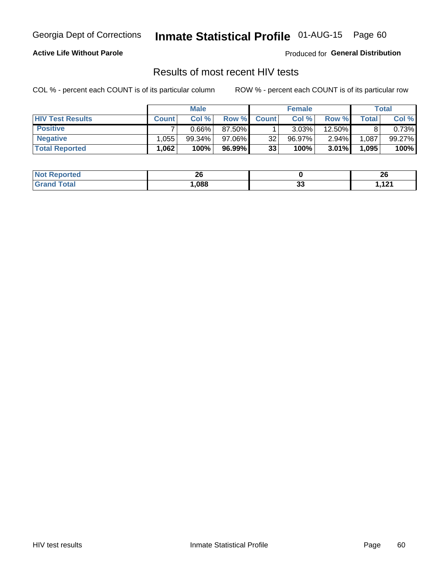## Inmate Statistical Profile 01-AUG-15 Page 60

### **Active Life Without Parole**

Produced for General Distribution

## Results of most recent HIV tests

COL % - percent each COUNT is of its particular column

|                         | <b>Male</b>  |           |        | <b>Female</b>   |           |          | Total |        |
|-------------------------|--------------|-----------|--------|-----------------|-----------|----------|-------|--------|
| <b>HIV Test Results</b> | <b>Count</b> | Col%      | Row %I | <b>Count</b>    | Col %     | Row %    | Total | Col %  |
| <b>Positive</b>         |              | $0.66\%$  | 87.50% |                 | $3.03\%$  | 12.50%   |       | 0.73%  |
| <b>Negative</b>         | .055         | $99.34\%$ | 97.06% | 32 <sub>1</sub> | $96.97\%$ | $2.94\%$ | 1,087 | 99.27% |
| <b>Total Reported</b>   | ,062         | 100%      | 96.99% | 33              | 100%      | 3.01%    | 1,095 | 100%   |

| <b>Not Reported</b> | n,<br>ZU |          | n,<br>Zu |
|---------------------|----------|----------|----------|
| Total               | ,088     | ^^<br>uu | 101<br>. |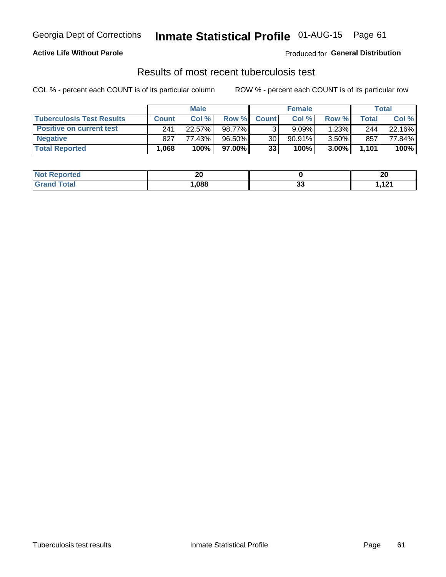## Georgia Dept of Corrections **Inmate Statistical Profile** 01-AUG-15 Page 61

### **Active Life Without Parole**

Produced for **General Distribution**

## Results of most recent tuberculosis test

COL % - percent each COUNT is of its particular column ROW % - percent each COUNT is of its particular row

|                                  | <b>Male</b>  |        |           | <b>Female</b> |           |          | Total        |        |
|----------------------------------|--------------|--------|-----------|---------------|-----------|----------|--------------|--------|
| <b>Tuberculosis Test Results</b> | <b>Count</b> | Col%   | Row %I    | <b>Count</b>  | Col %     | Row %I   | <b>Total</b> | Col %  |
| <b>Positive on current test</b>  | 241          | 22.57% | 98.77%    |               | 9.09%     | $1.23\%$ | 244          | 22.16% |
| <b>Negative</b>                  | 827          | 77.43% | $96.50\%$ | 30            | $90.91\%$ | 3.50%    | 857          | 77.84% |
| <b>Total Reported</b>            | .068         | 100%   | 97.00% l  | 33            | 100%      | $3.00\%$ | 1.101        | 100%   |

| <b>Not Reported</b> | nr<br>ZU |     | ״<br>Zu |
|---------------------|----------|-----|---------|
| <b>Total</b>        | ,088     | ~~  | 101     |
| Gr2r                |          | ູບປ | ا 14 ر  |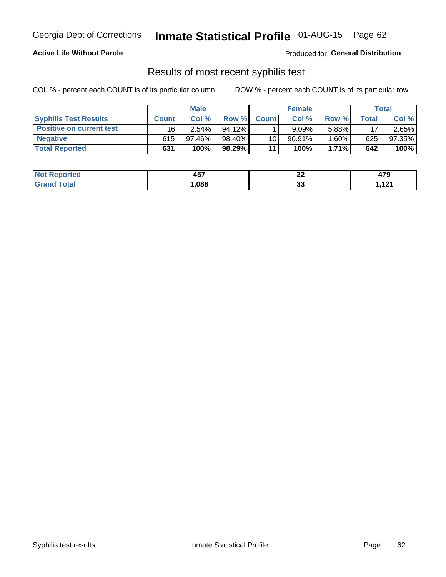## Georgia Dept of Corrections **Inmate Statistical Profile** 01-AUG-15 Page 62

### **Active Life Without Parole**

Produced for **General Distribution**

## Results of most recent syphilis test

COL % - percent each COUNT is of its particular column ROW % - percent each COUNT is of its particular row

|                                 | <b>Male</b>  |           |           | <b>Female</b> |           |          | Total   |        |
|---------------------------------|--------------|-----------|-----------|---------------|-----------|----------|---------|--------|
| <b>Syphilis Test Results</b>    | <b>Count</b> | Col%      | Row %     | <b>Count</b>  | Col %     | Row %I   | Total i | Col %  |
| <b>Positive on current test</b> | 16           | $2.54\%$  | $94.12\%$ |               | 9.09%     | 5.88%    | 17      | 2.65%  |
| <b>Negative</b>                 | 615          | $97.46\%$ | 98.40%    | 10            | $90.91\%$ | $1.60\%$ | 625     | 97.35% |
| <b>Total Reported</b>           | 631          | 100%      | 98.29%    | 11            | 100%      | $1.71\%$ | 642     | 100%   |

| <b>Not Reported</b> | <b>A57</b><br>TV. | 00<br>▴▴ | 479 |
|---------------------|-------------------|----------|-----|
| Total               | ,088              | ~~       | 101 |
| Granc               |                   | ູບປ      |     |